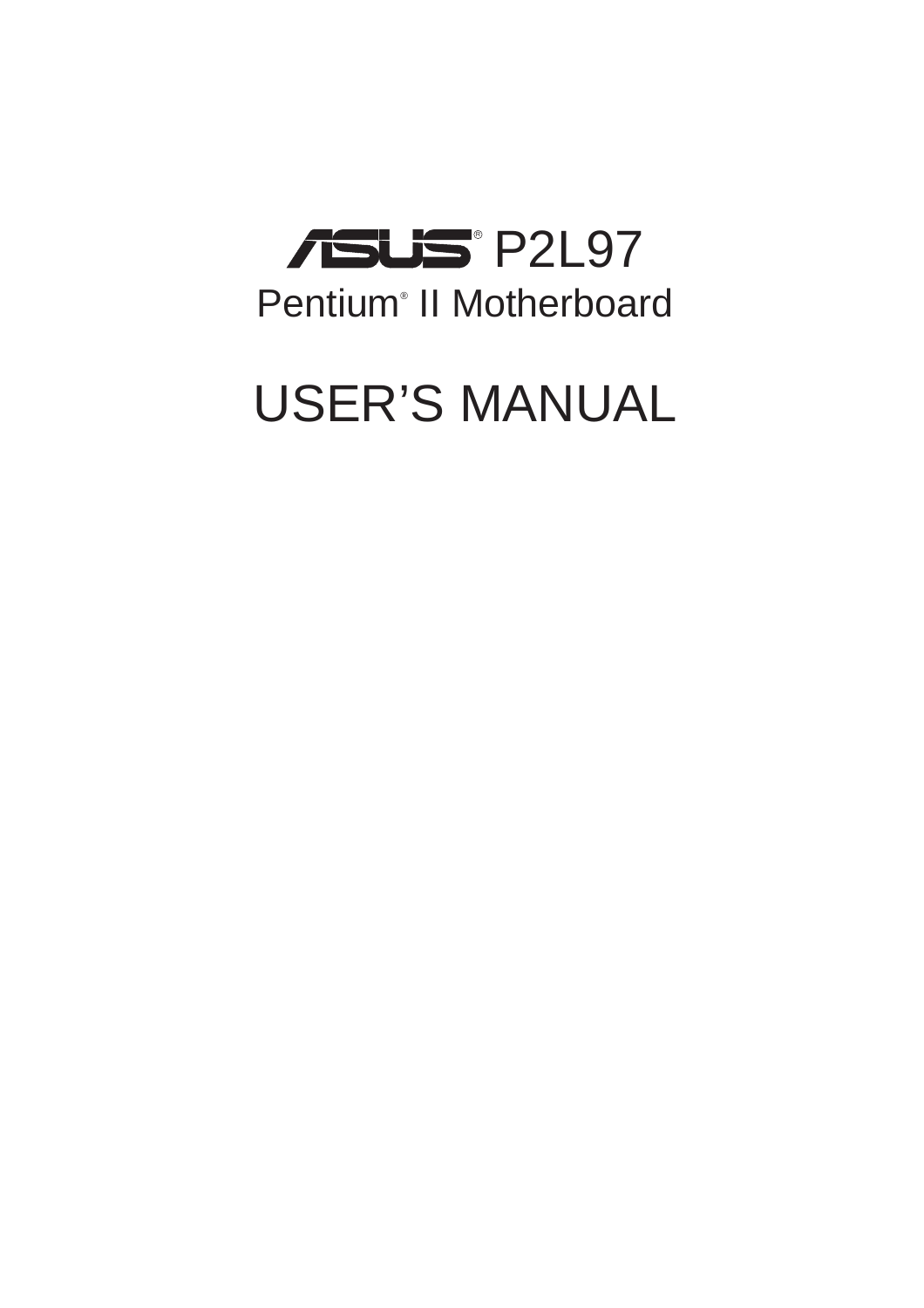

# USER'S MANUAL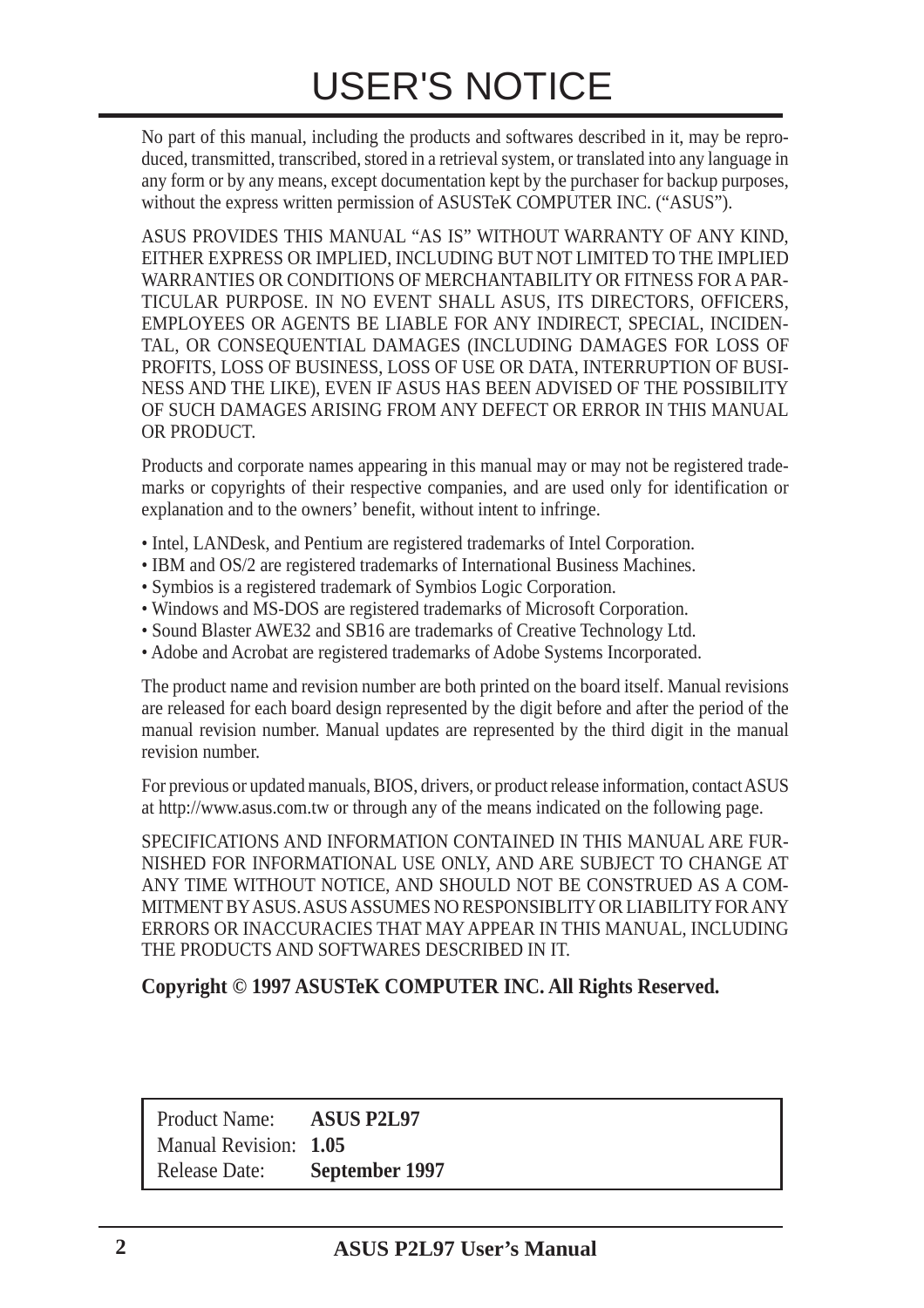No part of this manual, including the products and softwares described in it, may be reproduced, transmitted, transcribed, stored in a retrieval system, or translated into any language in any form or by any means, except documentation kept by the purchaser for backup purposes, without the express written permission of ASUSTeK COMPUTER INC. ("ASUS").

ASUS PROVIDES THIS MANUAL "AS IS" WITHOUT WARRANTY OF ANY KIND, EITHER EXPRESS OR IMPLIED, INCLUDING BUT NOT LIMITED TO THE IMPLIED WARRANTIES OR CONDITIONS OF MERCHANTABILITY OR FITNESS FOR A PAR-TICULAR PURPOSE. IN NO EVENT SHALL ASUS, ITS DIRECTORS, OFFICERS, EMPLOYEES OR AGENTS BE LIABLE FOR ANY INDIRECT, SPECIAL, INCIDEN-TAL, OR CONSEQUENTIAL DAMAGES (INCLUDING DAMAGES FOR LOSS OF PROFITS, LOSS OF BUSINESS, LOSS OF USE OR DATA, INTERRUPTION OF BUSI-NESS AND THE LIKE), EVEN IF ASUS HAS BEEN ADVISED OF THE POSSIBILITY OF SUCH DAMAGES ARISING FROM ANY DEFECT OR ERROR IN THIS MANUAL OR PRODUCT.

Products and corporate names appearing in this manual may or may not be registered trademarks or copyrights of their respective companies, and are used only for identification or explanation and to the owners' benefit, without intent to infringe.

- Intel, LANDesk, and Pentium are registered trademarks of Intel Corporation.
- IBM and OS/2 are registered trademarks of International Business Machines.
- Symbios is a registered trademark of Symbios Logic Corporation.
- Windows and MS-DOS are registered trademarks of Microsoft Corporation.
- Sound Blaster AWE32 and SB16 are trademarks of Creative Technology Ltd.
- Adobe and Acrobat are registered trademarks of Adobe Systems Incorporated.

The product name and revision number are both printed on the board itself. Manual revisions are released for each board design represented by the digit before and after the period of the manual revision number. Manual updates are represented by the third digit in the manual revision number.

For previous or updated manuals, BIOS, drivers, or product release information, contact ASUS at http://www.asus.com.tw or through any of the means indicated on the following page.

SPECIFICATIONS AND INFORMATION CONTAINED IN THIS MANUAL ARE FUR-NISHED FOR INFORMATIONAL USE ONLY, AND ARE SUBJECT TO CHANGE AT ANY TIME WITHOUT NOTICE, AND SHOULD NOT BE CONSTRUED AS A COM-MITMENT BY ASUS. ASUS ASSUMES NO RESPONSIBLITY OR LIABILITY FOR ANY ERRORS OR INACCURACIES THAT MAY APPEAR IN THIS MANUAL, INCLUDING THE PRODUCTS AND SOFTWARES DESCRIBED IN IT.

#### **Copyright © 1997 ASUSTeK COMPUTER INC. All Rights Reserved.**

Product Name: **ASUS P2L97** Manual Revision: **1.05** Release Date: **September 1997**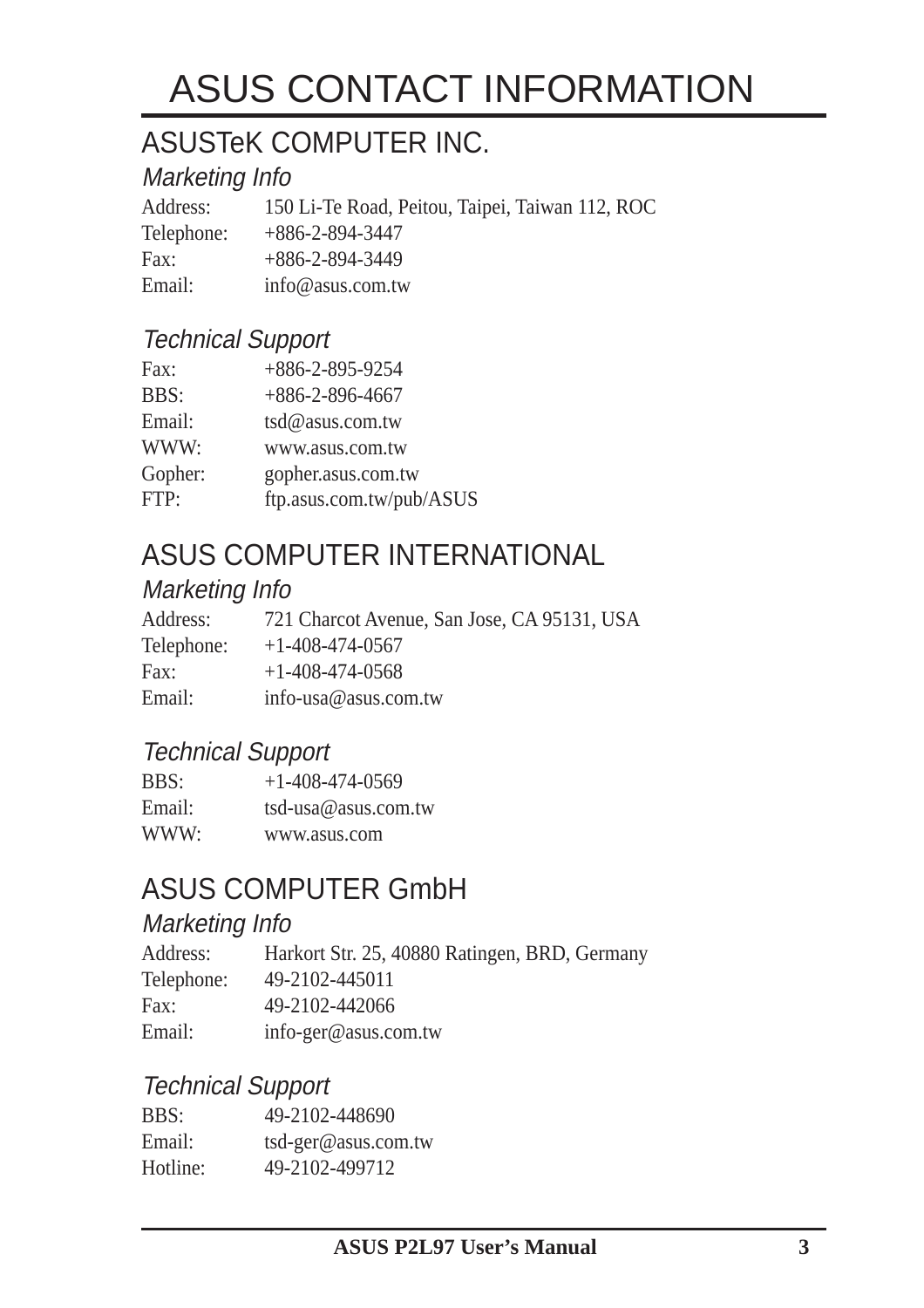# ASUS CONTACT INFORMATION

## ASUSTeK COMPUTER INC.

### Marketing Info

Address: 150 Li-Te Road, Peitou, Taipei, Taiwan 112, ROC Telephone: +886-2-894-3447 Fax: +886-2-894-3449 Email: info@asus.com.tw

### Technical Support

| Fax:    | $+886 - 2 - 895 - 9254$  |
|---------|--------------------------|
| BBS:    | $+886-2-896-4667$        |
| Email:  | tsd@asus.com.tw          |
| WWW:    | www.asus.com.tw          |
| Gopher: | gopher.asus.com.tw       |
| FTP:    | ftp.asus.com.tw/pub/ASUS |

## ASUS COMPUTER INTERNATIONAL

### Marketing Info

| Address:   | 721 Charcot Avenue, San Jose, CA 95131, USA |
|------------|---------------------------------------------|
| Telephone: | $+1-408-474-0567$                           |
| Fax:       | $+1-408-474-0568$                           |
| Email:     | info-usa@asus.com.tw                        |
|            |                                             |

### Technical Support

| BBS:   | $+1-408-474-0569$      |
|--------|------------------------|
| Email: | $tsd-usa@assus.com.tw$ |
| WWW:   | www.asus.com           |

## ASUS COMPUTER GmbH

### Marketing Info

| Address:   | Harkort Str. 25, 40880 Ratingen, BRD, Germany |
|------------|-----------------------------------------------|
| Telephone: | 49-2102-445011                                |
| Fax:       | 49-2102-442066                                |
| Email:     | info-ger@asus.com.tw                          |

### Technical Support

| BBS:     | 49-2102-448690      |
|----------|---------------------|
| Email:   | tsd-ger@asus.com.tw |
| Hotline: | 49-2102-499712      |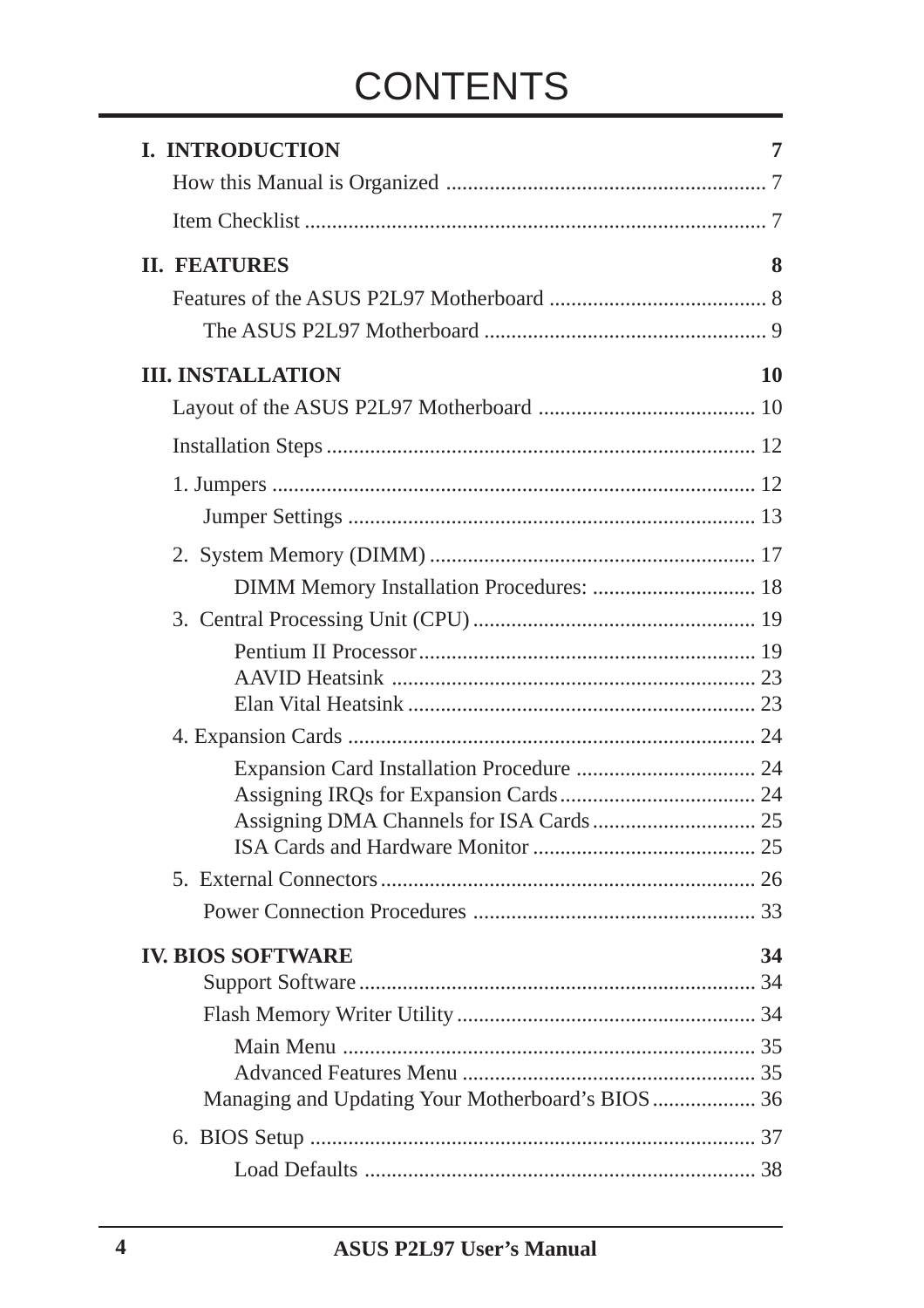# **CONTENTS**

| I. INTRODUCTION                          | 7  |
|------------------------------------------|----|
|                                          |    |
|                                          |    |
| <b>II. FEATURES</b>                      | 8  |
|                                          |    |
|                                          |    |
| <b>III. INSTALLATION</b>                 | 10 |
|                                          |    |
|                                          |    |
|                                          |    |
|                                          |    |
|                                          |    |
| DIMM Memory Installation Procedures:  18 |    |
|                                          |    |
|                                          |    |
|                                          |    |
|                                          |    |
|                                          |    |
|                                          |    |
|                                          |    |
|                                          |    |
|                                          |    |
|                                          |    |
| <b>IV. BIOS SOFTWARE</b>                 | 34 |
|                                          |    |
|                                          |    |
|                                          |    |
|                                          |    |
|                                          |    |
|                                          |    |
|                                          |    |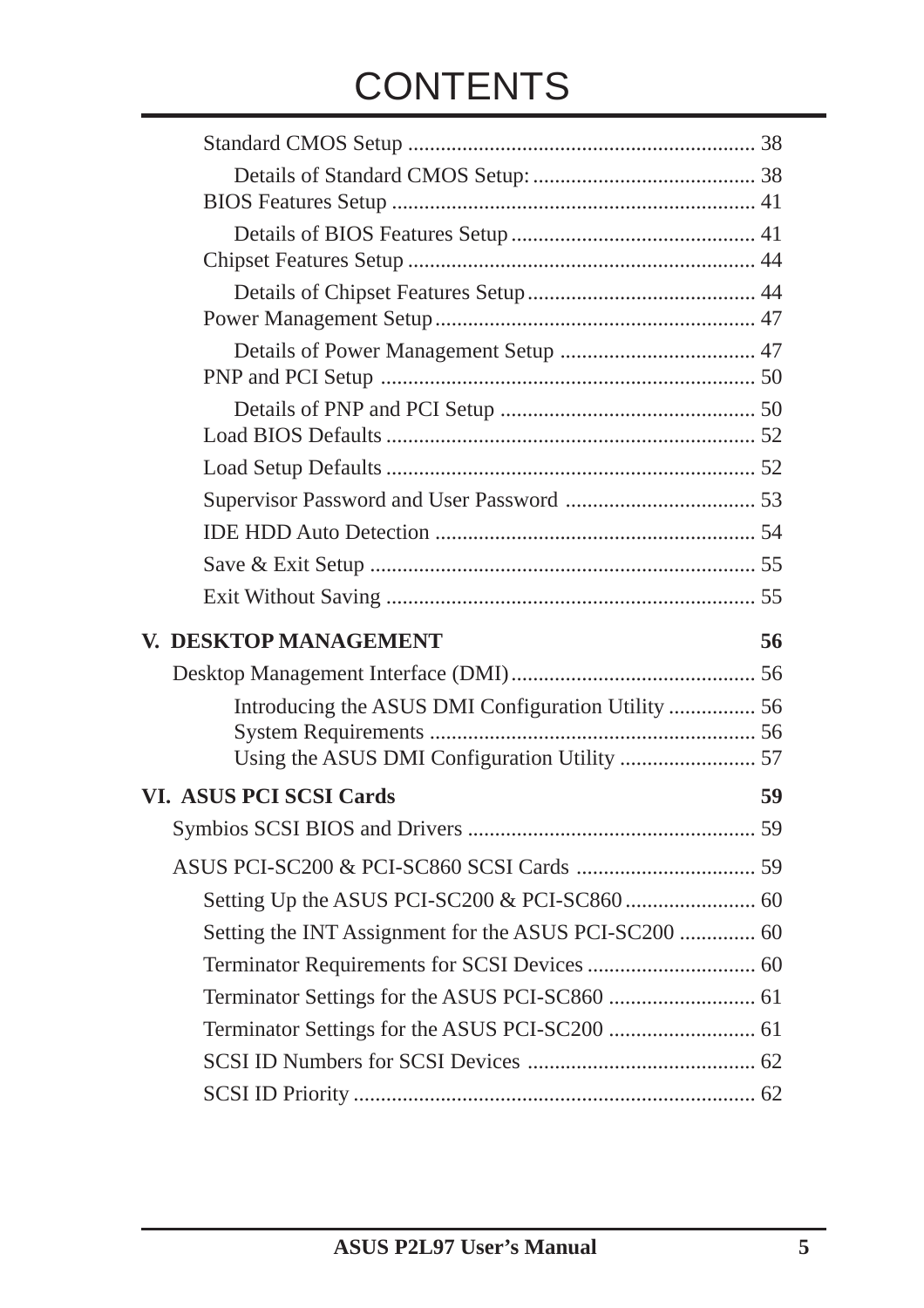# **CONTENTS**

| V. DESKTOP MANAGEMENT                              | 56 |
|----------------------------------------------------|----|
|                                                    |    |
| Introducing the ASUS DMI Configuration Utility  56 |    |
|                                                    |    |
|                                                    |    |
| <b>VI. ASUS PCI SCSI Cards</b>                     | 59 |
|                                                    |    |
|                                                    |    |
|                                                    |    |
|                                                    |    |
|                                                    |    |
|                                                    |    |
|                                                    |    |
|                                                    |    |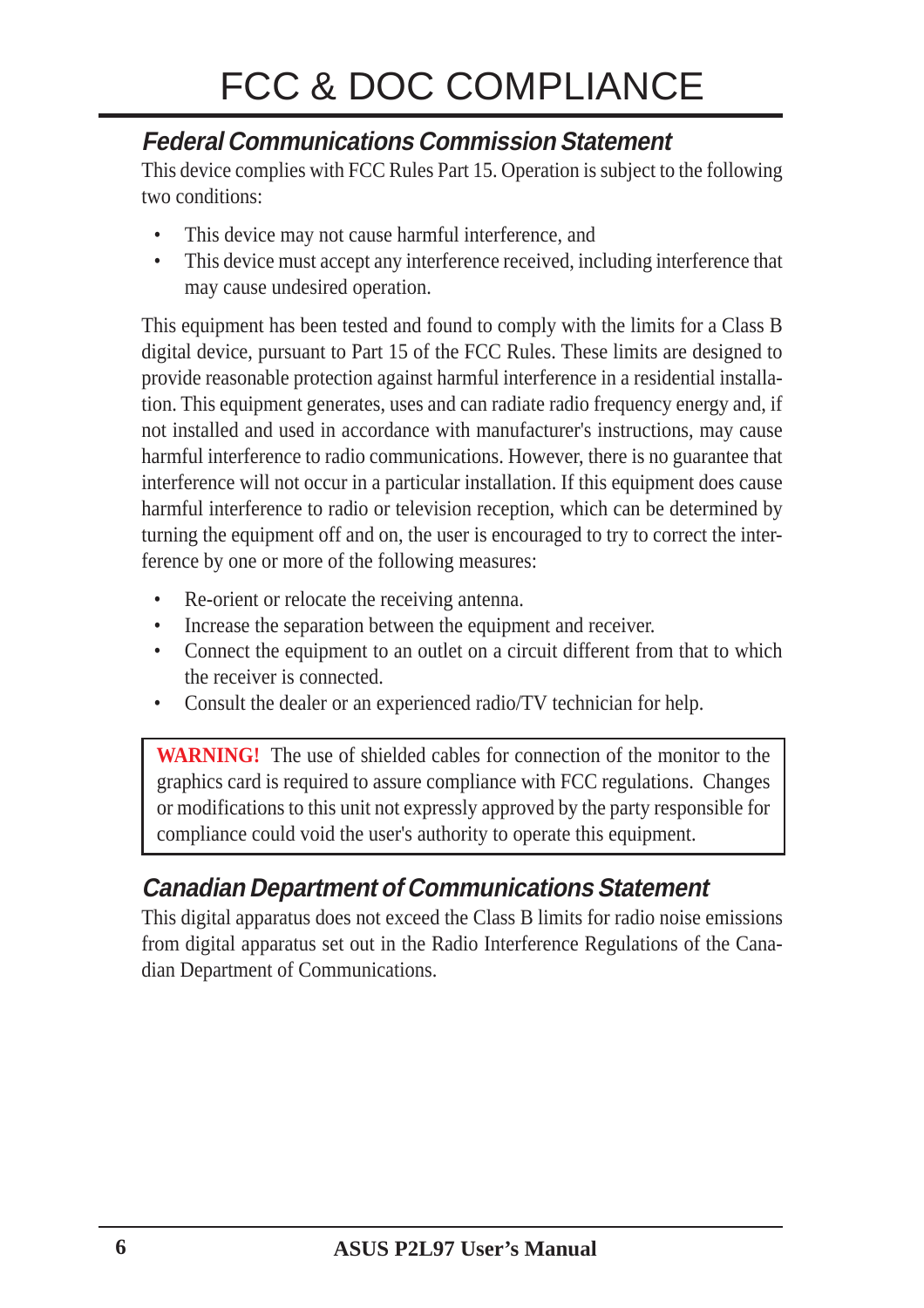### **Federal Communications Commission Statement**

This device complies with FCC Rules Part 15. Operation is subject to the following two conditions:

- This device may not cause harmful interference, and
- This device must accept any interference received, including interference that may cause undesired operation.

This equipment has been tested and found to comply with the limits for a Class B digital device, pursuant to Part 15 of the FCC Rules. These limits are designed to provide reasonable protection against harmful interference in a residential installation. This equipment generates, uses and can radiate radio frequency energy and, if not installed and used in accordance with manufacturer's instructions, may cause harmful interference to radio communications. However, there is no guarantee that interference will not occur in a particular installation. If this equipment does cause harmful interference to radio or television reception, which can be determined by turning the equipment off and on, the user is encouraged to try to correct the interference by one or more of the following measures:

- Re-orient or relocate the receiving antenna.
- Increase the separation between the equipment and receiver.
- Connect the equipment to an outlet on a circuit different from that to which the receiver is connected.
- Consult the dealer or an experienced radio/TV technician for help.

**WARNING!** The use of shielded cables for connection of the monitor to the graphics card is required to assure compliance with FCC regulations. Changes or modifications to this unit not expressly approved by the party responsible for compliance could void the user's authority to operate this equipment.

### **Canadian Department of Communications Statement**

This digital apparatus does not exceed the Class B limits for radio noise emissions from digital apparatus set out in the Radio Interference Regulations of the Canadian Department of Communications.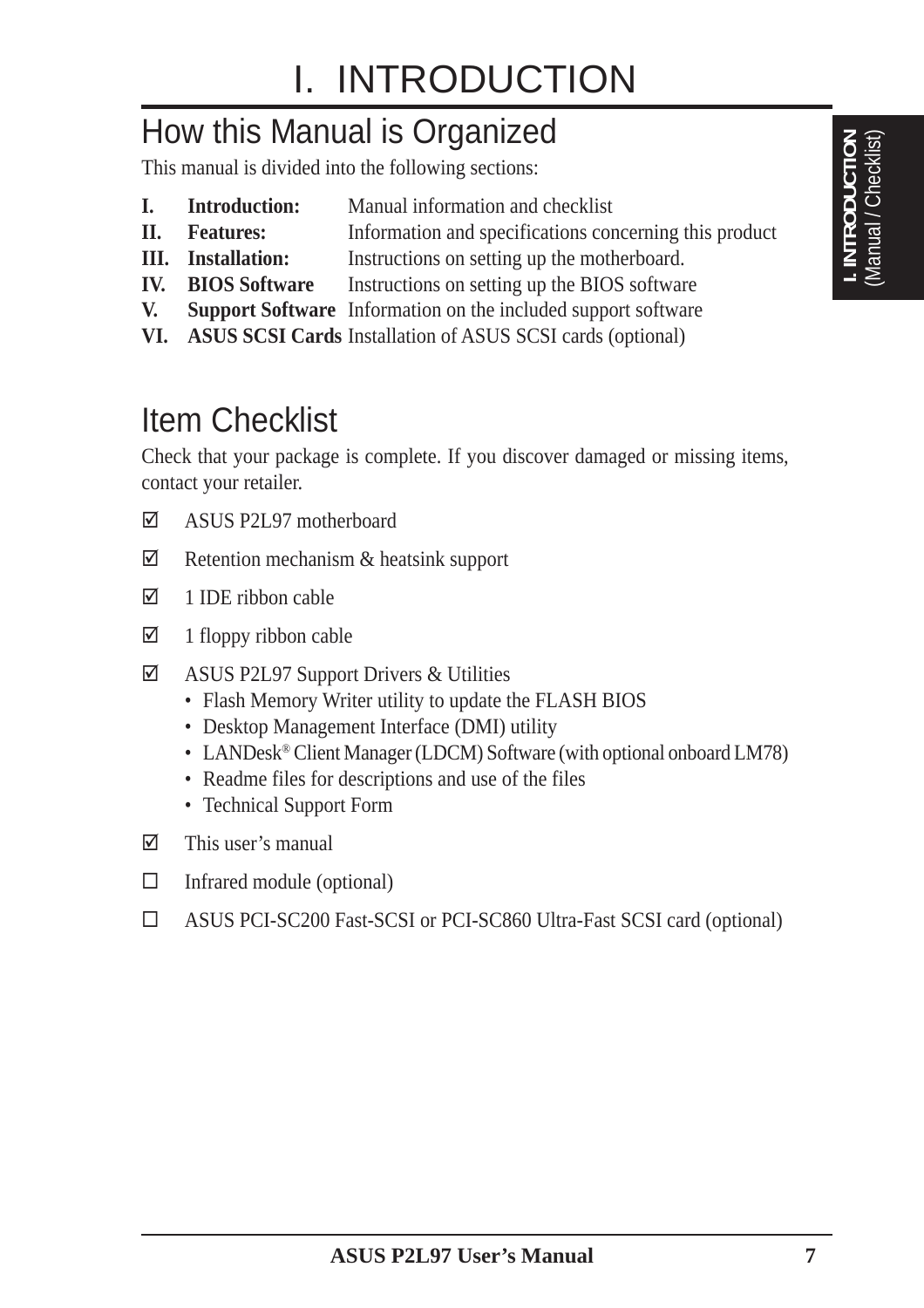# How this Manual is Organized

This manual is divided into the following sections:

- **I. Introduction:** Manual information and checklist
- **II.** Features: Information and specifications concerning this product
- **III.** Installation: Instructions on setting up the motherboard.
- **IV.** BIOS Software Instructions on setting up the BIOS software
- **V. Support Software** Information on the included support software
- **VI. ASUS SCSI Cards** Installation of ASUS SCSI cards (optional)

# Item Checklist

Check that your package is complete. If you discover damaged or missing items, contact your retailer.

- $\nabla$  ASUS P2L97 motherboard
- $\boxtimes$  Retention mechanism & heatsink support
- $\nabla$  1 IDE ribbon cable
- $\boxtimes$  1 floppy ribbon cable
- $\boxtimes$  ASUS P2L97 Support Drivers & Utilities
	- Flash Memory Writer utility to update the FLASH BIOS
	- Desktop Management Interface (DMI) utility
	- LANDesk® Client Manager (LDCM) Software (with optional onboard LM78)
	- Readme files for descriptions and use of the files
	- Technical Support Form
- $\nabla$  This user's manual
- $\Box$  Infrared module (optional)
- □ ASUS PCI-SC200 Fast-SCSI or PCI-SC860 Ultra-Fast SCSI card (optional)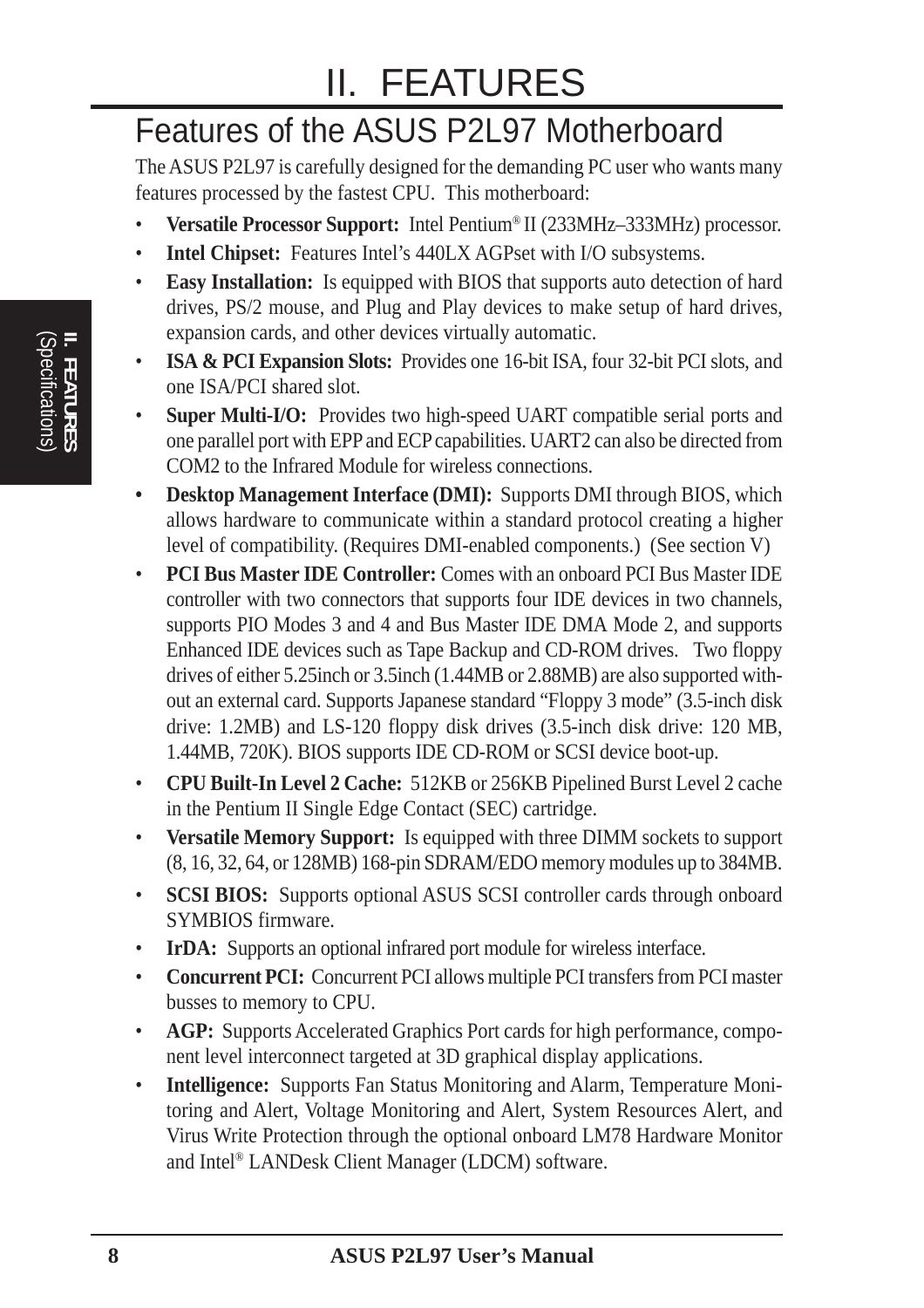# II. FEATURES

# Features of the ASUS P2L97 Motherboard

The ASUS P2L97 is carefully designed for the demanding PC user who wants many features processed by the fastest CPU. This motherboard:

- **Versatile Processor Support:** Intel Pentium® II (233MHz–333MHz) processor.
- **Intel Chipset:** Features Intel's 440LX AGPset with I/O subsystems.
- **Easy Installation:** Is equipped with BIOS that supports auto detection of hard drives, PS/2 mouse, and Plug and Play devices to make setup of hard drives, expansion cards, and other devices virtually automatic.
- **ISA & PCI Expansion Slots:** Provides one 16-bit ISA, four 32-bit PCI slots, and one ISA/PCI shared slot.
- **Super Multi-I/O:** Provides two high-speed UART compatible serial ports and one parallel port with EPP and ECP capabilities. UART2 can also be directed from COM2 to the Infrared Module for wireless connections.
- **Desktop Management Interface (DMI):** Supports DMI through BIOS, which allows hardware to communicate within a standard protocol creating a higher level of compatibility. (Requires DMI-enabled components.) (See section V)
- **PCI Bus Master IDE Controller:** Comes with an onboard PCI Bus Master IDE controller with two connectors that supports four IDE devices in two channels, supports PIO Modes 3 and 4 and Bus Master IDE DMA Mode 2, and supports Enhanced IDE devices such as Tape Backup and CD-ROM drives. Two floppy drives of either 5.25inch or 3.5inch (1.44MB or 2.88MB) are also supported without an external card. Supports Japanese standard "Floppy 3 mode" (3.5-inch disk drive: 1.2MB) and LS-120 floppy disk drives (3.5-inch disk drive: 120 MB, 1.44MB, 720K). BIOS supports IDE CD-ROM or SCSI device boot-up.
- **CPU Built-In Level 2 Cache:** 512KB or 256KB Pipelined Burst Level 2 cache in the Pentium II Single Edge Contact (SEC) cartridge.
- **Versatile Memory Support:** Is equipped with three DIMM sockets to support (8, 16, 32, 64, or 128MB) 168-pin SDRAM/EDO memory modules up to 384MB.
- **SCSI BIOS:** Supports optional ASUS SCSI controller cards through onboard SYMBIOS firmware.
- **IrDA:** Supports an optional infrared port module for wireless interface.
- **Concurrent PCI:** Concurrent PCI allows multiple PCI transfers from PCI master busses to memory to CPU.
- **AGP:** Supports Accelerated Graphics Port cards for high performance, component level interconnect targeted at 3D graphical display applications.
- **Intelligence:** Supports Fan Status Monitoring and Alarm, Temperature Monitoring and Alert, Voltage Monitoring and Alert, System Resources Alert, and Virus Write Protection through the optional onboard LM78 Hardware Monitor and Intel® LANDesk Client Manager (LDCM) software.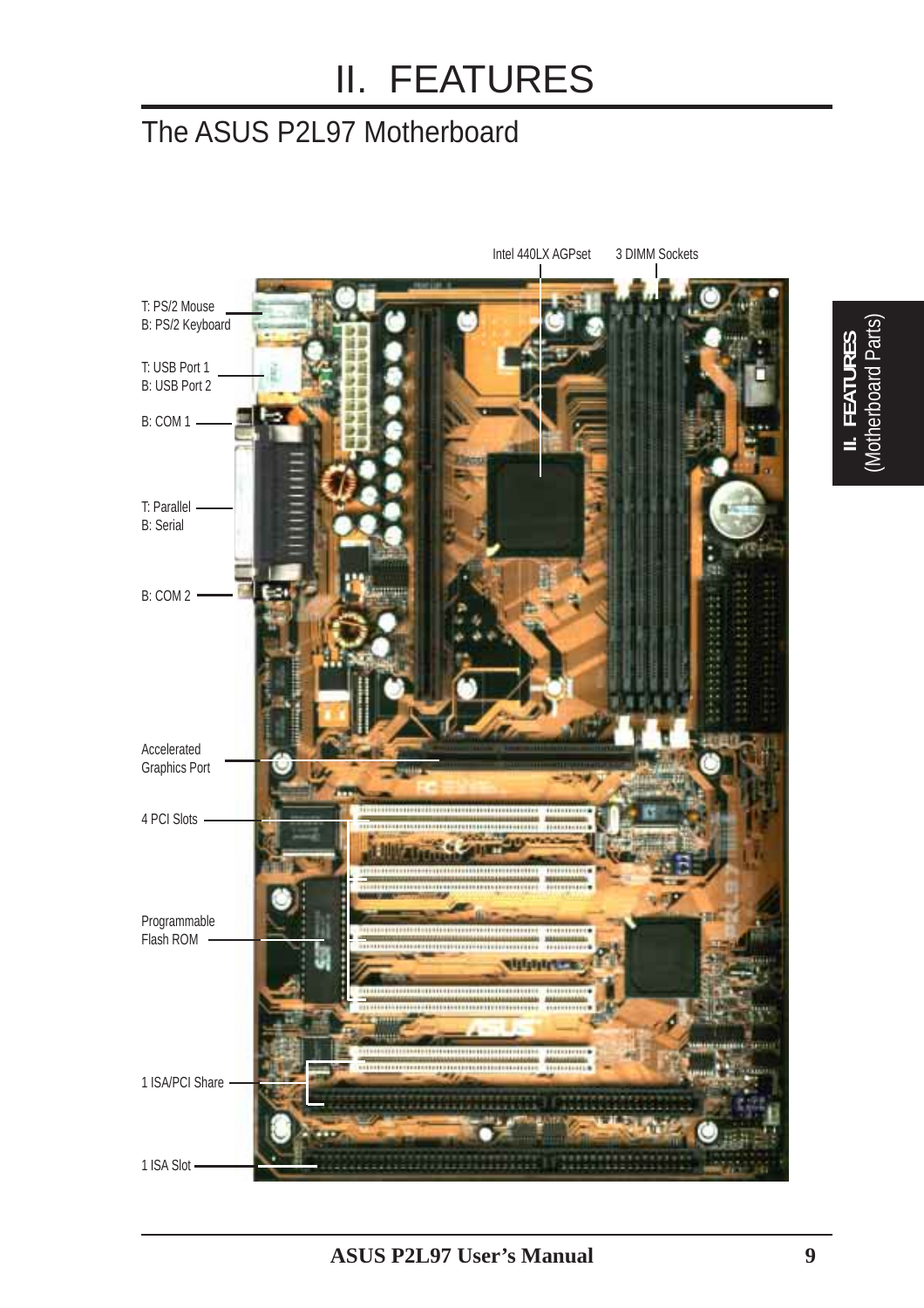# II. FEATURES

## The ASUS P2L97 Motherboard

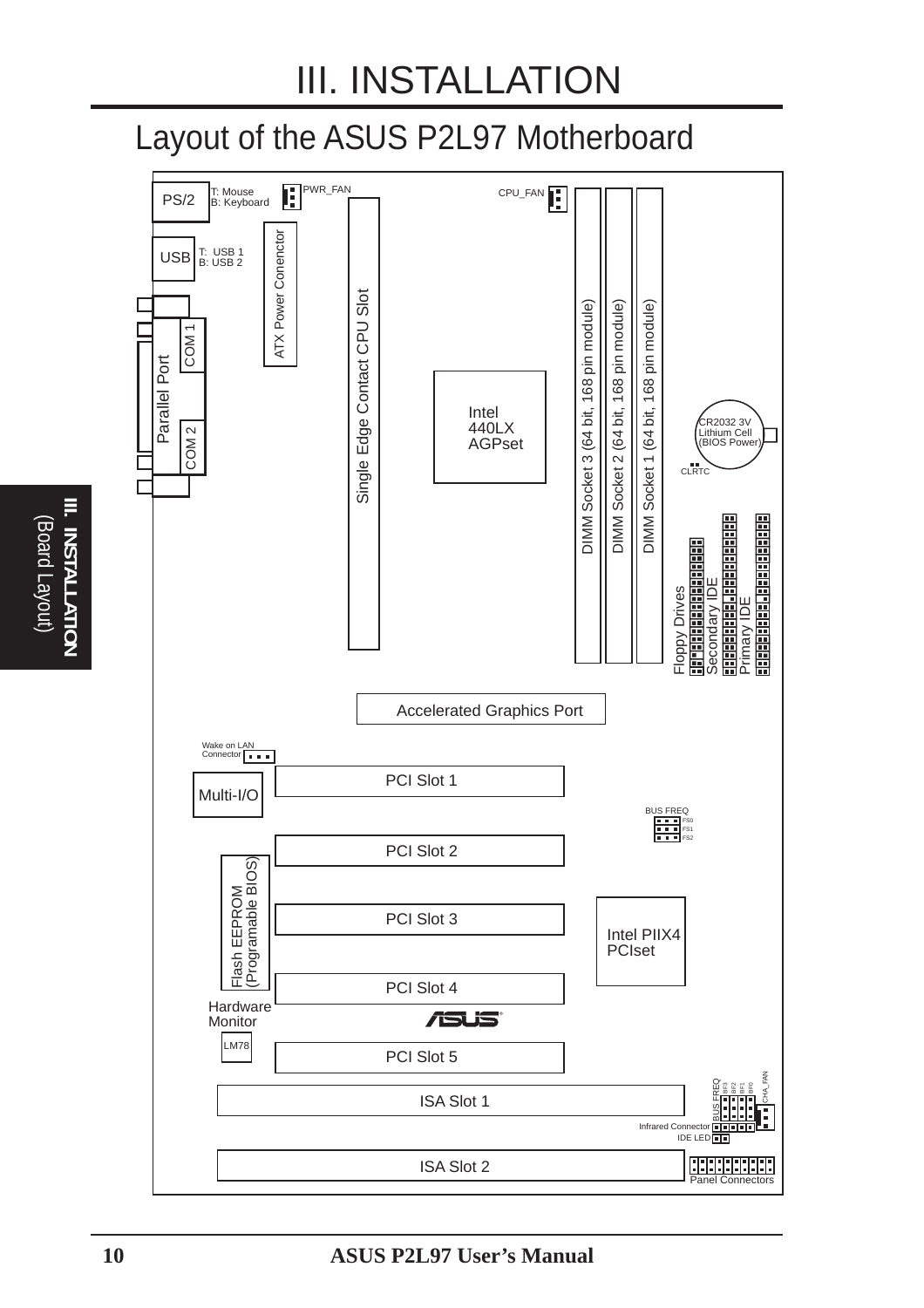# Layout of the ASUS P2L97 Motherboard



**III. INSTALLATION**III. INSTALLATION<br>(Board Layout) (Board Layout)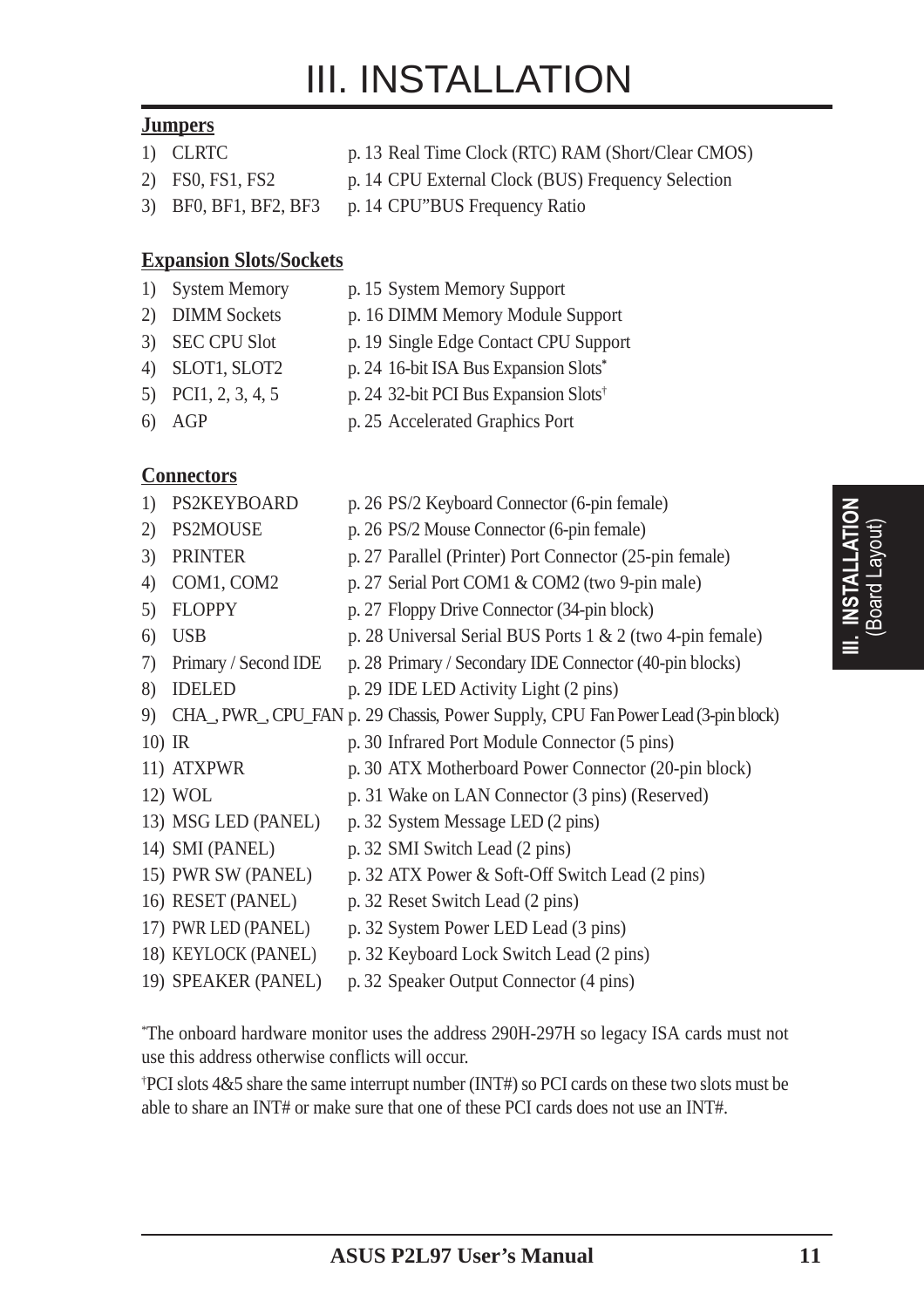#### **Jumpers**

- 1) CLRTC p. 13 Real Time Clock (RTC) RAM (Short/Clear CMOS)
- 2) FS0, FS1, FS2 p. 14 CPU External Clock (BUS) Frequency Selection
- 3) BF0, BF1, BF2, BF3 p. 14 CPU"BUS Frequency Ratio

#### **Expansion Slots/Sockets**

- 1) System Memory p. 15 System Memory Support 2) DIMM Sockets p. 16 DIMM Memory Module Support 3) SEC CPU Slot p. 19 Single Edge Contact CPU Support 4) SLOT1, SLOT2 p. 24 16-bit ISA Bus Expansion Slots**\*** 5) PCI1, 2, 3, 4, 5 p. 24 32-bit PCI Bus Expansion Slots<sup>†</sup>
- 
- 6) AGP p. 25 Accelerated Graphics Port

#### **Connectors**

1) PS2KEYBOARD p. 26 PS/2 Keyboard Connector (6-pin female) 2) PS2MOUSE p. 26 PS/2 Mouse Connector (6-pin female) 3) PRINTER p. 27 Parallel (Printer) Port Connector (25-pin female) 4) COM1, COM2 p. 27 Serial Port COM1 & COM2 (two 9-pin male) 5) FLOPPY p. 27 Floppy Drive Connector (34-pin block) 6) USB p. 28 Universal Serial BUS Ports 1 & 2 (two 4-pin female) 7) Primary / Second IDE p. 28 Primary / Secondary IDE Connector (40-pin blocks) 8) IDELED p. 29 IDE LED Activity Light (2 pins) 9) CHA\_, PWR\_, CPU\_FAN p. 29 Chassis, Power Supply, CPU Fan Power Lead (3-pin block) 10) IR p. 30 Infrared Port Module Connector (5 pins) 11) ATXPWR p. 30 ATX Motherboard Power Connector (20-pin block) 12) WOL p. 31 Wake on LAN Connector (3 pins) (Reserved) 13) MSG LED (PANEL) p. 32 System Message LED (2 pins) 14) SMI (PANEL) p. 32 SMI Switch Lead (2 pins) 15) PWR SW (PANEL) p. 32 ATX Power & Soft-Off Switch Lead (2 pins) 16) RESET (PANEL) p. 32 Reset Switch Lead (2 pins) 17) PWR LED (PANEL) p. 32 System Power LED Lead (3 pins) 18) KEYLOCK (PANEL) p. 32 Keyboard Lock Switch Lead (2 pins) 19) SPEAKER (PANEL) p. 32 Speaker Output Connector (4 pins)

\* The onboard hardware monitor uses the address 290H-297H so legacy ISA cards must not use this address otherwise conflicts will occur.

† PCI slots 4&5 share the same interrupt number (INT#) so PCI cards on these two slots must be able to share an INT# or make sure that one of these PCI cards does not use an INT#.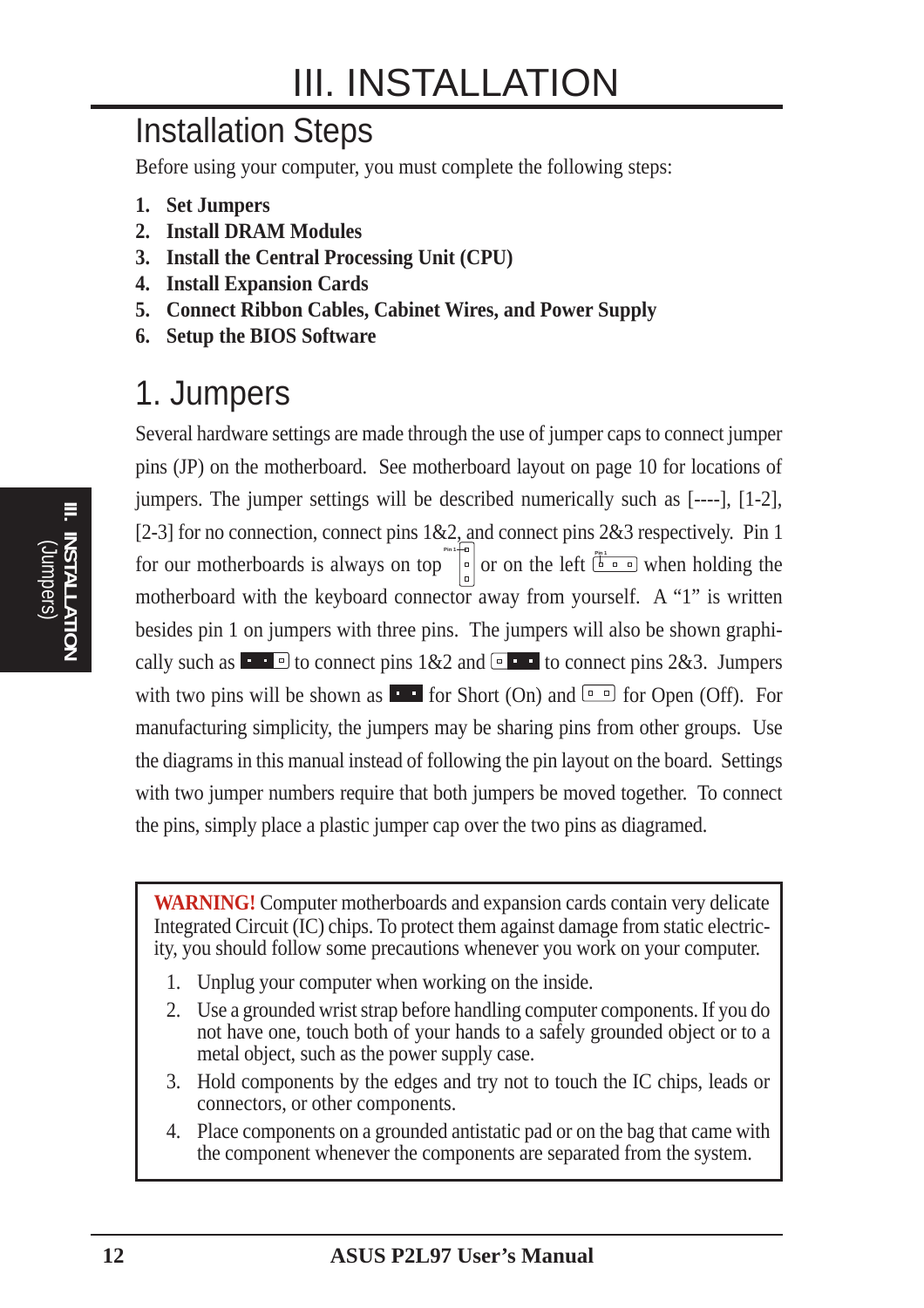## Installation Steps

Before using your computer, you must complete the following steps:

- **1. Set Jumpers**
- **2. Install DRAM Modules**
- **3. Install the Central Processing Unit (CPU)**
- **4. Install Expansion Cards**
- **5. Connect Ribbon Cables, Cabinet Wires, and Power Supply**
- **6. Setup the BIOS Software**

## 1. Jumpers

Several hardware settings are made through the use of jumper caps to connect jumper pins (JP) on the motherboard. See motherboard layout on page 10 for locations of jumpers. The jumper settings will be described numerically such as [----], [1-2], [2-3] for no connection, connect pins  $1\&2$ , and connect pins  $2\&3$  respectively. Pin 1 for our motherboards is always on top  $\int_{0}^{\frac{p_{0}+1}{n}}$  or on the left  $\frac{p_{0}+1}{n}$  when holding the motherboard with the keyboard connector away from yourself. A "1" is written besides pin 1 on jumpers with three pins. The jumpers will also be shown graphically such as  $\cdot \cdot \cdot$  to connect pins  $1\&2$  and  $\cdot \cdot \cdot$  to connect pins 2&3. Jumpers with two pins will be shown as **For** Short (On) and **For** Short Open (Off). For manufacturing simplicity, the jumpers may be sharing pins from other groups. Use the diagrams in this manual instead of following the pin layout on the board. Settings with two jumper numbers require that both jumpers be moved together. To connect the pins, simply place a plastic jumper cap over the two pins as diagramed.

**WARNING!** Computer motherboards and expansion cards contain very delicate Integrated Circuit (IC) chips. To protect them against damage from static electricity, you should follow some precautions whenever you work on your computer.

- 1. Unplug your computer when working on the inside.
- 2. Use a grounded wrist strap before handling computer components. If you do not have one, touch both of your hands to a safely grounded object or to a metal object, such as the power supply case.
- 3. Hold components by the edges and try not to touch the IC chips, leads or connectors, or other components.
- 4. Place components on a grounded antistatic pad or on the bag that came with the component whenever the components are separated from the system.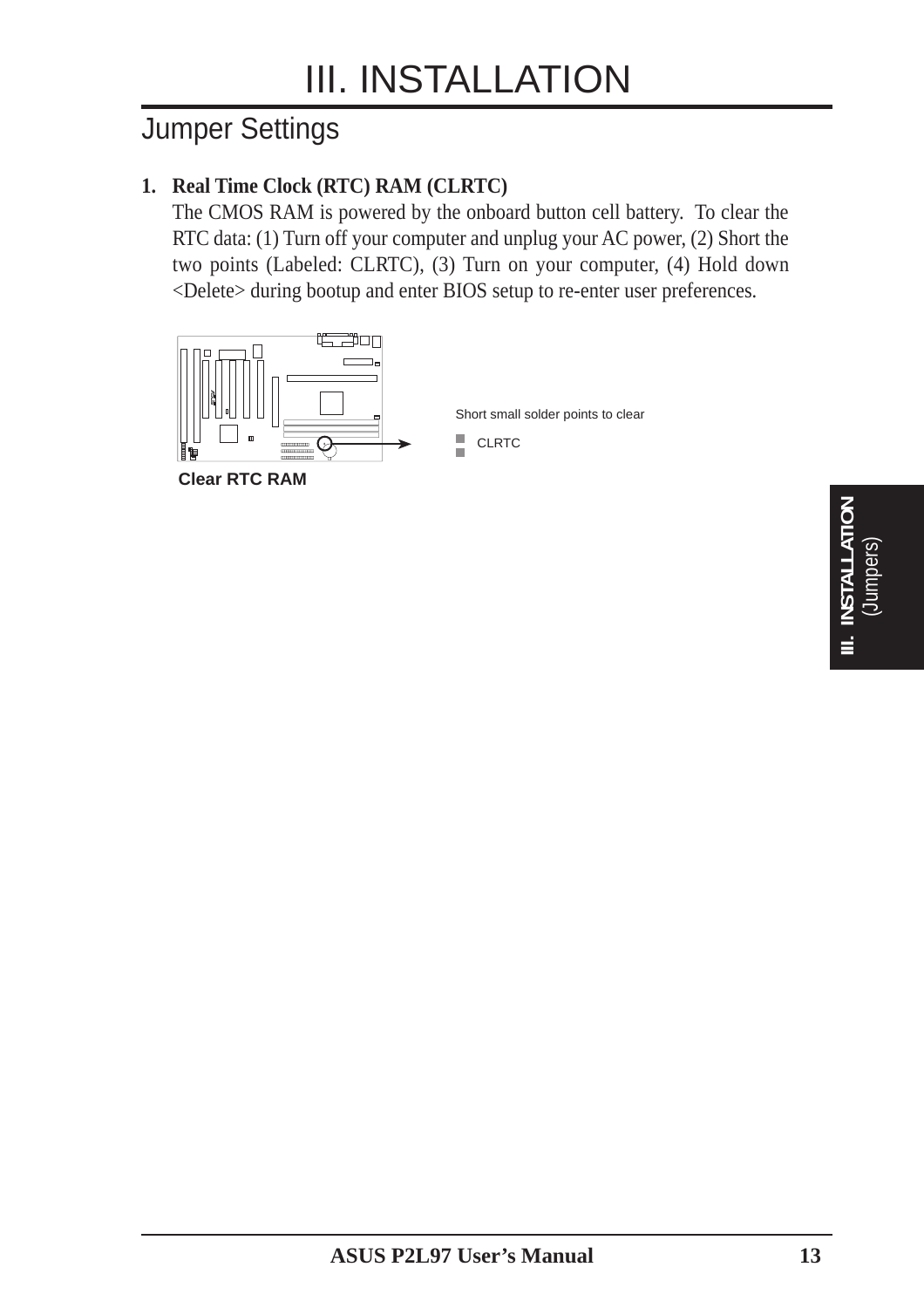## Jumper Settings

#### **1. Real Time Clock (RTC) RAM (CLRTC)**

The CMOS RAM is powered by the onboard button cell battery. To clear the RTC data: (1) Turn off your computer and unplug your AC power, (2) Short the two points (Labeled: CLRTC), (3) Turn on your computer, (4) Hold down <Delete> during bootup and enter BIOS setup to re-enter user preferences.

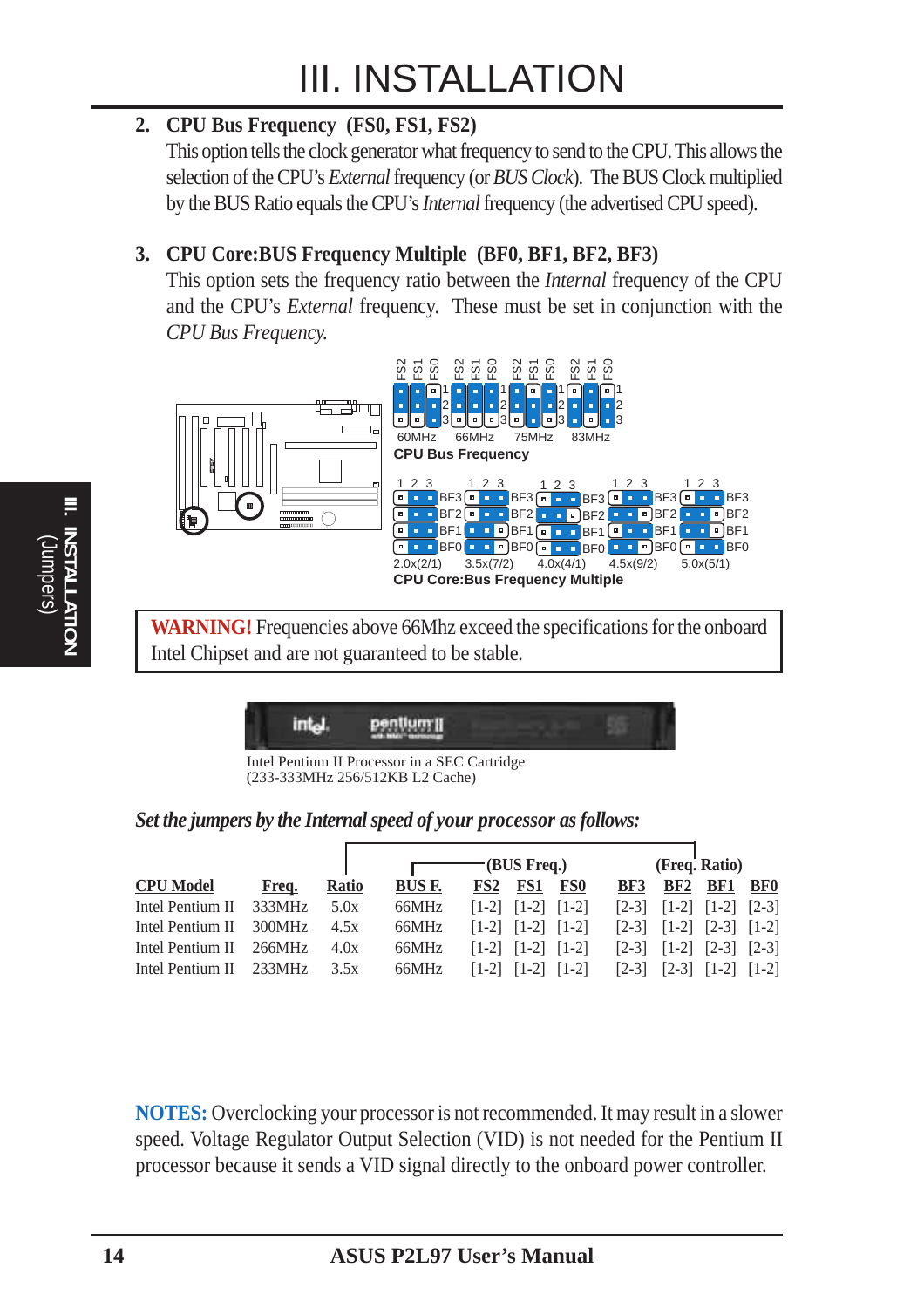#### **2. CPU Bus Frequency (FS0, FS1, FS2)**

This option tells the clock generator what frequency to send to the CPU. This allows the selection of the CPU's *External* frequency (or *BUS Clock*). The BUS Clock multiplied by the BUS Ratio equals the CPU's *Internal* frequency (the advertised CPU speed).

### **3. CPU Core:BUS Frequency Multiple (BF0, BF1, BF2, BF3)**

This option sets the frequency ratio between the *Internal* frequency of the CPU and the CPU's *External* frequency. These must be set in conjunction with the *CPU Bus Frequency.*



**WARNING!** Frequencies above 66Mhz exceed the specifications for the onboard Intel Chipset and are not guaranteed to be stable.

#### int<sub>el</sub> pentlum ||

Intel Pentium II Processor in a SEC Cartridge (233-333MHz 256/512KB L2 Cache)

#### *Set the jumpers by the Internal speed of your processor as follows:*

|                         |        |              |        | $-$ (BUS Freq.)                                             |            |     | (Freq. Ratio)                                                                                                                            |            |
|-------------------------|--------|--------------|--------|-------------------------------------------------------------|------------|-----|------------------------------------------------------------------------------------------------------------------------------------------|------------|
| <b>CPU Model</b>        | Freq.  | <b>Ratio</b> | BUS F. | FS2 FS1                                                     | FS0<br>BF3 | BF2 | BF1                                                                                                                                      | <b>BF0</b> |
| Intel Pentium II        | 333MHz | 5.0x         | 66MHz  | $\lceil 1-2 \rceil$ $\lceil 1-2 \rceil$ $\lceil 1-2 \rceil$ |            |     | $\begin{bmatrix} 2-3 \\ 1-2 \\ 1 \end{bmatrix}$ $\begin{bmatrix} 1-2 \\ 1-2 \\ 1 \end{bmatrix}$ $\begin{bmatrix} 2-3 \\ 1 \end{bmatrix}$ |            |
| Intel Pentium II        | 300MHz | 4.5x         | 66MHz  | $\lceil 1-2 \rceil$ $\lceil 1-2 \rceil$ $\lceil 1-2 \rceil$ |            |     | $\begin{bmatrix} 2-3 \\ 1-2 \\ 2-3 \\ 1 \end{bmatrix}$ $\begin{bmatrix} 1-2 \\ 1 \end{bmatrix}$                                          |            |
| Intel Pentium II        | 266MHz | 4.0x         | 66MHz  | $\lceil 1-2 \rceil$ $\lceil 1-2 \rceil$ $\lceil 1-2 \rceil$ |            |     | $\begin{bmatrix} 2-3 \\ 1-2 \\ 2-3 \\ 1 \end{bmatrix}$ $\begin{bmatrix} 2-3 \\ 2-3 \\ 1 \end{bmatrix}$                                   |            |
| Intel Pentium II 233MHz |        | 3.5x         | 66MHz  | $\lceil 1-2 \rceil$ $\lceil 1-2 \rceil$ $\lceil 1-2 \rceil$ |            |     | $\begin{bmatrix} 2-3 \\ 1-2 \\ 1 \end{bmatrix}$ $\begin{bmatrix} 1-2 \\ 1-2 \\ 1 \end{bmatrix}$                                          |            |

**NOTES:** Overclocking your processor is not recommended. It may result in a slower speed. Voltage Regulator Output Selection (VID) is not needed for the Pentium II processor because it sends a VID signal directly to the onboard power controller.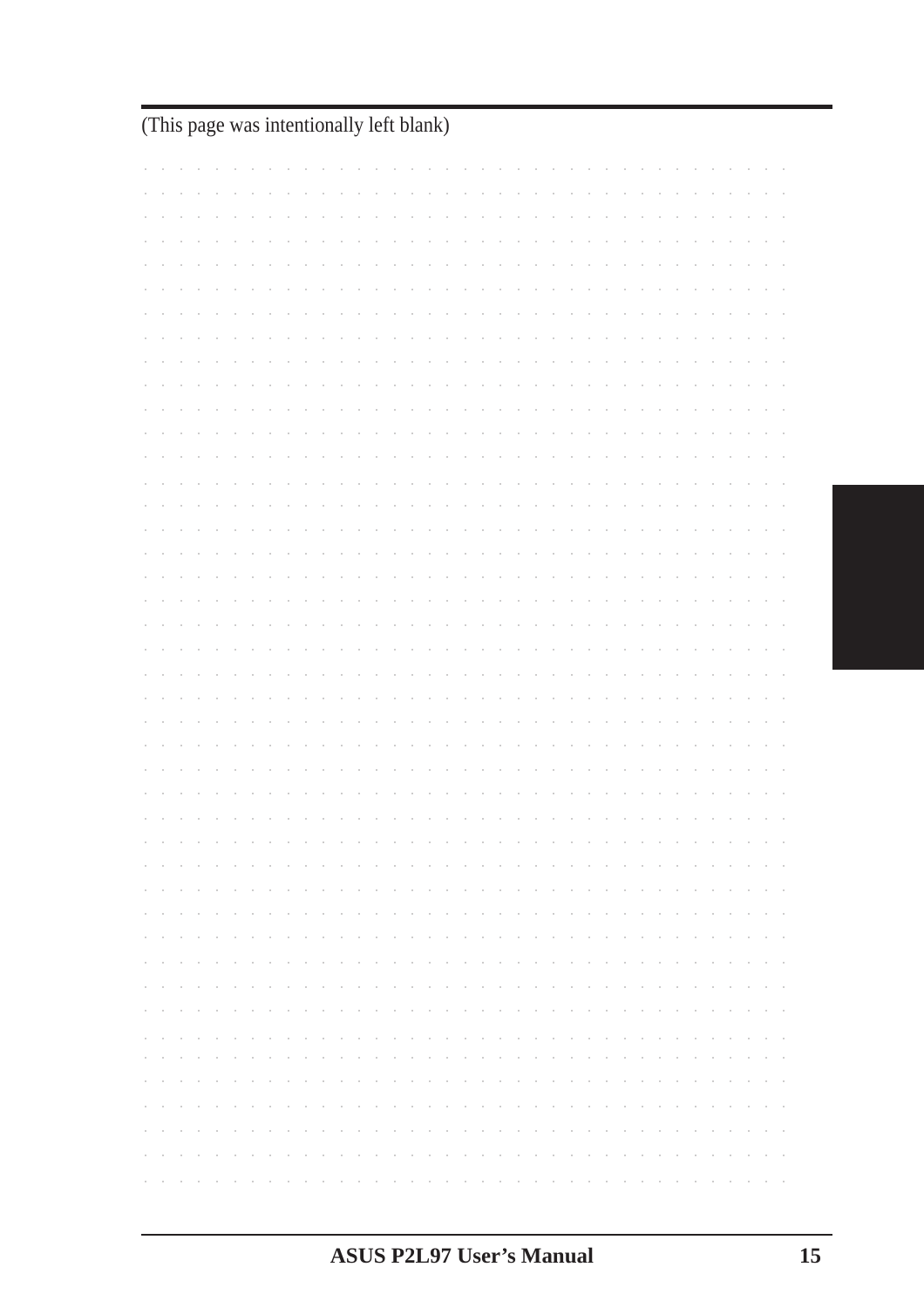### (This page was intentionally left blank)

|  |  |  |  | and a complete the complete state of the complete state of the complete state of the complete state of the comp                                                                                                                |  |  |  |  |  |  |  |  |  |  |  |  |  |  |
|--|--|--|--|--------------------------------------------------------------------------------------------------------------------------------------------------------------------------------------------------------------------------------|--|--|--|--|--|--|--|--|--|--|--|--|--|--|
|  |  |  |  | and the company of the company of the company of the company of the company of the company of the company of the                                                                                                               |  |  |  |  |  |  |  |  |  |  |  |  |  |  |
|  |  |  |  | and a company of the company of the company of the company of the company of the company of the company of the                                                                                                                 |  |  |  |  |  |  |  |  |  |  |  |  |  |  |
|  |  |  |  | المناقل فالقارف القارف القارف القارف القارف والقارف والقارف والقارف والقارف والقارف والقارف والقارف والقارف والقارف                                                                                                            |  |  |  |  |  |  |  |  |  |  |  |  |  |  |
|  |  |  |  |                                                                                                                                                                                                                                |  |  |  |  |  |  |  |  |  |  |  |  |  |  |
|  |  |  |  | and a complete the complete of the complete complete the complete of the complete of the complete of the complete of the complete of the complete of the complete of the complete of the complete of the complete of the compl |  |  |  |  |  |  |  |  |  |  |  |  |  |  |
|  |  |  |  | and a companies of the companies of the companies of the companies of the companies of the companies of the companies                                                                                                          |  |  |  |  |  |  |  |  |  |  |  |  |  |  |
|  |  |  |  | and a company of the company of the company of the company of the company of the company of the company of the                                                                                                                 |  |  |  |  |  |  |  |  |  |  |  |  |  |  |
|  |  |  |  | المناطر والمناطر والمناطر والمناطر والمناطر والمناطر والمناطر والمناطر والمناطر والمناطر والمناطر والمناطر والمناطر                                                                                                            |  |  |  |  |  |  |  |  |  |  |  |  |  |  |
|  |  |  |  | and a complete the complete of the complete complete the complete of the complete the complete of the complete                                                                                                                 |  |  |  |  |  |  |  |  |  |  |  |  |  |  |
|  |  |  |  | and a construction of the construction of the construction of the construction of the construction of the const                                                                                                                |  |  |  |  |  |  |  |  |  |  |  |  |  |  |
|  |  |  |  | and the company of the company of the company of the company of the company of the company of the company of the                                                                                                               |  |  |  |  |  |  |  |  |  |  |  |  |  |  |
|  |  |  |  | and a complete the complete state of the complete state of the complete state of the complete state of the complete                                                                                                            |  |  |  |  |  |  |  |  |  |  |  |  |  |  |
|  |  |  |  | المناقل فالقارض والمنافر فالقارف والمنافر فالقارف والمنافر فالقارف فالقارف والمنافر فالقارف والمنافر فالقارف والمنافر                                                                                                          |  |  |  |  |  |  |  |  |  |  |  |  |  |  |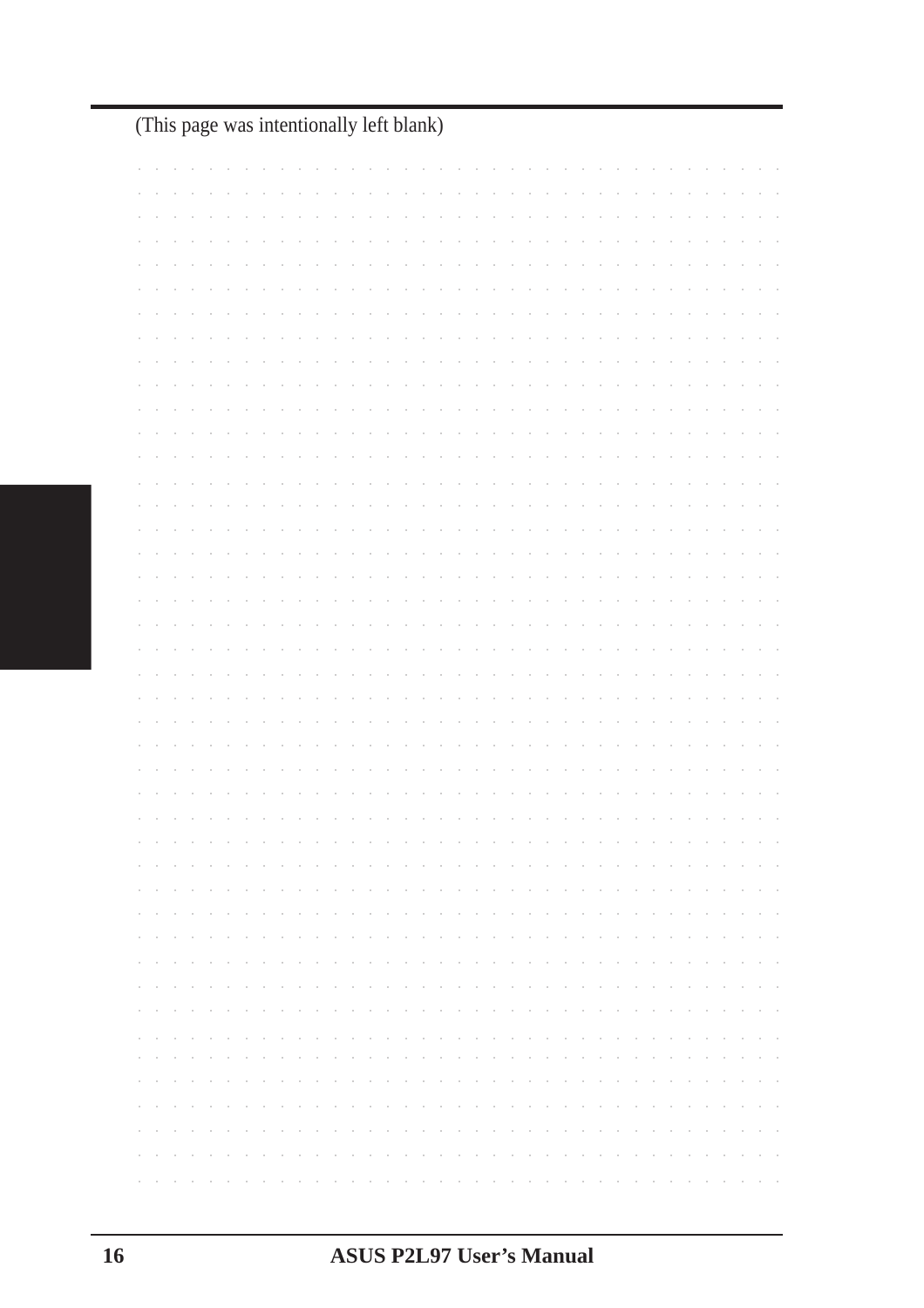### (This page was intentionally left blank)

|                                                                                                                                                                                                                                          |                                                                                                                   |  |  |  |  |  |  | the contract of the contract of the contract of the contract of the contract of the contract of the contract of the contract of the contract of the contract of the contract of the contract of the contract of the contract o |  |  |  |  |  |  |  |  |  |  |
|------------------------------------------------------------------------------------------------------------------------------------------------------------------------------------------------------------------------------------------|-------------------------------------------------------------------------------------------------------------------|--|--|--|--|--|--|--------------------------------------------------------------------------------------------------------------------------------------------------------------------------------------------------------------------------------|--|--|--|--|--|--|--|--|--|--|
|                                                                                                                                                                                                                                          |                                                                                                                   |  |  |  |  |  |  |                                                                                                                                                                                                                                |  |  |  |  |  |  |  |  |  |  |
|                                                                                                                                                                                                                                          |                                                                                                                   |  |  |  |  |  |  |                                                                                                                                                                                                                                |  |  |  |  |  |  |  |  |  |  |
|                                                                                                                                                                                                                                          |                                                                                                                   |  |  |  |  |  |  |                                                                                                                                                                                                                                |  |  |  |  |  |  |  |  |  |  |
|                                                                                                                                                                                                                                          |                                                                                                                   |  |  |  |  |  |  |                                                                                                                                                                                                                                |  |  |  |  |  |  |  |  |  |  |
|                                                                                                                                                                                                                                          |                                                                                                                   |  |  |  |  |  |  |                                                                                                                                                                                                                                |  |  |  |  |  |  |  |  |  |  |
|                                                                                                                                                                                                                                          |                                                                                                                   |  |  |  |  |  |  |                                                                                                                                                                                                                                |  |  |  |  |  |  |  |  |  |  |
|                                                                                                                                                                                                                                          |                                                                                                                   |  |  |  |  |  |  |                                                                                                                                                                                                                                |  |  |  |  |  |  |  |  |  |  |
|                                                                                                                                                                                                                                          |                                                                                                                   |  |  |  |  |  |  |                                                                                                                                                                                                                                |  |  |  |  |  |  |  |  |  |  |
|                                                                                                                                                                                                                                          |                                                                                                                   |  |  |  |  |  |  |                                                                                                                                                                                                                                |  |  |  |  |  |  |  |  |  |  |
|                                                                                                                                                                                                                                          |                                                                                                                   |  |  |  |  |  |  |                                                                                                                                                                                                                                |  |  |  |  |  |  |  |  |  |  |
|                                                                                                                                                                                                                                          |                                                                                                                   |  |  |  |  |  |  |                                                                                                                                                                                                                                |  |  |  |  |  |  |  |  |  |  |
|                                                                                                                                                                                                                                          |                                                                                                                   |  |  |  |  |  |  |                                                                                                                                                                                                                                |  |  |  |  |  |  |  |  |  |  |
|                                                                                                                                                                                                                                          |                                                                                                                   |  |  |  |  |  |  |                                                                                                                                                                                                                                |  |  |  |  |  |  |  |  |  |  |
|                                                                                                                                                                                                                                          |                                                                                                                   |  |  |  |  |  |  |                                                                                                                                                                                                                                |  |  |  |  |  |  |  |  |  |  |
|                                                                                                                                                                                                                                          |                                                                                                                   |  |  |  |  |  |  |                                                                                                                                                                                                                                |  |  |  |  |  |  |  |  |  |  |
|                                                                                                                                                                                                                                          |                                                                                                                   |  |  |  |  |  |  |                                                                                                                                                                                                                                |  |  |  |  |  |  |  |  |  |  |
| a constitution of the constitution of the constitution of the constitution of the constitution of the constitution                                                                                                                       |                                                                                                                   |  |  |  |  |  |  |                                                                                                                                                                                                                                |  |  |  |  |  |  |  |  |  |  |
| a constitution of the constitution of the constitution of the constitution of the constitution of the constitution<br>a constitution of the constitution of the constitution of the constitution of the constitution of the constitution |                                                                                                                   |  |  |  |  |  |  |                                                                                                                                                                                                                                |  |  |  |  |  |  |  |  |  |  |
| a constitution of the constitution of the constitution of the constitution of the constitution of the constitution                                                                                                                       |                                                                                                                   |  |  |  |  |  |  |                                                                                                                                                                                                                                |  |  |  |  |  |  |  |  |  |  |
|                                                                                                                                                                                                                                          |                                                                                                                   |  |  |  |  |  |  |                                                                                                                                                                                                                                |  |  |  |  |  |  |  |  |  |  |
| a constitution of the constitution of the constitution of the constitution of the constitution of the constitution                                                                                                                       |                                                                                                                   |  |  |  |  |  |  |                                                                                                                                                                                                                                |  |  |  |  |  |  |  |  |  |  |
| a constitution of the constitution of the constitution of the constitution of the constitution of the constitution                                                                                                                       |                                                                                                                   |  |  |  |  |  |  |                                                                                                                                                                                                                                |  |  |  |  |  |  |  |  |  |  |
| a constitution of the constitution of the constitution of the constitution of the constitution of the constitution                                                                                                                       |                                                                                                                   |  |  |  |  |  |  |                                                                                                                                                                                                                                |  |  |  |  |  |  |  |  |  |  |
| a constitución de la carra de la carra de la carra de la carra de la carra de la carra de la carra de la carra                                                                                                                           |                                                                                                                   |  |  |  |  |  |  |                                                                                                                                                                                                                                |  |  |  |  |  |  |  |  |  |  |
|                                                                                                                                                                                                                                          | المناقب والمناقب والمناقب والقارف المناقب والمناقب والمناقب والمناقب والمناقب والمناقب والمناقب والمناقب والمناقب |  |  |  |  |  |  |                                                                                                                                                                                                                                |  |  |  |  |  |  |  |  |  |  |
| a constitution of the constitution of the constitution of the constitution of the constitution of the constitution                                                                                                                       |                                                                                                                   |  |  |  |  |  |  |                                                                                                                                                                                                                                |  |  |  |  |  |  |  |  |  |  |
| المواطن والمستقيل والمستقيل والمستقيلة المستقيلة القارمين والقارم الحارم القارمين والقارمين والقارمين والقارمين                                                                                                                          |                                                                                                                   |  |  |  |  |  |  |                                                                                                                                                                                                                                |  |  |  |  |  |  |  |  |  |  |
| a constitution of the constitution of the constitution of the constitution of the constitution of the constitution                                                                                                                       |                                                                                                                   |  |  |  |  |  |  |                                                                                                                                                                                                                                |  |  |  |  |  |  |  |  |  |  |
| a constitution of the constitution of the constitution of the constitution of the constitution of the constitution                                                                                                                       |                                                                                                                   |  |  |  |  |  |  |                                                                                                                                                                                                                                |  |  |  |  |  |  |  |  |  |  |
| المناجر والقارون والمناجر والقارون والمناجر والقراول والقراول والقراول والقراول والقراول والقراول والقراول والقراو                                                                                                                       |                                                                                                                   |  |  |  |  |  |  |                                                                                                                                                                                                                                |  |  |  |  |  |  |  |  |  |  |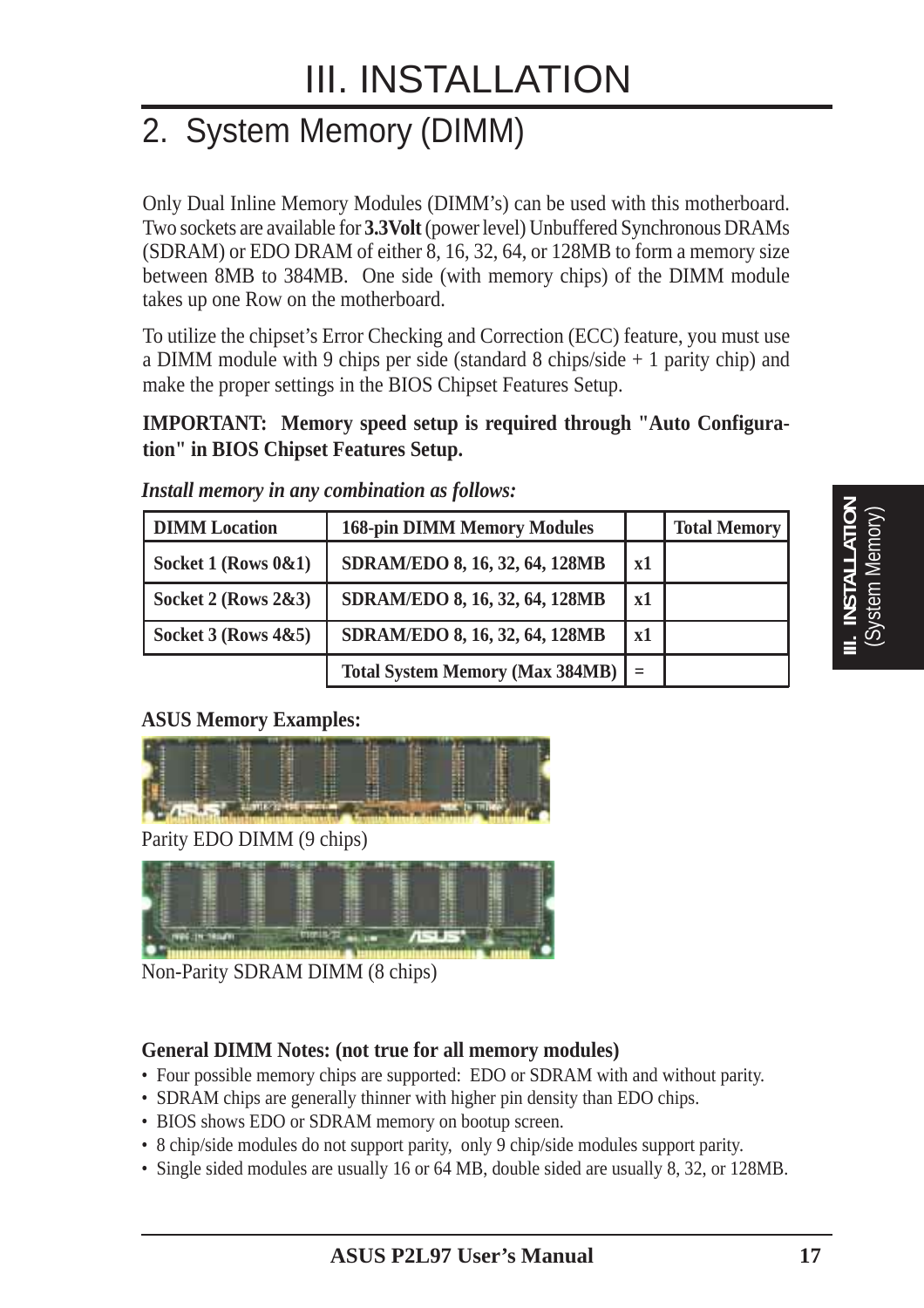# 2. System Memory (DIMM)

Only Dual Inline Memory Modules (DIMM's) can be used with this motherboard. Two sockets are available for **3.3Volt** (power level) Unbuffered Synchronous DRAMs (SDRAM) or EDO DRAM of either 8, 16, 32, 64, or 128MB to form a memory size between 8MB to 384MB. One side (with memory chips) of the DIMM module takes up one Row on the motherboard.

To utilize the chipset's Error Checking and Correction (ECC) feature, you must use a DIMM module with 9 chips per side (standard 8 chips/side + 1 parity chip) and make the proper settings in the BIOS Chipset Features Setup.

**IMPORTANT: Memory speed setup is required through "Auto Configuration" in BIOS Chipset Features Setup.**

| <b>DIMM</b> Location    | <b>168-pin DIMM Memory Modules</b>     |    | <b>Total Memory</b> |
|-------------------------|----------------------------------------|----|---------------------|
| Socket 1 (Rows $0&0$ )  | SDRAM/EDO 8, 16, 32, 64, 128MB         | x1 |                     |
| Socket 2 (Rows $2\&3$ ) | SDRAM/EDO 8, 16, 32, 64, 128MB         | x1 |                     |
| Socket 3 (Rows $4&5$ )  | SDRAM/EDO 8, 16, 32, 64, 128MB         | x1 |                     |
|                         | <b>Total System Memory (Max 384MB)</b> |    |                     |

*Install memory in any combination as follows:*

#### **ASUS Memory Examples:**





Non-Parity SDRAM DIMM (8 chips)

#### **General DIMM Notes: (not true for all memory modules)**

- Four possible memory chips are supported: EDO or SDRAM with and without parity.
- SDRAM chips are generally thinner with higher pin density than EDO chips.
- BIOS shows EDO or SDRAM memory on bootup screen.
- 8 chip/side modules do not support parity, only 9 chip/side modules support parity.
- Single sided modules are usually 16 or 64 MB, double sided are usually 8, 32, or 128MB.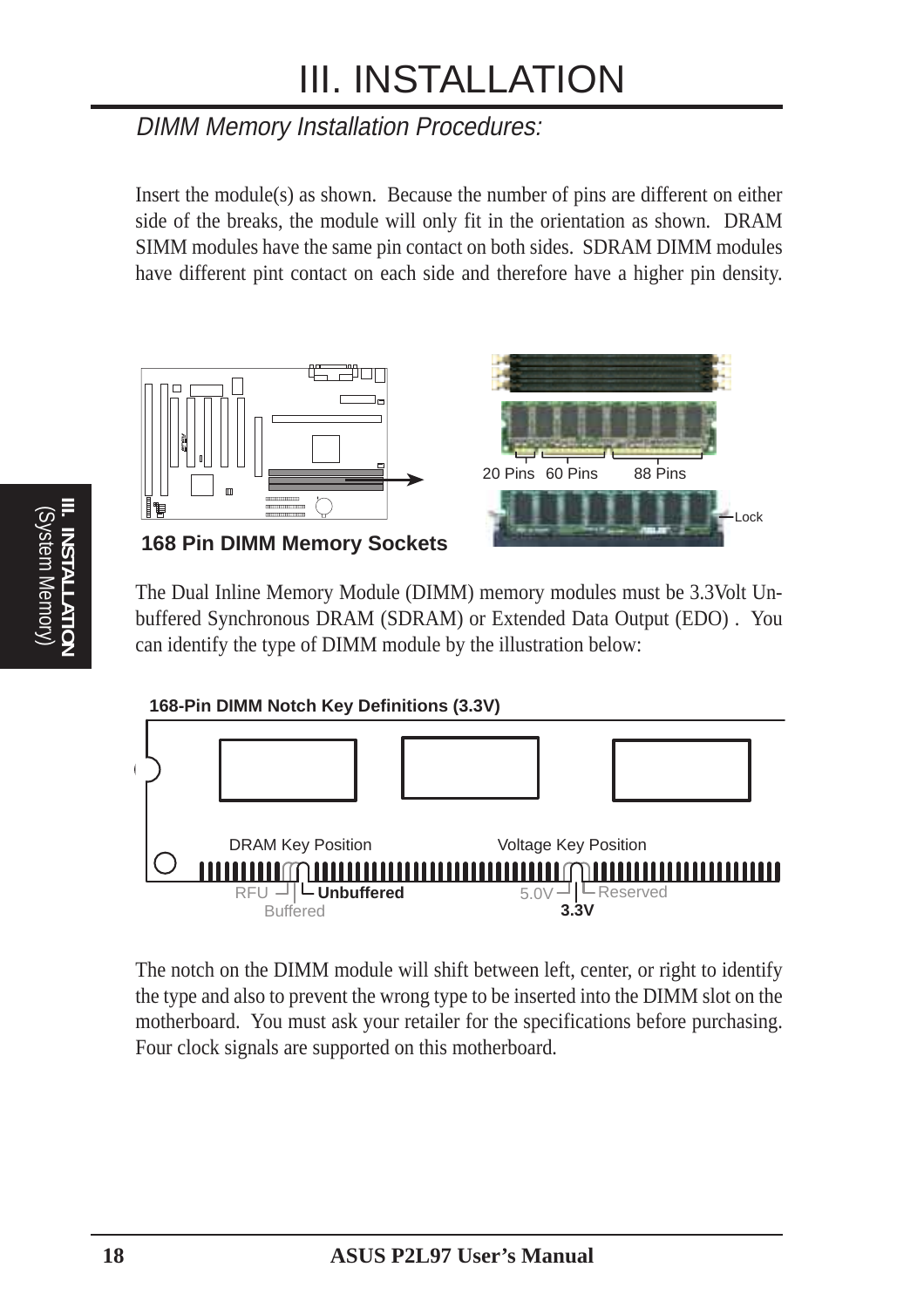### DIMM Memory Installation Procedures:

Insert the module(s) as shown. Because the number of pins are different on either side of the breaks, the module will only fit in the orientation as shown. DRAM SIMM modules have the same pin contact on both sides. SDRAM DIMM modules have different pint contact on each side and therefore have a higher pin density.



**168 Pin DIMM Memory Sockets**

The Dual Inline Memory Module (DIMM) memory modules must be 3.3Volt Unbuffered Synchronous DRAM (SDRAM) or Extended Data Output (EDO) . You can identify the type of DIMM module by the illustration below:



The notch on the DIMM module will shift between left, center, or right to identify the type and also to prevent the wrong type to be inserted into the DIMM slot on the motherboard. You must ask your retailer for the specifications before purchasing. Four clock signals are supported on this motherboard.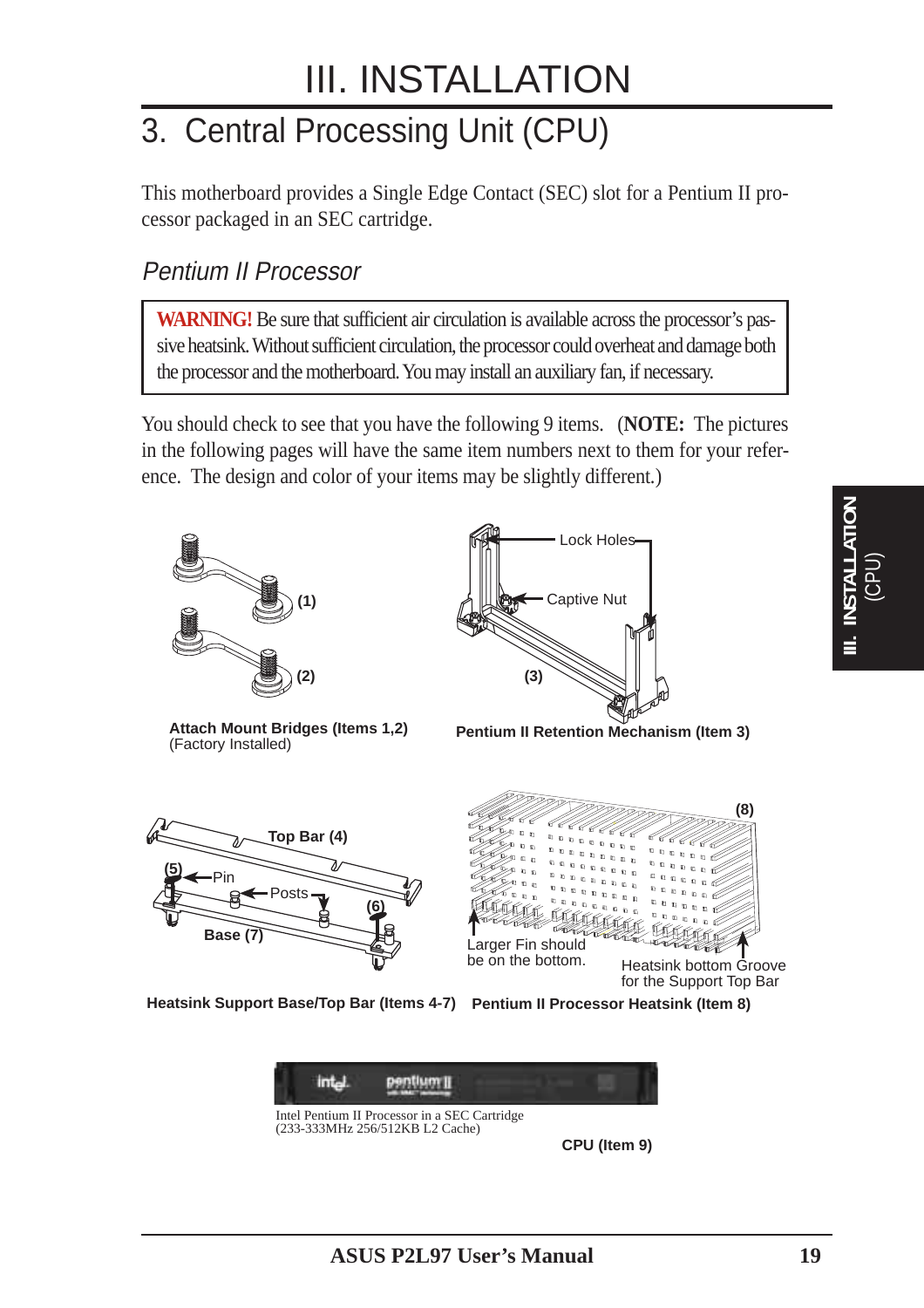# 3. Central Processing Unit (CPU)

This motherboard provides a Single Edge Contact (SEC) slot for a Pentium II processor packaged in an SEC cartridge.

### Pentium II Processor

**WARNING!** Be sure that sufficient air circulation is available across the processor's passive heatsink. Without sufficient circulation, the processor could overheat and damage both the processor and the motherboard. You may install an auxiliary fan, if necessary.

You should check to see that you have the following 9 items. (**NOTE:** The pictures in the following pages will have the same item numbers next to them for your reference. The design and color of your items may be slightly different.)





**Attach Mount Bridges (Items 1,2)** (Factory Installed)

**Pentium II Retention Mechanism (Item 3)**





**Heatsink Support Base/Top Bar (Items 4-7)** Pentium II Processor Heatsink (Item 8)



**CPU (Item 9)**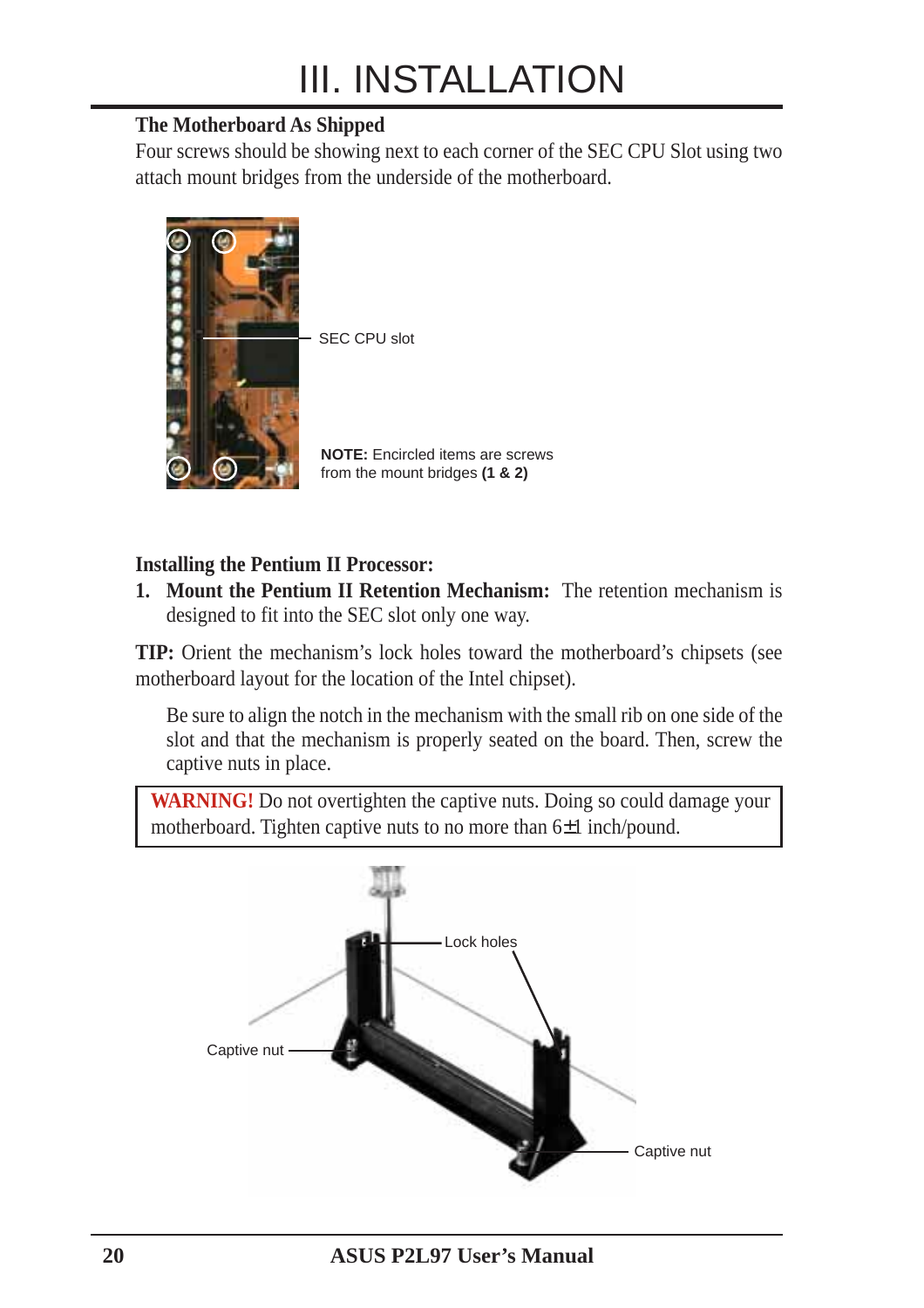#### **The Motherboard As Shipped**

Four screws should be showing next to each corner of the SEC CPU Slot using two attach mount bridges from the underside of the motherboard.



SEC CPU slot

**NOTE:** Encircled items are screws from the mount bridges **(1 & 2)**

#### **Installing the Pentium II Processor:**

**1. Mount the Pentium II Retention Mechanism:** The retention mechanism is designed to fit into the SEC slot only one way.

**TIP:** Orient the mechanism's lock holes toward the motherboard's chipsets (see motherboard layout for the location of the Intel chipset).

Be sure to align the notch in the mechanism with the small rib on one side of the slot and that the mechanism is properly seated on the board. Then, screw the captive nuts in place.

**WARNING!** Do not overtighten the captive nuts. Doing so could damage your motherboard. Tighten captive nuts to no more than 6±1 inch/pound.

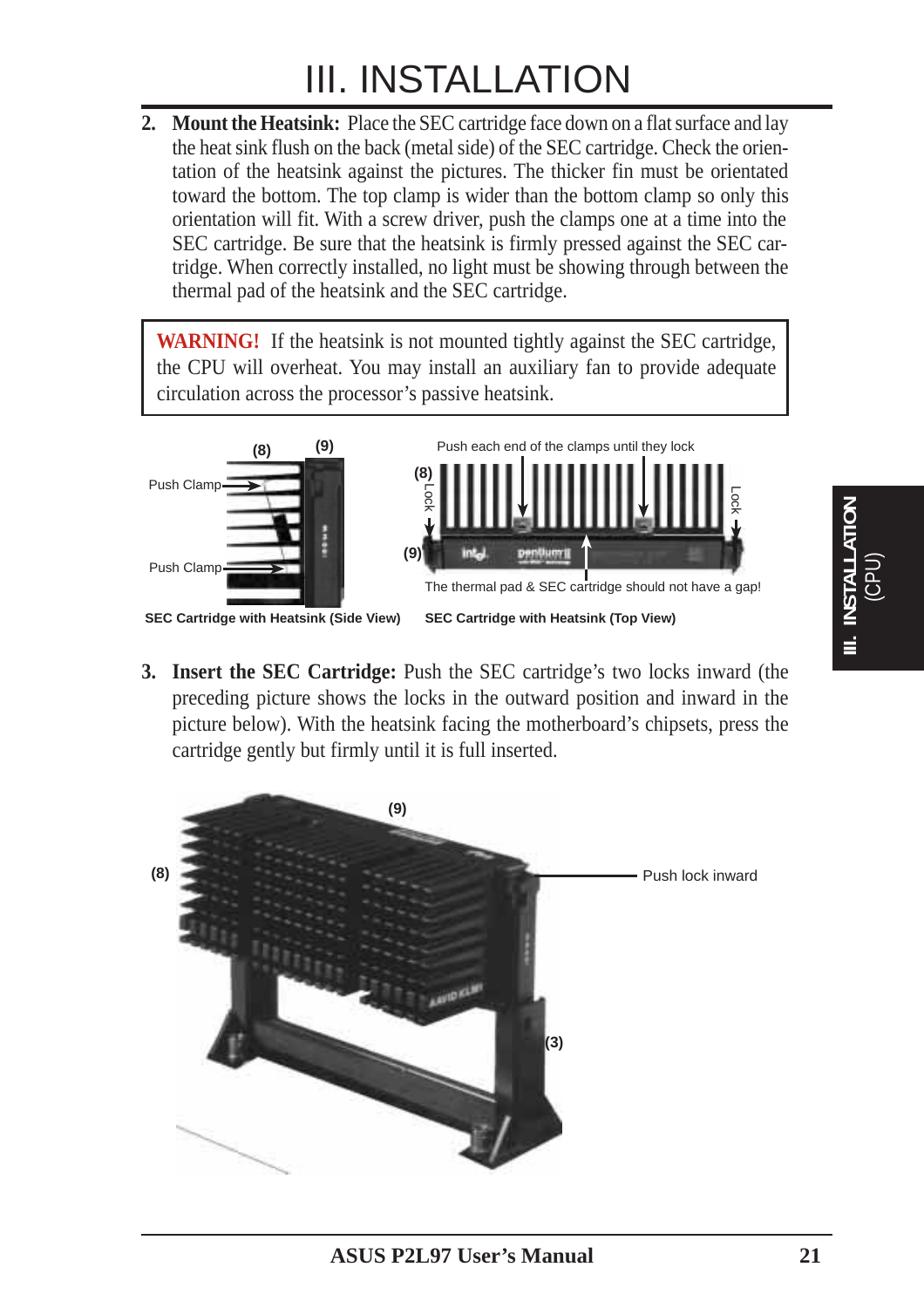**2. Mount the Heatsink:** Place the SEC cartridge face down on a flat surface and lay the heat sink flush on the back (metal side) of the SEC cartridge. Check the orientation of the heatsink against the pictures. The thicker fin must be orientated toward the bottom. The top clamp is wider than the bottom clamp so only this orientation will fit. With a screw driver, push the clamps one at a time into the SEC cartridge. Be sure that the heatsink is firmly pressed against the SEC cartridge. When correctly installed, no light must be showing through between the thermal pad of the heatsink and the SEC cartridge.

**WARNING!** If the heatsink is not mounted tightly against the SEC cartridge, the CPU will overheat. You may install an auxiliary fan to provide adequate circulation across the processor's passive heatsink.



**3. Insert the SEC Cartridge:** Push the SEC cartridge's two locks inward (the preceding picture shows the locks in the outward position and inward in the picture below). With the heatsink facing the motherboard's chipsets, press the cartridge gently but firmly until it is full inserted.



I. INSTALLATION<br>(CPU) **III. INSTALLATION**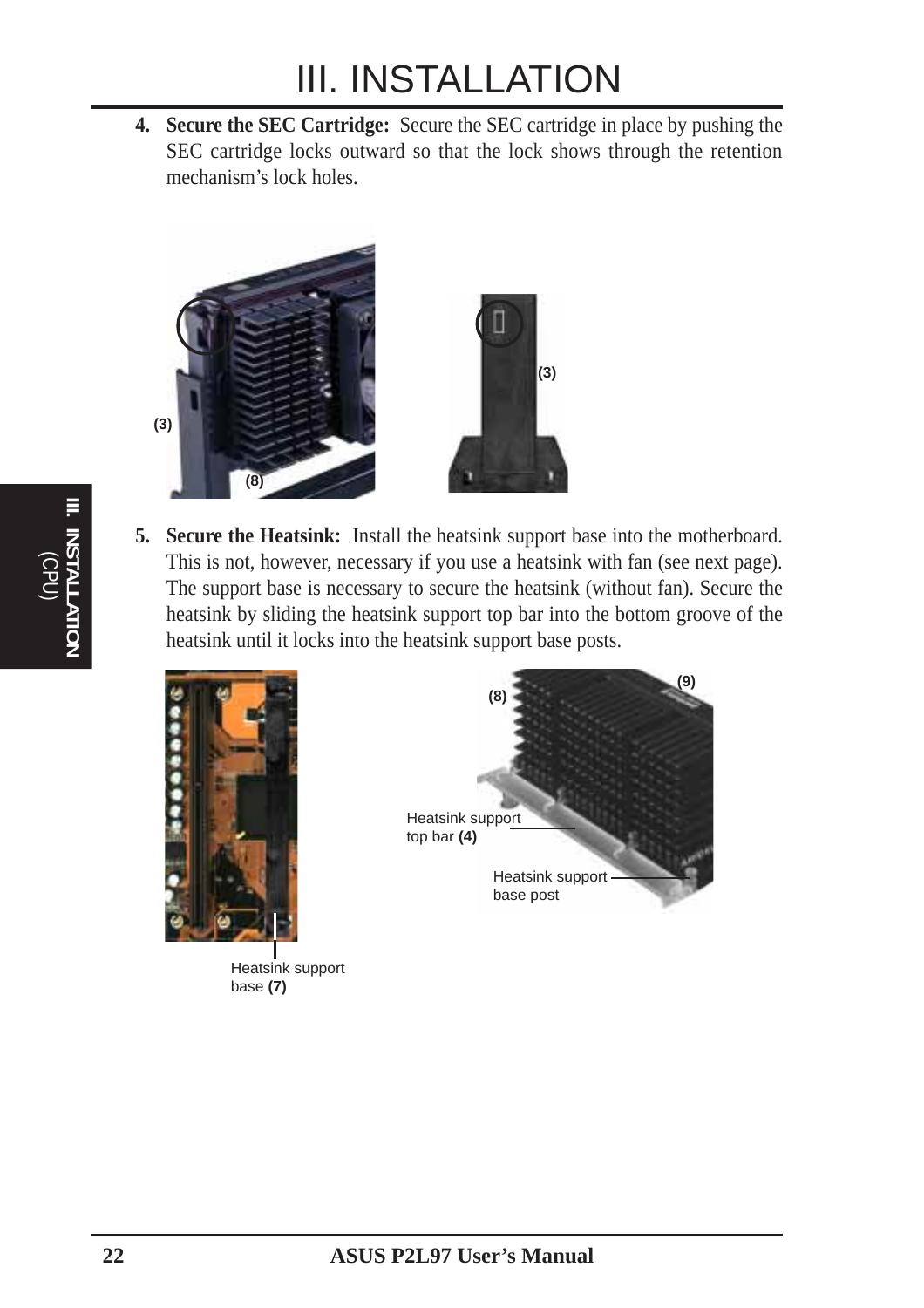**4. Secure the SEC Cartridge:** Secure the SEC cartridge in place by pushing the SEC cartridge locks outward so that the lock shows through the retention mechanism's lock holes.



**5. Secure the Heatsink:** Install the heatsink support base into the motherboard. This is not, however, necessary if you use a heatsink with fan (see next page). The support base is necessary to secure the heatsink (without fan). Secure the heatsink by sliding the heatsink support top bar into the bottom groove of the heatsink until it locks into the heatsink support base posts.



Heatsink support base **(7)**

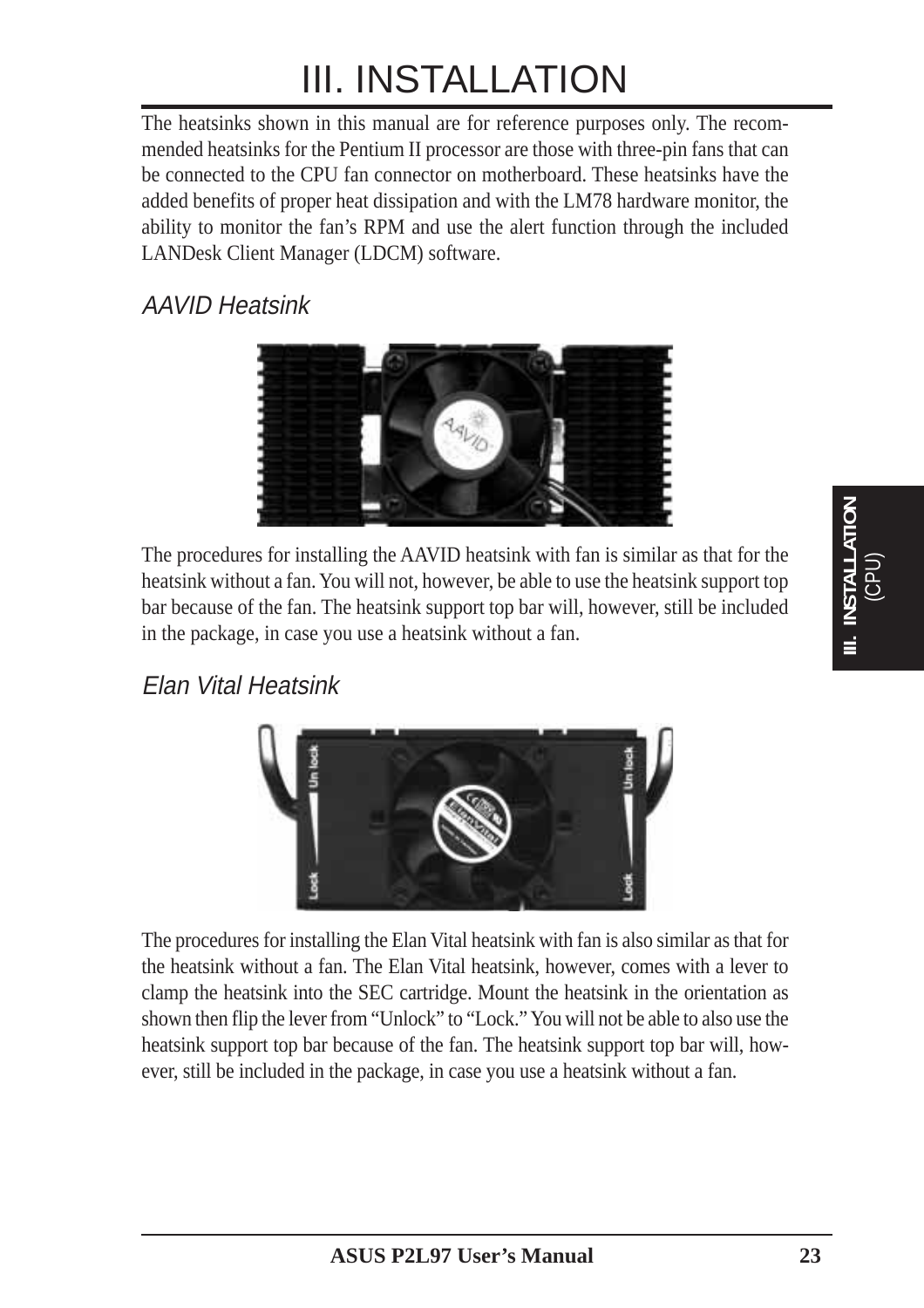The heatsinks shown in this manual are for reference purposes only. The recommended heatsinks for the Pentium II processor are those with three-pin fans that can be connected to the CPU fan connector on motherboard. These heatsinks have the added benefits of proper heat dissipation and with the LM78 hardware monitor, the ability to monitor the fan's RPM and use the alert function through the included LANDesk Client Manager (LDCM) software.

### AAVID Heatsink



The procedures for installing the AAVID heatsink with fan is similar as that for the heatsink without a fan. You will not, however, be able to use the heatsink support top bar because of the fan. The heatsink support top bar will, however, still be included in the package, in case you use a heatsink without a fan.

### Elan Vital Heatsink



The procedures for installing the Elan Vital heatsink with fan is also similar as that for the heatsink without a fan. The Elan Vital heatsink, however, comes with a lever to clamp the heatsink into the SEC cartridge. Mount the heatsink in the orientation as shown then flip the lever from "Unlock" to "Lock." You will not be able to also use the heatsink support top bar because of the fan. The heatsink support top bar will, however, still be included in the package, in case you use a heatsink without a fan.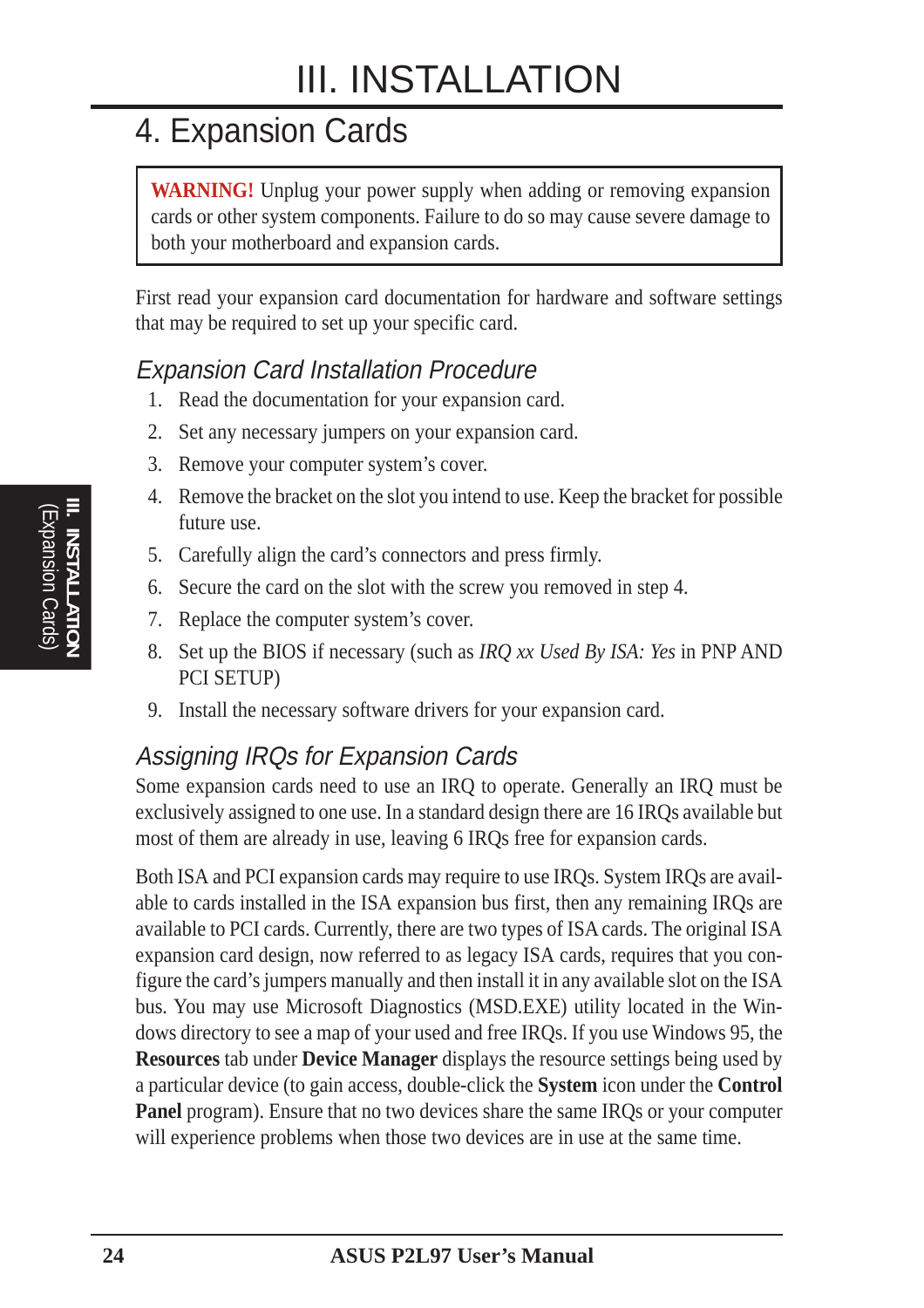## 4. Expansion Cards

**WARNING!** Unplug your power supply when adding or removing expansion cards or other system components. Failure to do so may cause severe damage to both your motherboard and expansion cards.

First read your expansion card documentation for hardware and software settings that may be required to set up your specific card.

### Expansion Card Installation Procedure

- 1. Read the documentation for your expansion card.
- 2. Set any necessary jumpers on your expansion card.
- 3. Remove your computer system's cover.
- 4. Remove the bracket on the slot you intend to use. Keep the bracket for possible future use.
- 5. Carefully align the card's connectors and press firmly.
- 6. Secure the card on the slot with the screw you removed in step 4.
- 7. Replace the computer system's cover.
- 8. Set up the BIOS if necessary (such as *IRQ xx Used By ISA: Yes* in PNP AND PCI SETUP)
- 9. Install the necessary software drivers for your expansion card.

### Assigning IRQs for Expansion Cards

Some expansion cards need to use an IRQ to operate. Generally an IRQ must be exclusively assigned to one use. In a standard design there are 16 IRQs available but most of them are already in use, leaving 6 IRQs free for expansion cards.

Both ISA and PCI expansion cards may require to use IRQs. System IRQs are available to cards installed in the ISA expansion bus first, then any remaining IRQs are available to PCI cards. Currently, there are two types of ISA cards. The original ISA expansion card design, now referred to as legacy ISA cards, requires that you configure the card's jumpers manually and then install it in any available slot on the ISA bus. You may use Microsoft Diagnostics (MSD.EXE) utility located in the Windows directory to see a map of your used and free IRQs. If you use Windows 95, the **Resources** tab under **Device Manager** displays the resource settings being used by a particular device (to gain access, double-click the **System** icon under the **Control Panel** program). Ensure that no two devices share the same IRQs or your computer will experience problems when those two devices are in use at the same time.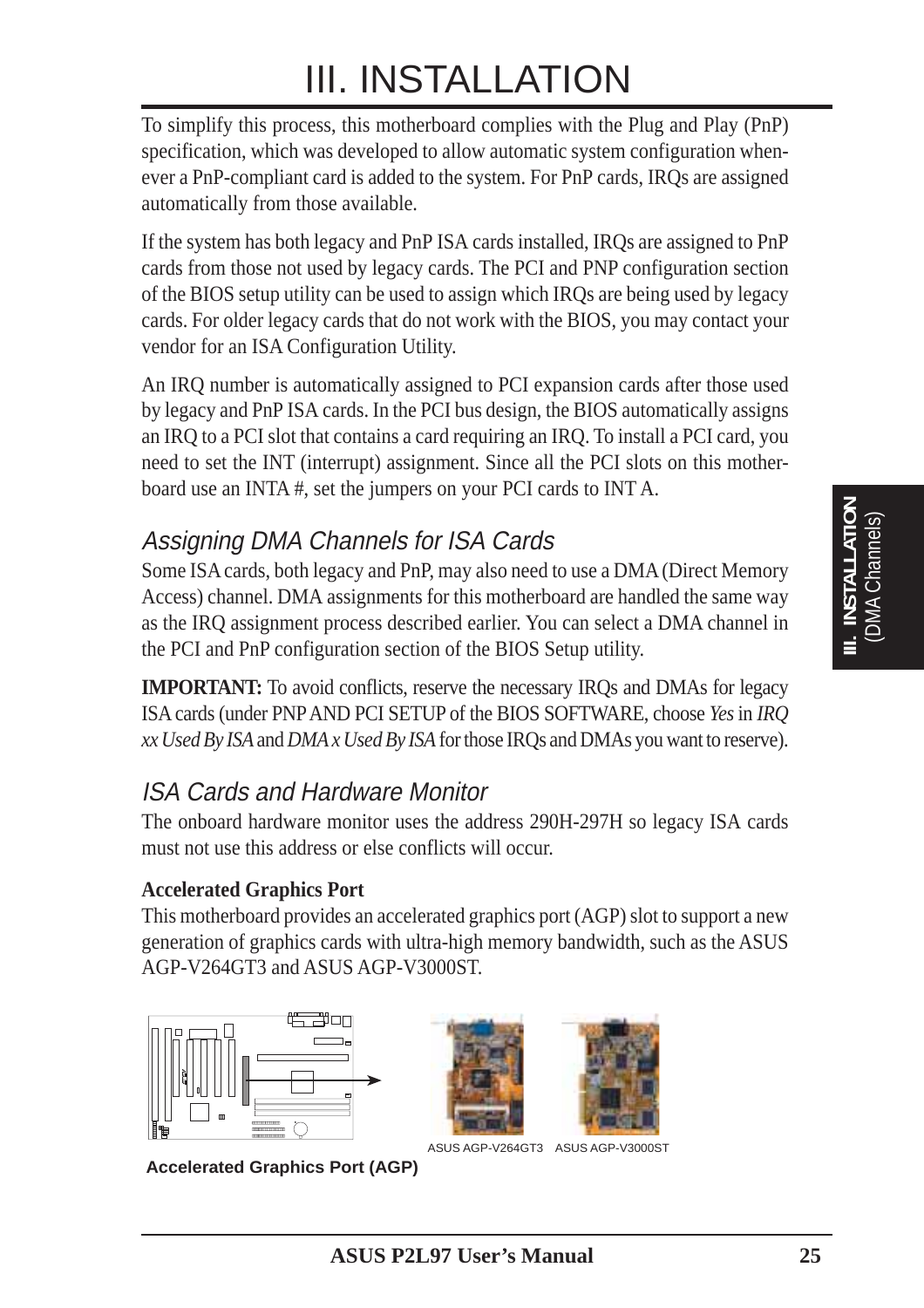To simplify this process, this motherboard complies with the Plug and Play (PnP) specification, which was developed to allow automatic system configuration whenever a PnP-compliant card is added to the system. For PnP cards, IRQs are assigned automatically from those available.

If the system has both legacy and PnP ISA cards installed, IRQs are assigned to PnP cards from those not used by legacy cards. The PCI and PNP configuration section of the BIOS setup utility can be used to assign which IRQs are being used by legacy cards. For older legacy cards that do not work with the BIOS, you may contact your vendor for an ISA Configuration Utility.

An IRQ number is automatically assigned to PCI expansion cards after those used by legacy and PnP ISA cards. In the PCI bus design, the BIOS automatically assigns an IRQ to a PCI slot that contains a card requiring an IRQ. To install a PCI card, you need to set the INT (interrupt) assignment. Since all the PCI slots on this motherboard use an INTA #, set the jumpers on your PCI cards to INT A.

### Assigning DMA Channels for ISA Cards

Some ISA cards, both legacy and PnP, may also need to use a DMA (Direct Memory Access) channel. DMA assignments for this motherboard are handled the same way as the IRQ assignment process described earlier. You can select a DMA channel in the PCI and PnP configuration section of the BIOS Setup utility.

**IMPORTANT:** To avoid conflicts, reserve the necessary IRQs and DMAs for legacy ISA cards (under PNP AND PCI SETUP of the BIOS SOFTWARE, choose *Yes* in *IRQ xx Used By ISA* and *DMA x Used By ISA* for those IRQs and DMAs you want to reserve).

### ISA Cards and Hardware Monitor

The onboard hardware monitor uses the address 290H-297H so legacy ISA cards must not use this address or else conflicts will occur.

#### **Accelerated Graphics Port**

This motherboard provides an accelerated graphics port (AGP) slot to support a new generation of graphics cards with ultra-high memory bandwidth, such as the ASUS AGP-V264GT3 and ASUS AGP-V3000ST.



**Accelerated Graphics Port (AGP)**



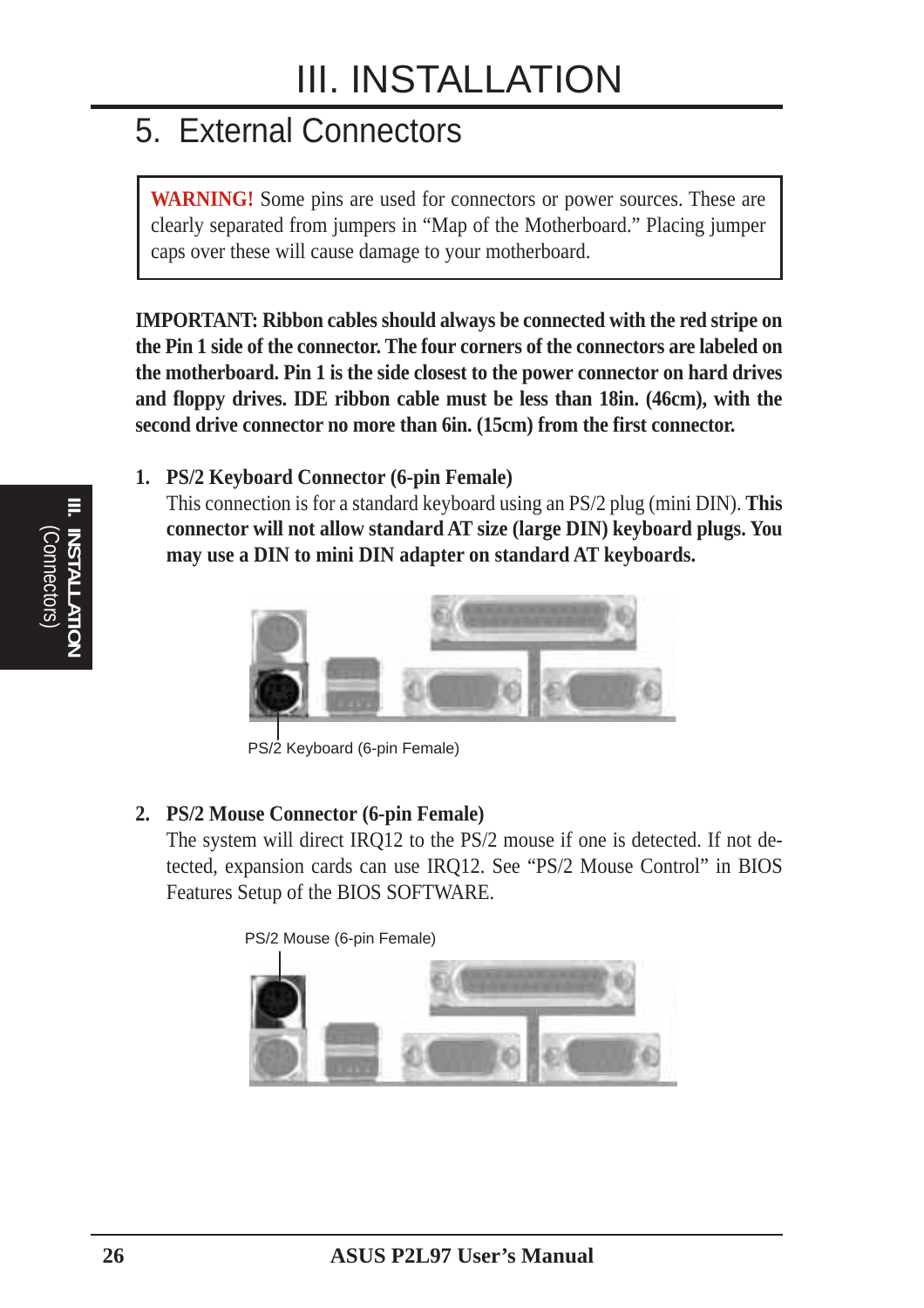## 5. External Connectors

**WARNING!** Some pins are used for connectors or power sources. These are clearly separated from jumpers in "Map of the Motherboard." Placing jumper caps over these will cause damage to your motherboard.

**IMPORTANT: Ribbon cables should always be connected with the red stripe on the Pin 1 side of the connector. The four corners of the connectors are labeled on the motherboard. Pin 1 is the side closest to the power connector on hard drives and floppy drives. IDE ribbon cable must be less than 18in. (46cm), with the second drive connector no more than 6in. (15cm) from the first connector.**

**1. PS/2 Keyboard Connector (6-pin Female)**

This connection is for a standard keyboard using an PS/2 plug (mini DIN). **This connector will not allow standard AT size (large DIN) keyboard plugs. You may use a DIN to mini DIN adapter on standard AT keyboards.**



PS/2 Keyboard (6-pin Female)

#### **2. PS/2 Mouse Connector (6-pin Female)**

The system will direct IRQ12 to the PS/2 mouse if one is detected. If not detected, expansion cards can use IRQ12. See "PS/2 Mouse Control" in BIOS Features Setup of the BIOS SOFTWARE.

PS/2 Mouse (6-pin Female)

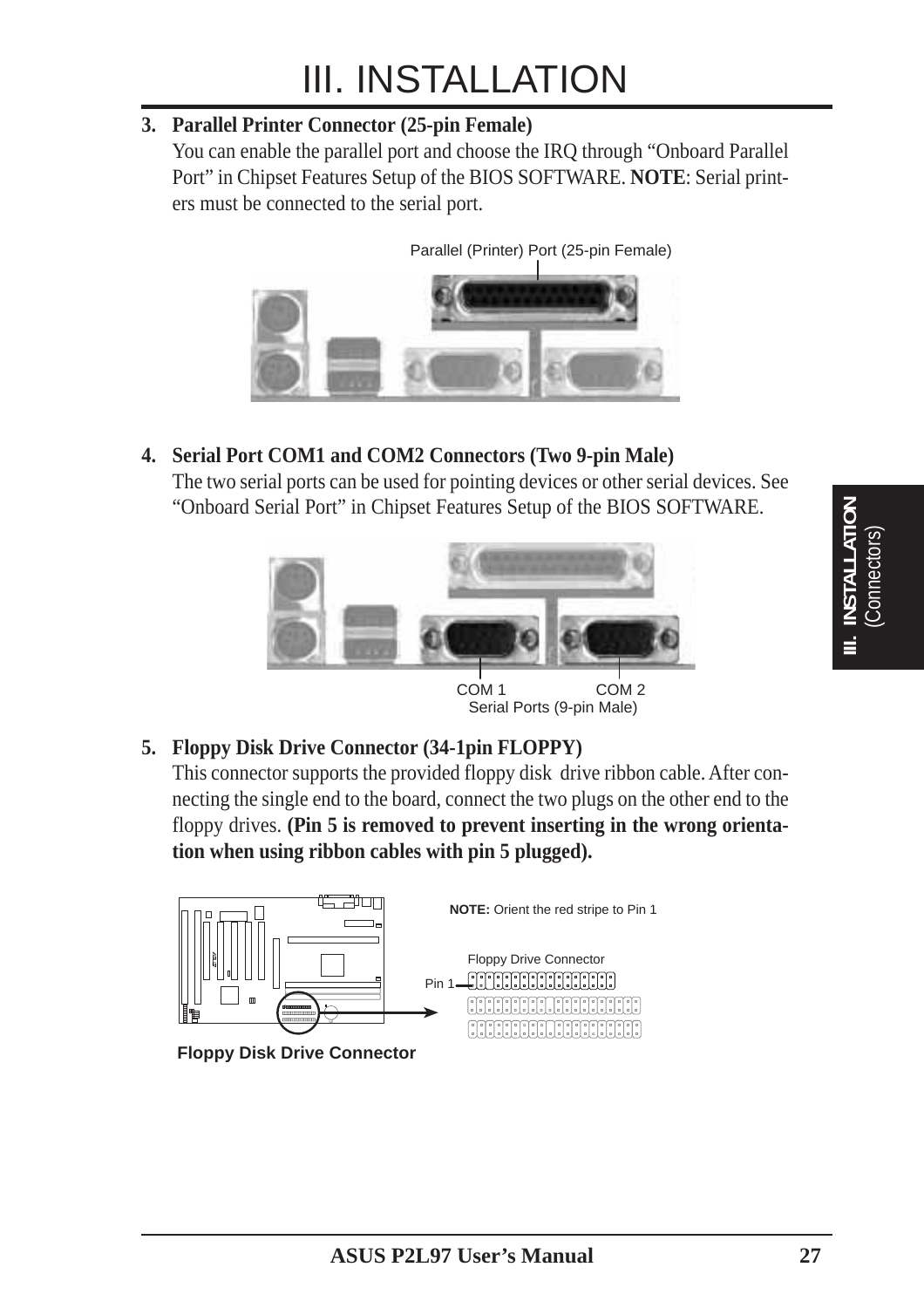#### **3. Parallel Printer Connector (25-pin Female)**

You can enable the parallel port and choose the IRQ through "Onboard Parallel Port" in Chipset Features Setup of the BIOS SOFTWARE. **NOTE**: Serial printers must be connected to the serial port.



#### **4. Serial Port COM1 and COM2 Connectors (Two 9-pin Male)**

The two serial ports can be used for pointing devices or other serial devices. See "Onboard Serial Port" in Chipset Features Setup of the BIOS SOFTWARE.



#### **5. Floppy Disk Drive Connector (34-1pin FLOPPY)**

This connector supports the provided floppy disk drive ribbon cable. After connecting the single end to the board, connect the two plugs on the other end to the floppy drives. **(Pin 5 is removed to prevent inserting in the wrong orientation when using ribbon cables with pin 5 plugged).**



**Floppy Disk Drive Connector**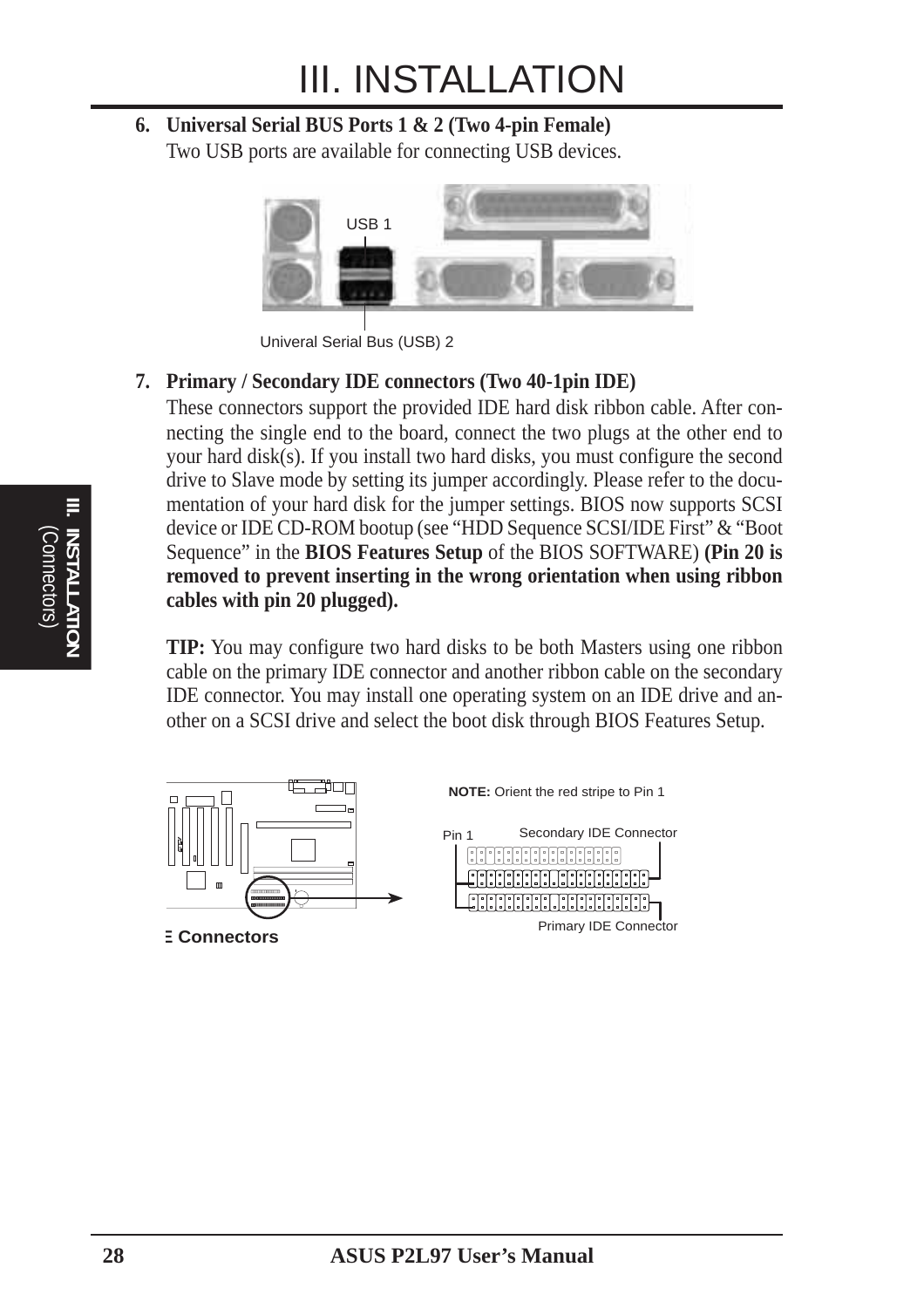#### **6. Universal Serial BUS Ports 1 & 2 (Two 4-pin Female)** Two USB ports are available for connecting USB devices.



Univeral Serial Bus (USB) 2

#### **7. Primary / Secondary IDE connectors (Two 40-1pin IDE)**

These connectors support the provided IDE hard disk ribbon cable. After connecting the single end to the board, connect the two plugs at the other end to your hard disk(s). If you install two hard disks, you must configure the second drive to Slave mode by setting its jumper accordingly. Please refer to the documentation of your hard disk for the jumper settings. BIOS now supports SCSI device or IDE CD-ROM bootup (see "HDD Sequence SCSI/IDE First" & "Boot Sequence" in the **BIOS Features Setup** of the BIOS SOFTWARE) **(Pin 20 is removed to prevent inserting in the wrong orientation when using ribbon cables with pin 20 plugged).**

**TIP:** You may configure two hard disks to be both Masters using one ribbon cable on the primary IDE connector and another ribbon cable on the secondary IDE connector. You may install one operating system on an IDE drive and another on a SCSI drive and select the boot disk through BIOS Features Setup.



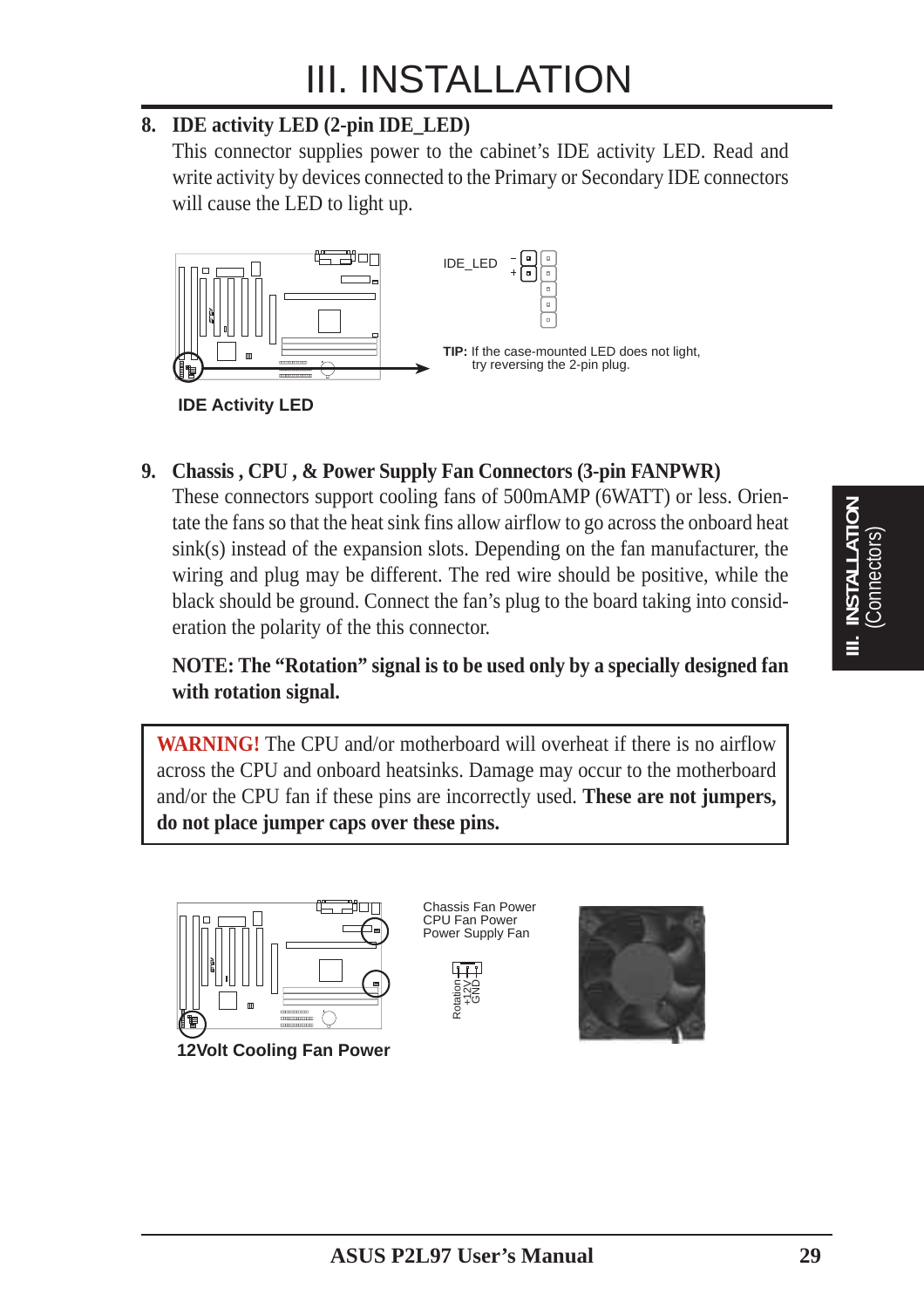#### **8. IDE activity LED (2-pin IDE\_LED)**

This connector supplies power to the cabinet's IDE activity LED. Read and write activity by devices connected to the Primary or Secondary IDE connectors will cause the LED to light up.



**IDE Activity LED**

**9. Chassis , CPU , & Power Supply Fan Connectors (3-pin FANPWR)**

These connectors support cooling fans of 500mAMP (6WATT) or less. Orientate the fans so that the heat sink fins allow airflow to go across the onboard heat sink(s) instead of the expansion slots. Depending on the fan manufacturer, the wiring and plug may be different. The red wire should be positive, while the black should be ground. Connect the fan's plug to the board taking into consideration the polarity of the this connector.

#### **NOTE: The "Rotation" signal is to be used only by a specially designed fan with rotation signal.**

**WARNING!** The CPU and/or motherboard will overheat if there is no airflow across the CPU and onboard heatsinks. Damage may occur to the motherboard and/or the CPU fan if these pins are incorrectly used. **These are not jumpers, do not place jumper caps over these pins.**



**12Volt Cooling Fan Power**

Chassis Fan Power CPU Fan Power Power Supply Fan



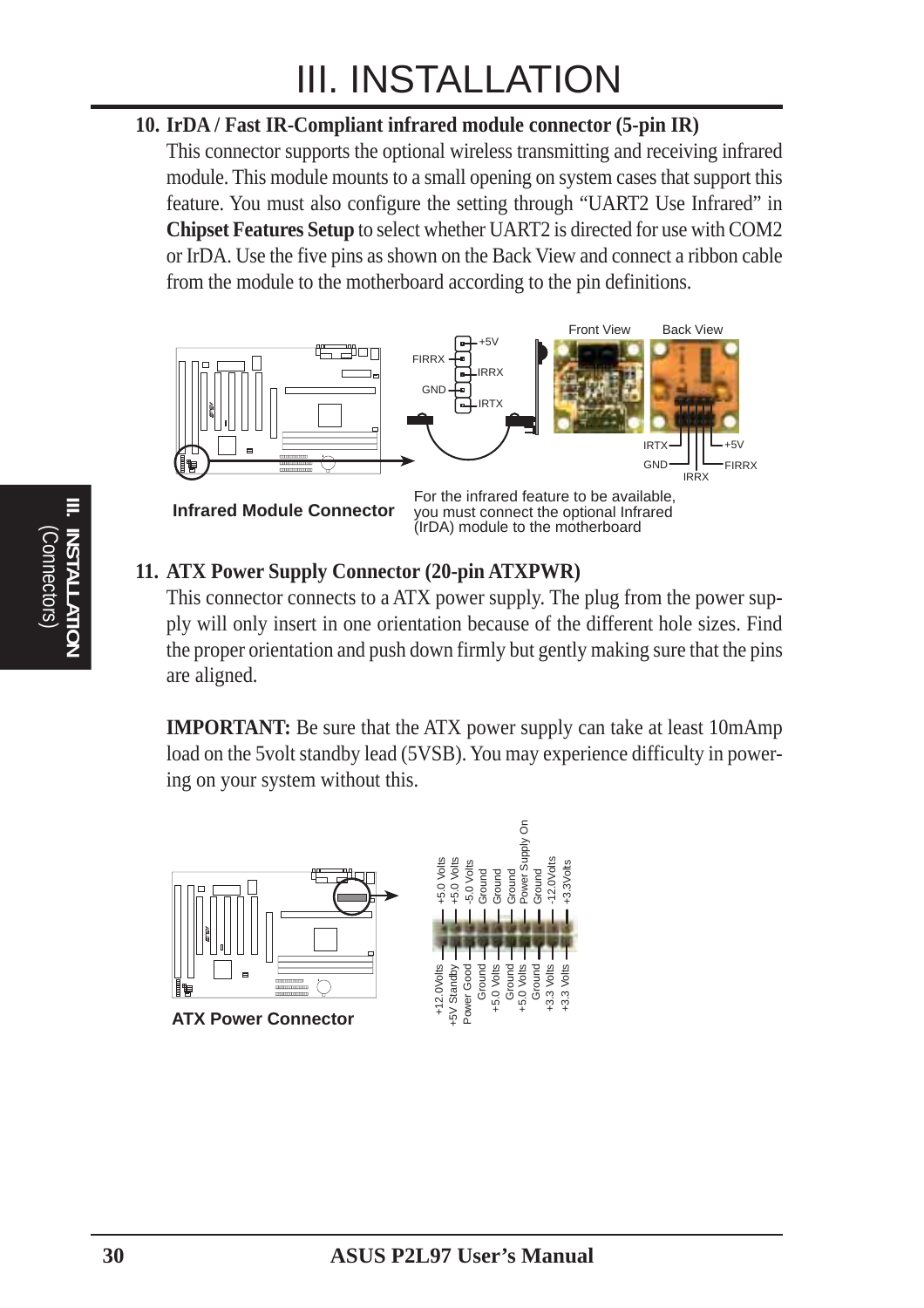#### **10. IrDA / Fast IR-Compliant infrared module connector (5-pin IR)**

This connector supports the optional wireless transmitting and receiving infrared module. This module mounts to a small opening on system cases that support this feature. You must also configure the setting through "UART2 Use Infrared" in **Chipset Features Setup** to select whether UART2 is directed for use with COM2 or IrDA. Use the five pins as shown on the Back View and connect a ribbon cable from the module to the motherboard according to the pin definitions.



### **11. ATX Power Supply Connector (20-pin ATXPWR)**

This connector connects to a ATX power supply. The plug from the power supply will only insert in one orientation because of the different hole sizes. Find the proper orientation and push down firmly but gently making sure that the pins are aligned.

**IMPORTANT:** Be sure that the ATX power supply can take at least 10mAmp load on the 5volt standby lead (5VSB). You may experience difficulty in powering on your system without this.

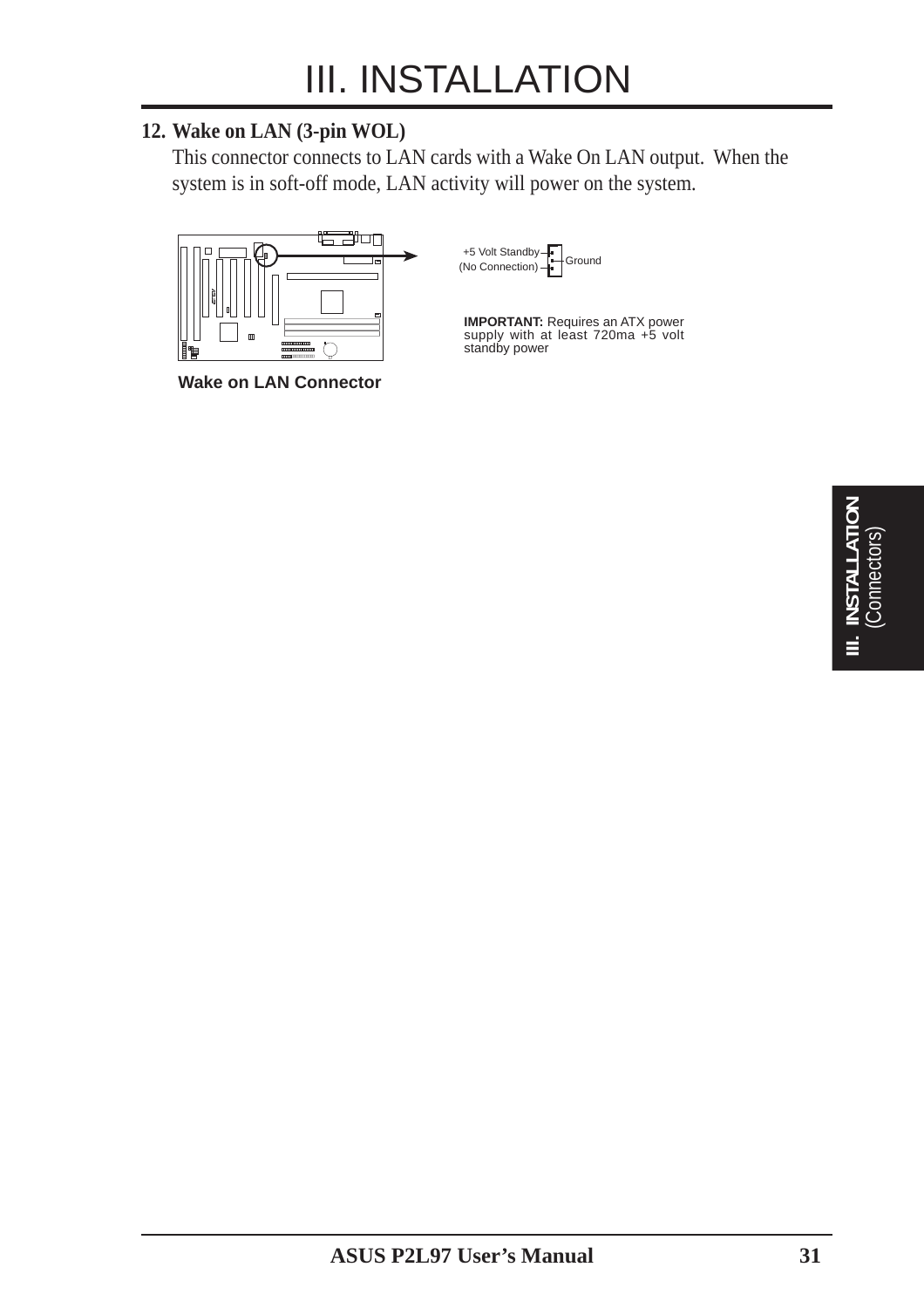#### **12. Wake on LAN (3-pin WOL)**

This connector connects to LAN cards with a Wake On LAN output. When the system is in soft-off mode, LAN activity will power on the system.



**Wake on LAN Connector**

+5 Volt Standby (No Connection) Ground

**IMPORTANT:** Requires an ATX power supply with at least 720ma +5 volt standby power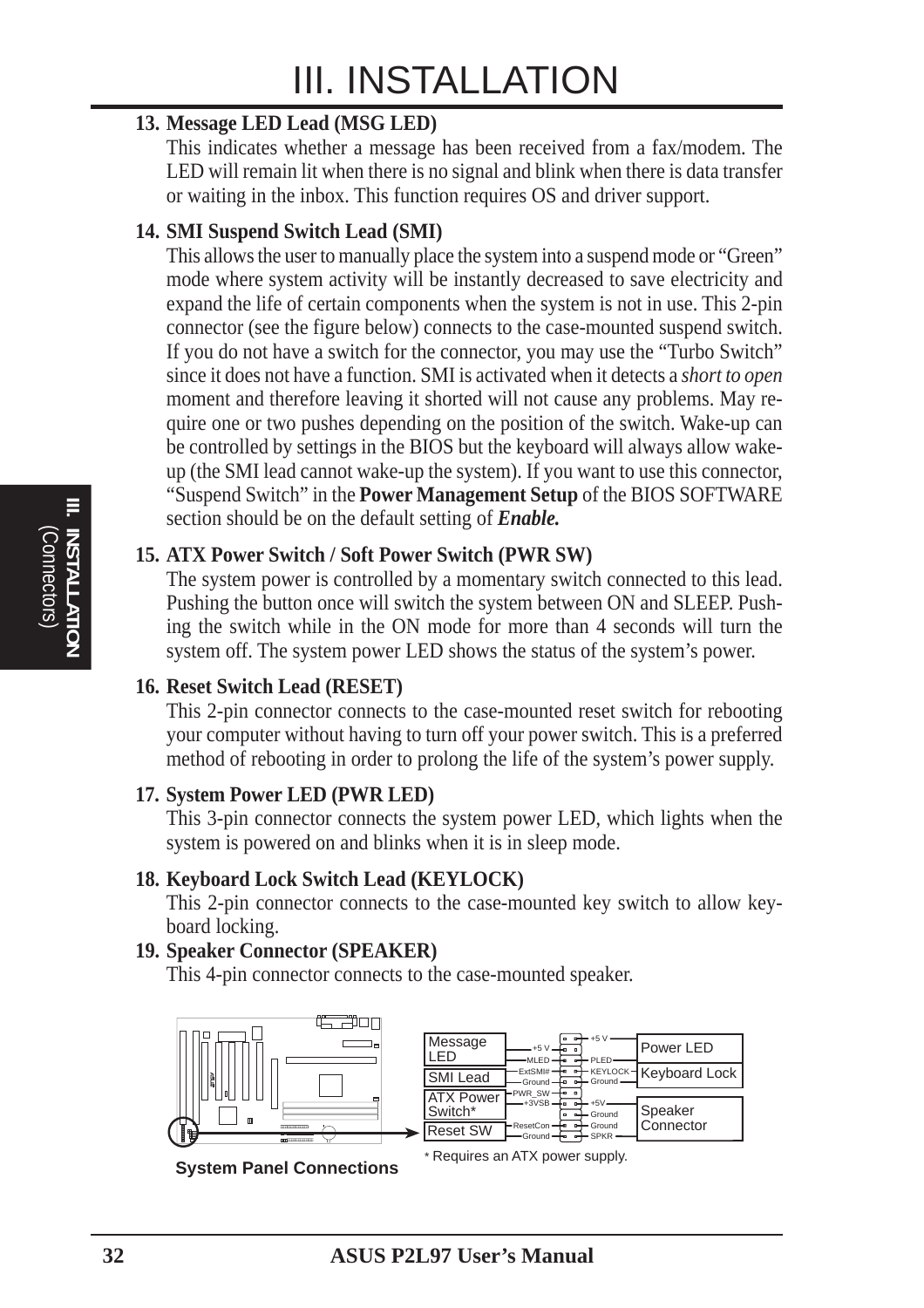#### **13. Message LED Lead (MSG LED)**

This indicates whether a message has been received from a fax/modem. The LED will remain lit when there is no signal and blink when there is data transfer or waiting in the inbox. This function requires OS and driver support.

#### **14. SMI Suspend Switch Lead (SMI)**

This allows the user to manually place the system into a suspend mode or "Green" mode where system activity will be instantly decreased to save electricity and expand the life of certain components when the system is not in use. This 2-pin connector (see the figure below) connects to the case-mounted suspend switch. If you do not have a switch for the connector, you may use the "Turbo Switch" since it does not have a function. SMI is activated when it detects a *short to open* moment and therefore leaving it shorted will not cause any problems. May require one or two pushes depending on the position of the switch. Wake-up can be controlled by settings in the BIOS but the keyboard will always allow wakeup (the SMI lead cannot wake-up the system). If you want to use this connector, "Suspend Switch" in the **Power Management Setup** of the BIOS SOFTWARE section should be on the default setting of *Enable.*

#### **15. ATX Power Switch / Soft Power Switch (PWR SW)**

The system power is controlled by a momentary switch connected to this lead. Pushing the button once will switch the system between ON and SLEEP. Pushing the switch while in the ON mode for more than 4 seconds will turn the system off. The system power LED shows the status of the system's power.

#### **16. Reset Switch Lead (RESET)**

This 2-pin connector connects to the case-mounted reset switch for rebooting your computer without having to turn off your power switch. This is a preferred method of rebooting in order to prolong the life of the system's power supply.

#### **17. System Power LED (PWR LED)**

This 3-pin connector connects the system power LED, which lights when the system is powered on and blinks when it is in sleep mode.

#### **18. Keyboard Lock Switch Lead (KEYLOCK)**

This 2-pin connector connects to the case-mounted key switch to allow keyboard locking.

#### **19. Speaker Connector (SPEAKER)**

This 4-pin connector connects to the case-mounted speaker.



| Message                     | $+5V$<br>MLED            | $+5V$<br>PLED   | <b>Power LED</b>               |
|-----------------------------|--------------------------|-----------------|--------------------------------|
| <b>SMI</b> Lead             | ExtSMI#<br>-Ground-      | Ground          | <b>KEYLOCK   Keyboard Lock</b> |
| <b>ATX Power</b><br>Switch* | -PWR SW<br>$-+3VSB$<br>- | $+5V$<br>Ground | Speaker                        |
| <b>Reset SW</b>             | ResetCon<br>-Ground-     | Ground<br>SPKR  | Connector                      |

**System Panel Connections**

\* Requires an ATX power supply.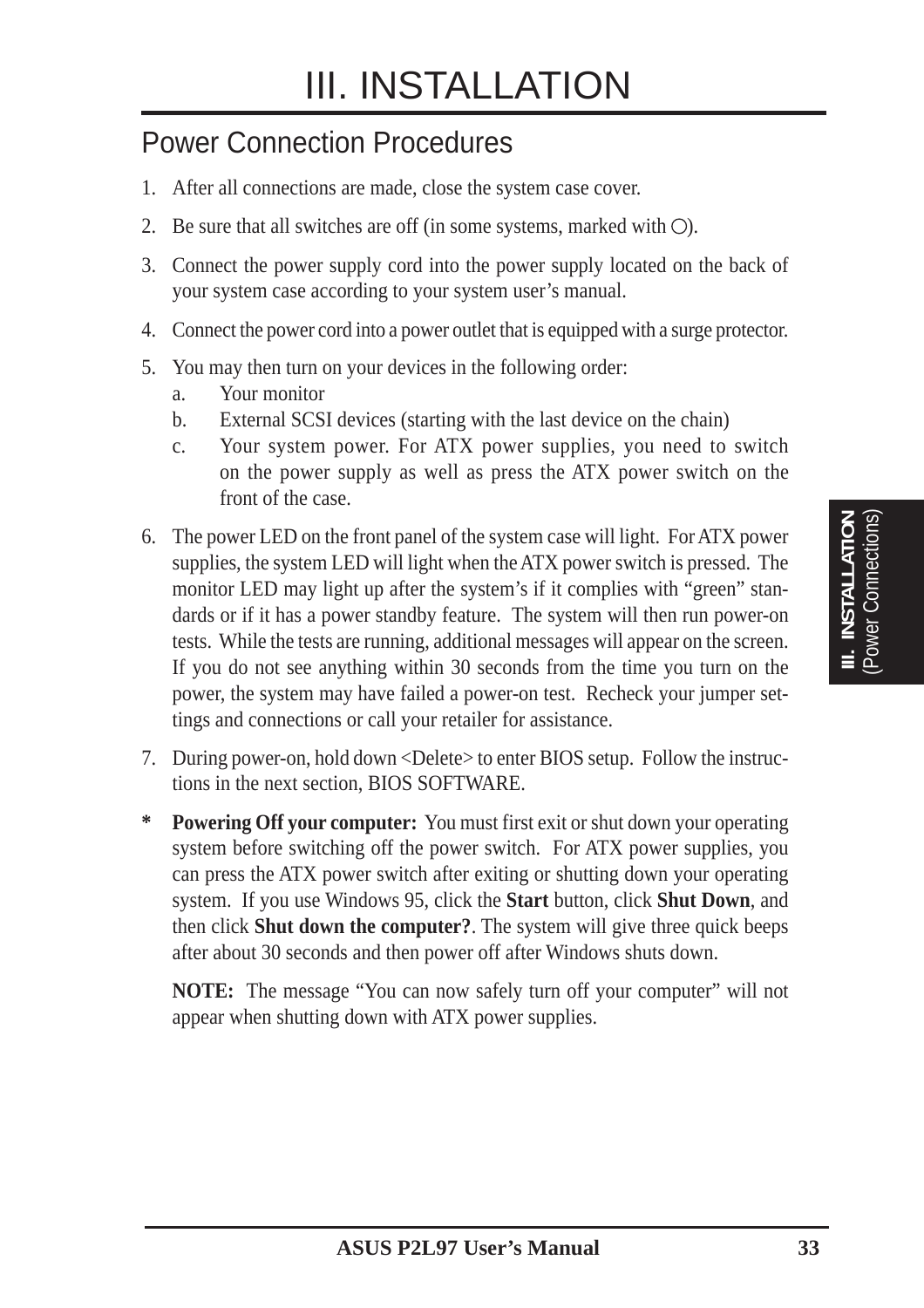## Power Connection Procedures

- 1. After all connections are made, close the system case cover.
- 2. Be sure that all switches are off (in some systems, marked with  $\bigcirc$ ).
- 3. Connect the power supply cord into the power supply located on the back of your system case according to your system user's manual.
- 4. Connect the power cord into a power outlet that is equipped with a surge protector.
- 5. You may then turn on your devices in the following order:
	- a. Your monitor
	- b. External SCSI devices (starting with the last device on the chain)
	- c. Your system power. For ATX power supplies, you need to switch on the power supply as well as press the ATX power switch on the front of the case.
- 6. The power LED on the front panel of the system case will light. For ATX power supplies, the system LED will light when the ATX power switch is pressed. The monitor LED may light up after the system's if it complies with "green" standards or if it has a power standby feature. The system will then run power-on tests. While the tests are running, additional messages will appear on the screen. If you do not see anything within 30 seconds from the time you turn on the power, the system may have failed a power-on test. Recheck your jumper settings and connections or call your retailer for assistance.
- 7. During power-on, hold down <Delete> to enter BIOS setup. Follow the instructions in the next section, BIOS SOFTWARE.
- **\* Powering Off your computer:** You must first exit or shut down your operating system before switching off the power switch. For ATX power supplies, you can press the ATX power switch after exiting or shutting down your operating system. If you use Windows 95, click the **Start** button, click **Shut Down**, and then click **Shut down the computer?**. The system will give three quick beeps after about 30 seconds and then power off after Windows shuts down.

**NOTE:** The message "You can now safely turn off your computer" will not appear when shutting down with ATX power supplies.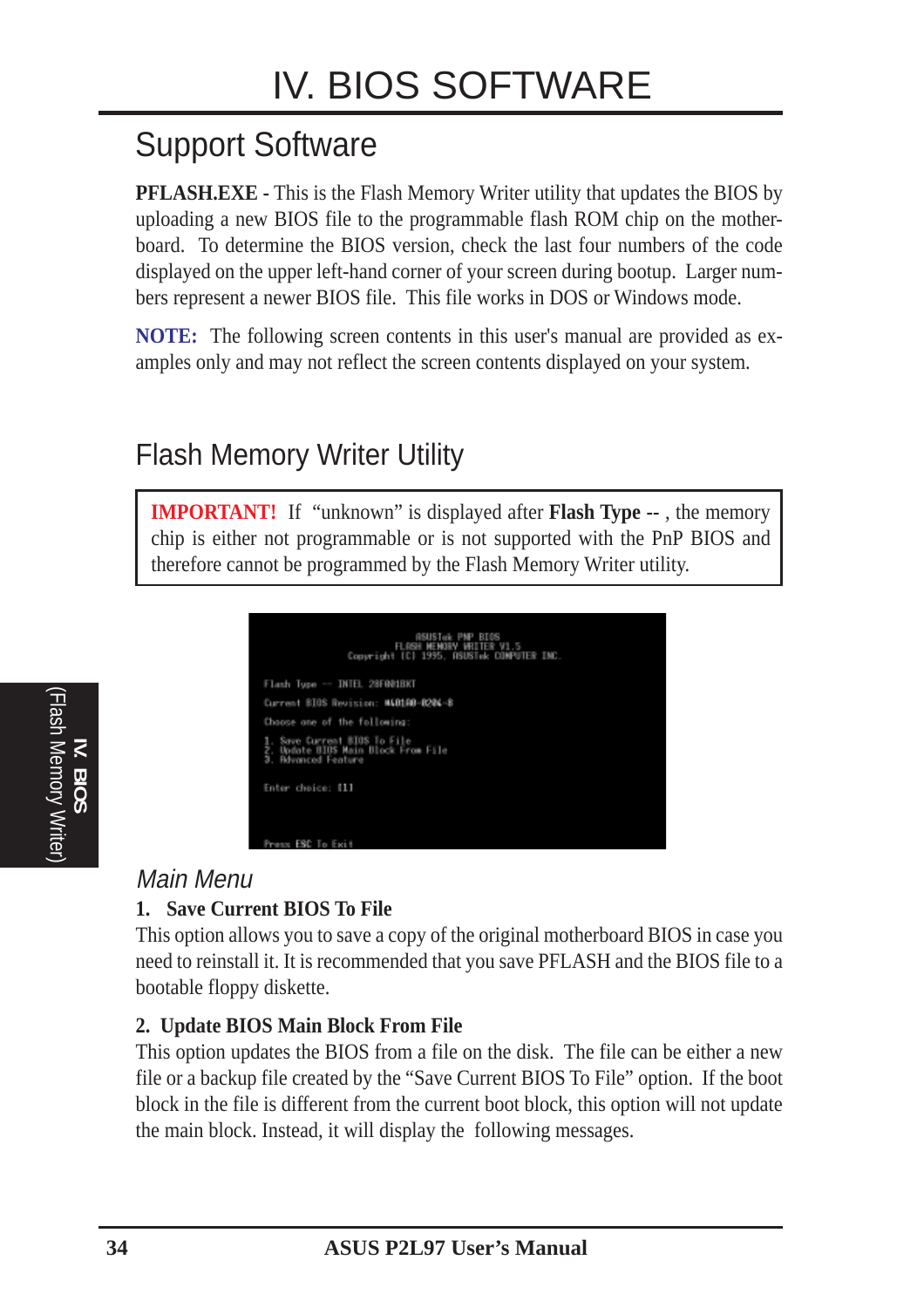# Support Software

**PFLASH.EXE -** This is the Flash Memory Writer utility that updates the BIOS by uploading a new BIOS file to the programmable flash ROM chip on the motherboard. To determine the BIOS version, check the last four numbers of the code displayed on the upper left-hand corner of your screen during bootup. Larger numbers represent a newer BIOS file. This file works in DOS or Windows mode.

**NOTE:** The following screen contents in this user's manual are provided as examples only and may not reflect the screen contents displayed on your system.

## Flash Memory Writer Utility

**IMPORTANT!** If "unknown" is displayed after **Flash Type --**, the memory chip is either not programmable or is not supported with the PnP BIOS and therefore cannot be programmed by the Flash Memory Writer utility.



### Main Menu

#### **1. Save Current BIOS To File**

This option allows you to save a copy of the original motherboard BIOS in case you need to reinstall it. It is recommended that you save PFLASH and the BIOS file to a bootable floppy diskette.

#### **2. Update BIOS Main Block From File**

This option updates the BIOS from a file on the disk. The file can be either a new file or a backup file created by the "Save Current BIOS To File" option. If the boot block in the file is different from the current boot block, this option will not update the main block. Instead, it will display the following messages.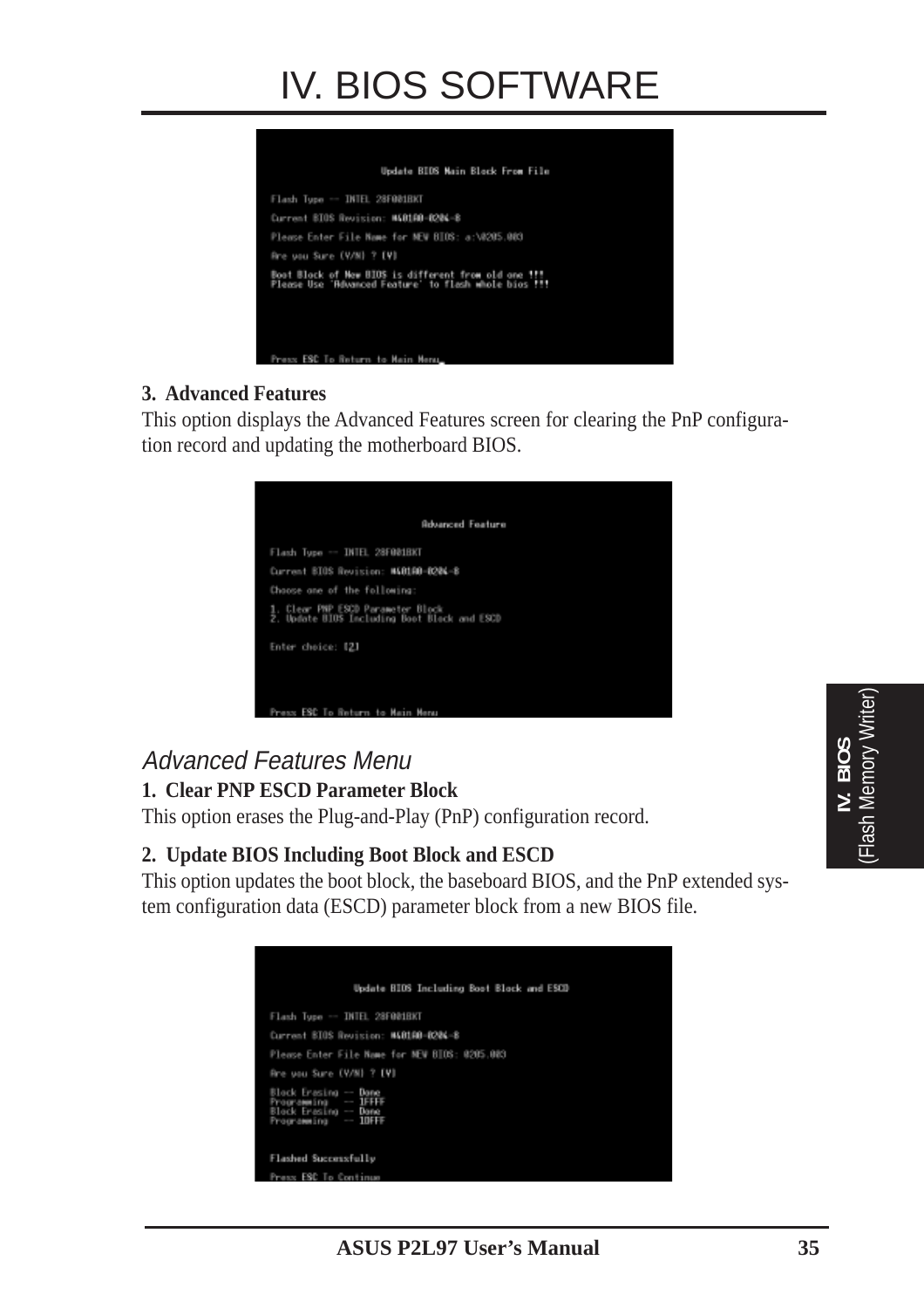# IV. BIOS SOFTWARE



#### **3. Advanced Features**

This option displays the Advanced Features screen for clearing the PnP configuration record and updating the motherboard BIOS.



### Advanced Features Menu

#### **1. Clear PNP ESCD Parameter Block**

This option erases the Plug-and-Play (PnP) configuration record.

#### **2. Update BIOS Including Boot Block and ESCD**

This option updates the boot block, the baseboard BIOS, and the PnP extended system configuration data (ESCD) parameter block from a new BIOS file.

|                                                                                             | Update BIDS Including Boot Block and ESCD     |
|---------------------------------------------------------------------------------------------|-----------------------------------------------|
| Flash Tupe -- INTEL 28F081BKT                                                               |                                               |
|                                                                                             | Current BIOS Revision: M&B180-8284-8          |
|                                                                                             | Please Enter File Name for NEW BIOS: 0205.003 |
| Fire you Sure (V/N) ? [V]                                                                   |                                               |
| Block Erasing -- Done<br>Programming - IFFFF<br>Block Erasing - Dane<br>Programming - 10FFF |                                               |
| Flashed Successfully                                                                        |                                               |
| Press ESC To Continue                                                                       |                                               |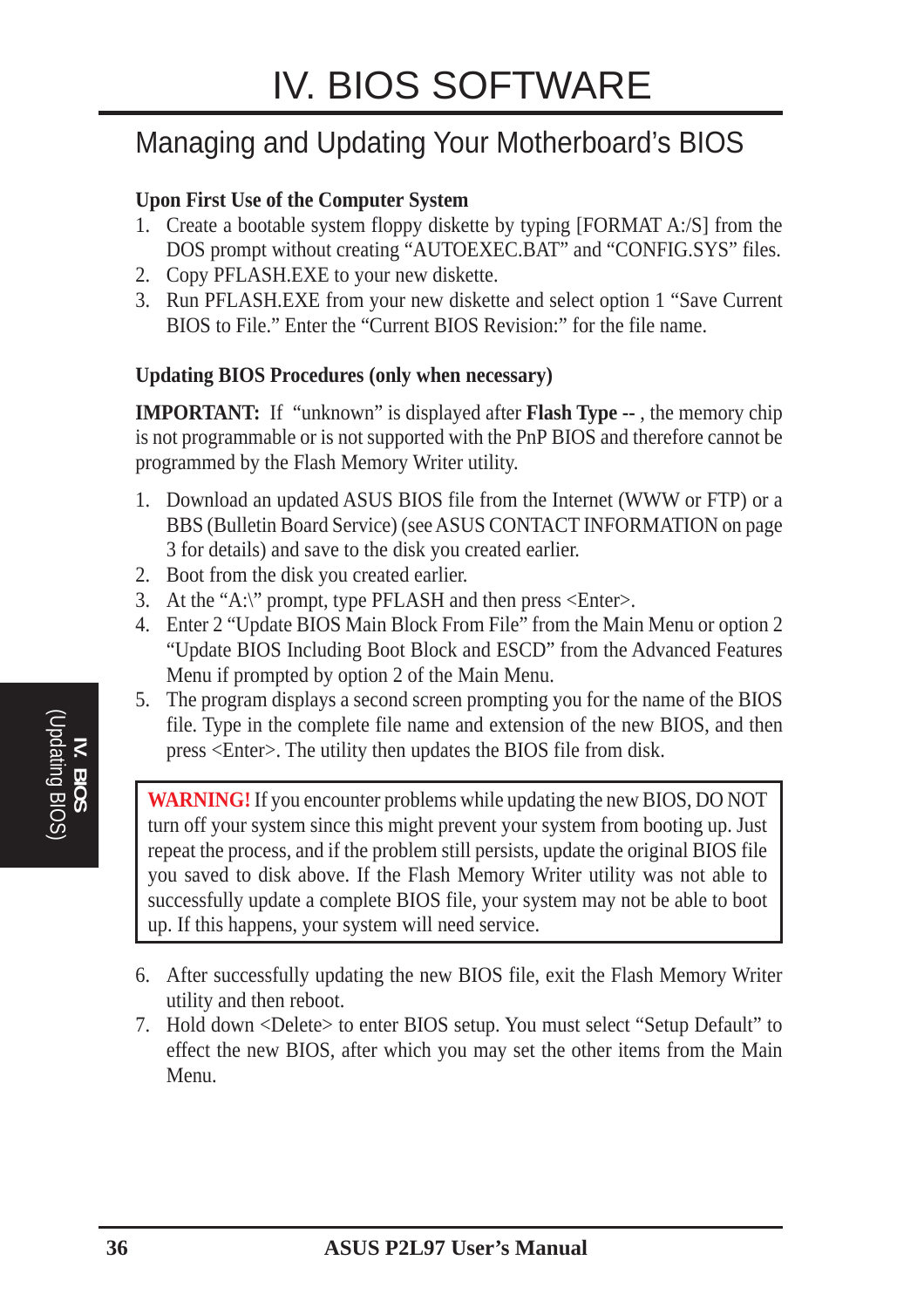## Managing and Updating Your Motherboard's BIOS

#### **Upon First Use of the Computer System**

- 1. Create a bootable system floppy diskette by typing [FORMAT A:/S] from the DOS prompt without creating "AUTOEXEC.BAT" and "CONFIG.SYS" files.
- 2. Copy PFLASH.EXE to your new diskette.
- 3. Run PFLASH.EXE from your new diskette and select option 1 "Save Current BIOS to File." Enter the "Current BIOS Revision:" for the file name.

#### **Updating BIOS Procedures (only when necessary)**

**IMPORTANT:** If "unknown" is displayed after **Flash Type --**, the memory chip is not programmable or is not supported with the PnP BIOS and therefore cannot be programmed by the Flash Memory Writer utility.

- 1. Download an updated ASUS BIOS file from the Internet (WWW or FTP) or a BBS (Bulletin Board Service) (see ASUS CONTACT INFORMATION on page 3 for details) and save to the disk you created earlier.
- 2. Boot from the disk you created earlier.
- 3. At the "A:\" prompt, type PFLASH and then press  $\leq$ Enter $>$ .
- 4. Enter 2 "Update BIOS Main Block From File" from the Main Menu or option 2 "Update BIOS Including Boot Block and ESCD" from the Advanced Features Menu if prompted by option 2 of the Main Menu.
- 5. The program displays a second screen prompting you for the name of the BIOS file. Type in the complete file name and extension of the new BIOS, and then press <Enter>. The utility then updates the BIOS file from disk.

**WARNING!** If you encounter problems while updating the new BIOS, DO NOT turn off your system since this might prevent your system from booting up. Just repeat the process, and if the problem still persists, update the original BIOS file you saved to disk above. If the Flash Memory Writer utility was not able to successfully update a complete BIOS file, your system may not be able to boot up. If this happens, your system will need service.

- 6. After successfully updating the new BIOS file, exit the Flash Memory Writer utility and then reboot.
- 7. Hold down <Delete> to enter BIOS setup. You must select "Setup Default" to effect the new BIOS, after which you may set the other items from the Main Menu.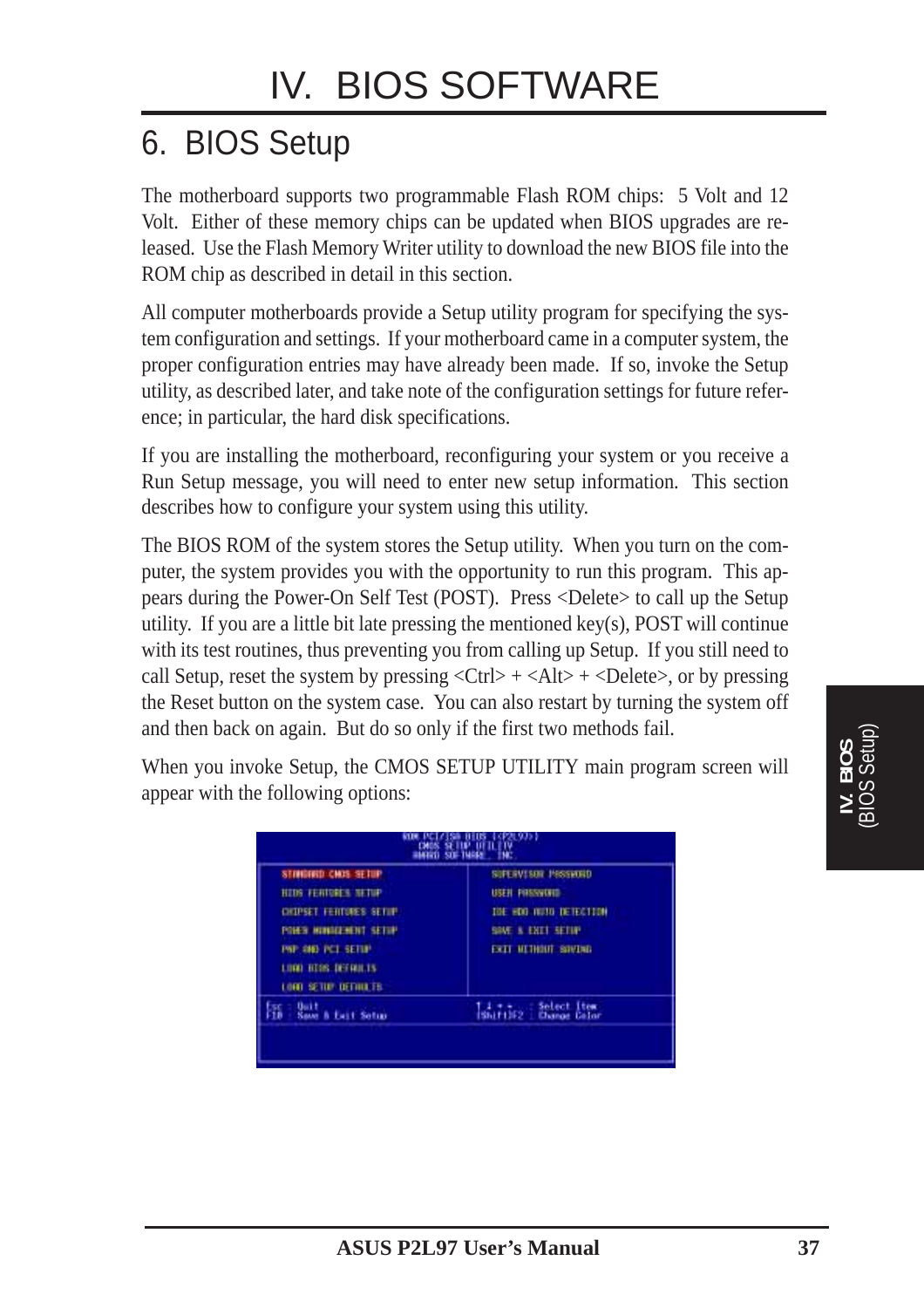# 6. BIOS Setup

The motherboard supports two programmable Flash ROM chips: 5 Volt and 12 Volt. Either of these memory chips can be updated when BIOS upgrades are released. Use the Flash Memory Writer utility to download the new BIOS file into the ROM chip as described in detail in this section.

All computer motherboards provide a Setup utility program for specifying the system configuration and settings. If your motherboard came in a computer system, the proper configuration entries may have already been made. If so, invoke the Setup utility, as described later, and take note of the configuration settings for future reference; in particular, the hard disk specifications.

If you are installing the motherboard, reconfiguring your system or you receive a Run Setup message, you will need to enter new setup information. This section describes how to configure your system using this utility.

The BIOS ROM of the system stores the Setup utility. When you turn on the computer, the system provides you with the opportunity to run this program. This appears during the Power-On Self Test (POST). Press <Delete> to call up the Setup utility. If you are a little bit late pressing the mentioned key(s), POST will continue with its test routines, thus preventing you from calling up Setup. If you still need to call Setup, reset the system by pressing  $\langle \text{Ctrl} \rangle + \langle \text{Alt} \rangle + \langle \text{Delete} \rangle$ , or by pressing the Reset button on the system case. You can also restart by turning the system off and then back on again. But do so only if the first two methods fail.

When you invoke Setup, the CMOS SETUP UTILITY main program screen will appear with the following options:

| STINGFRD CM35 SETUP<br>HIDS FERIORES SETUP<br><b>CHPSET FERTOIRES SETUP</b><br><b>POHER MONDEENERT SETUP</b><br><b>PSP 400 PCL SETUP</b><br>LORD BISS DETRULTS | <b>SUFERVESON PROSTAGED</b><br>USER PRESSIGNS<br>THE HOD NOTO DETECTION<br>SAVE & EXTI SETUP<br><b>EXIT HETHOUT SIVENG</b> |
|----------------------------------------------------------------------------------------------------------------------------------------------------------------|----------------------------------------------------------------------------------------------------------------------------|
| LOAD SETUP DETAILERS<br><b>Quit</b><br>諝<br>Save & Eart Setup                                                                                                  | shift) Pelect Item<br>Shift) Paras Gelar                                                                                   |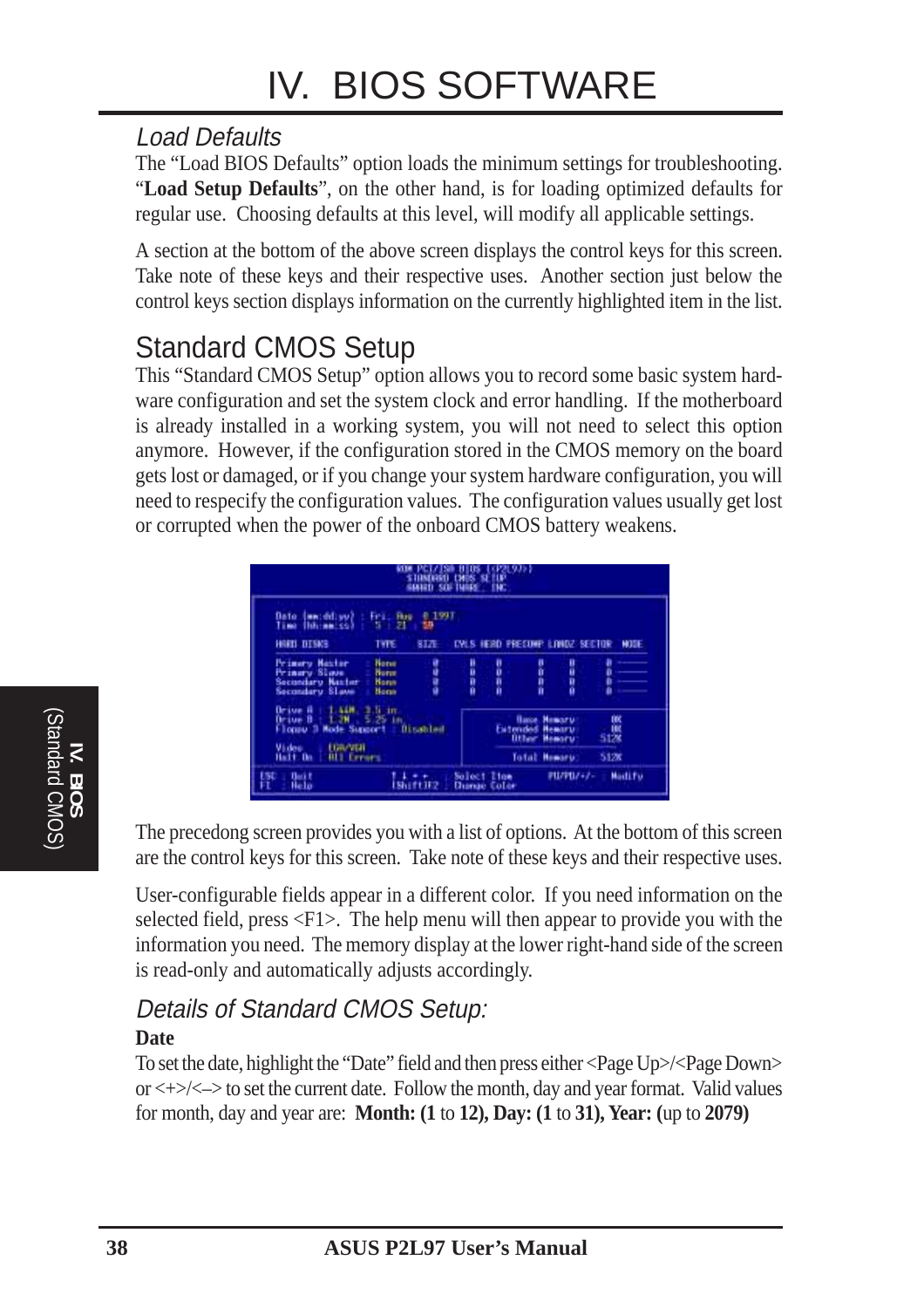### Load Defaults

The "Load BIOS Defaults" option loads the minimum settings for troubleshooting. "**Load Setup Defaults**", on the other hand, is for loading optimized defaults for regular use. Choosing defaults at this level, will modify all applicable settings.

A section at the bottom of the above screen displays the control keys for this screen. Take note of these keys and their respective uses. Another section just below the control keys section displays information on the currently highlighted item in the list.

## Standard CMOS Setup

This "Standard CMOS Setup" option allows you to record some basic system hardware configuration and set the system clock and error handling. If the motherboard is already installed in a working system, you will not need to select this option anymore. However, if the configuration stored in the CMOS memory on the board gets lost or damaged, or if you change your system hardware configuration, you will need to respecify the configuration values. The configuration values usually get lost or corrupted when the power of the onboard CMOS battery weakens.



The precedong screen provides you with a list of options. At the bottom of this screen are the control keys for this screen. Take note of these keys and their respective uses.

User-configurable fields appear in a different color. If you need information on the selected field, press <F1>. The help menu will then appear to provide you with the information you need. The memory display at the lower right-hand side of the screen is read-only and automatically adjusts accordingly.

## Details of Standard CMOS Setup:

#### **Date**

To set the date, highlight the "Date" field and then press either <Page Up>/<Page Down> or  $\langle + \rangle$  to set the current date. Follow the month, day and year format. Valid values for month, day and year are: **Month: (1** to **12), Day: (1** to **31), Year: (**up to **2079)**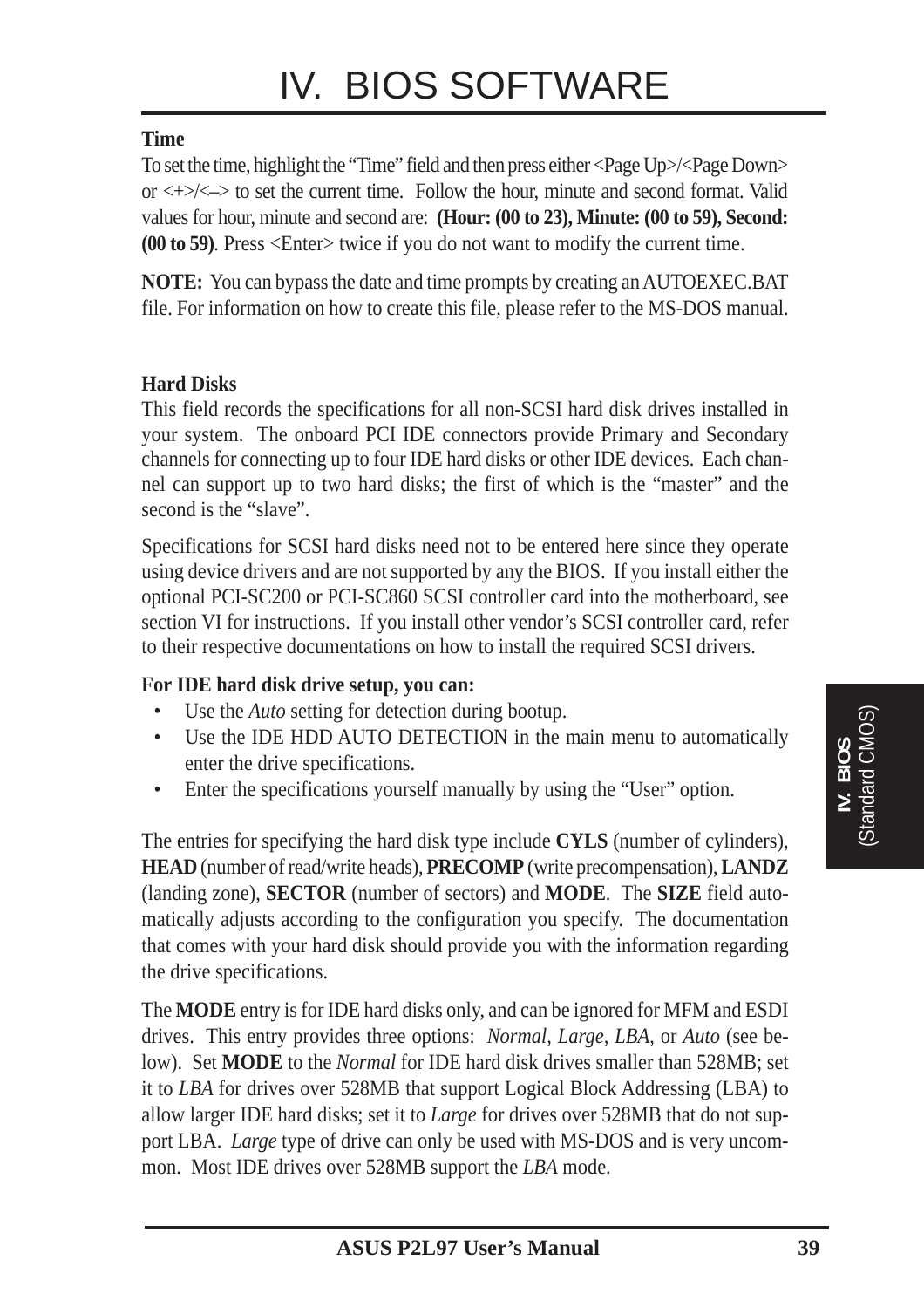#### **Time**

To set the time, highlight the "Time" field and then press either <Page Up>/<Page Down> or  $\langle + \rangle$  to set the current time. Follow the hour, minute and second format. Valid values for hour, minute and second are: **(Hour: (00 to 23), Minute: (00 to 59), Second: (00 to 59)**. Press <Enter> twice if you do not want to modify the current time.

**NOTE:** You can bypass the date and time prompts by creating an AUTOEXEC.BAT file. For information on how to create this file, please refer to the MS-DOS manual.

#### **Hard Disks**

This field records the specifications for all non-SCSI hard disk drives installed in your system. The onboard PCI IDE connectors provide Primary and Secondary channels for connecting up to four IDE hard disks or other IDE devices. Each channel can support up to two hard disks; the first of which is the "master" and the second is the "slave".

Specifications for SCSI hard disks need not to be entered here since they operate using device drivers and are not supported by any the BIOS. If you install either the optional PCI-SC200 or PCI-SC860 SCSI controller card into the motherboard, see section VI for instructions. If you install other vendor's SCSI controller card, refer to their respective documentations on how to install the required SCSI drivers.

#### **For IDE hard disk drive setup, you can:**

- Use the *Auto* setting for detection during bootup.
- Use the IDE HDD AUTO DETECTION in the main menu to automatically enter the drive specifications.
- Enter the specifications yourself manually by using the "User" option.

The entries for specifying the hard disk type include **CYLS** (number of cylinders), **HEAD** (number of read/write heads), **PRECOMP** (write precompensation), **LANDZ** (landing zone), **SECTOR** (number of sectors) and **MODE**. The **SIZE** field automatically adjusts according to the configuration you specify. The documentation that comes with your hard disk should provide you with the information regarding the drive specifications.

The **MODE** entry is for IDE hard disks only, and can be ignored for MFM and ESDI drives. This entry provides three options: *Normal, Large, LBA*, or *Auto* (see below). Set **MODE** to the *Normal* for IDE hard disk drives smaller than 528MB; set it to *LBA* for drives over 528MB that support Logical Block Addressing (LBA) to allow larger IDE hard disks; set it to *Large* for drives over 528MB that do not support LBA. *Large* type of drive can only be used with MS-DOS and is very uncommon. Most IDE drives over 528MB support the *LBA* mode.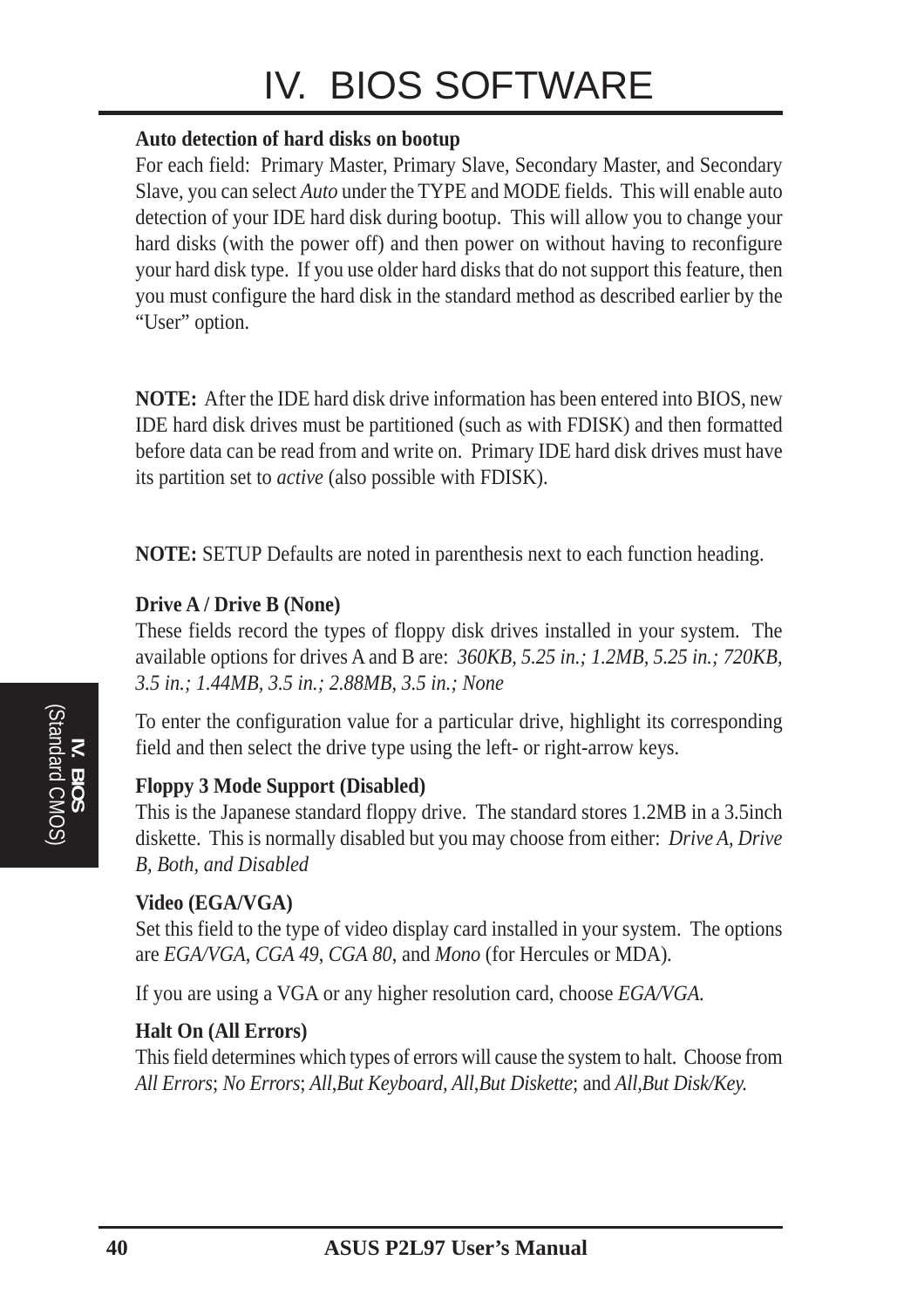# IV. BIOS SOFTWARE

#### **Auto detection of hard disks on bootup**

For each field: Primary Master, Primary Slave, Secondary Master, and Secondary Slave, you can select *Auto* under the TYPE and MODE fields. This will enable auto detection of your IDE hard disk during bootup. This will allow you to change your hard disks (with the power off) and then power on without having to reconfigure your hard disk type. If you use older hard disks that do not support this feature, then you must configure the hard disk in the standard method as described earlier by the "User" option.

**NOTE:** After the IDE hard disk drive information has been entered into BIOS, new IDE hard disk drives must be partitioned (such as with FDISK) and then formatted before data can be read from and write on. Primary IDE hard disk drives must have its partition set to *active* (also possible with FDISK).

**NOTE:** SETUP Defaults are noted in parenthesis next to each function heading.

#### **Drive A / Drive B (None)**

These fields record the types of floppy disk drives installed in your system. The available options for drives A and B are: *360KB, 5.25 in.; 1.2MB, 5.25 in.; 720KB, 3.5 in.; 1.44MB, 3.5 in.; 2.88MB, 3.5 in.; None*

To enter the configuration value for a particular drive, highlight its corresponding field and then select the drive type using the left- or right-arrow keys.

#### **Floppy 3 Mode Support (Disabled)**

This is the Japanese standard floppy drive. The standard stores 1.2MB in a 3.5inch diskette. This is normally disabled but you may choose from either: *Drive A, Drive B, Both, and Disabled*

#### **Video (EGA/VGA)**

Set this field to the type of video display card installed in your system. The options are *EGA/VGA*, *CGA 49*, *CGA 80*, and *Mono* (for Hercules or MDA)*.*

If you are using a VGA or any higher resolution card, choose *EGA/VGA*.

#### **Halt On (All Errors)**

This field determines which types of errors will cause the system to halt. Choose from *All Errors*; *No Errors*; *All*,*But Keyboard, All*,*But Diskette*; and *All,But Disk/Key.*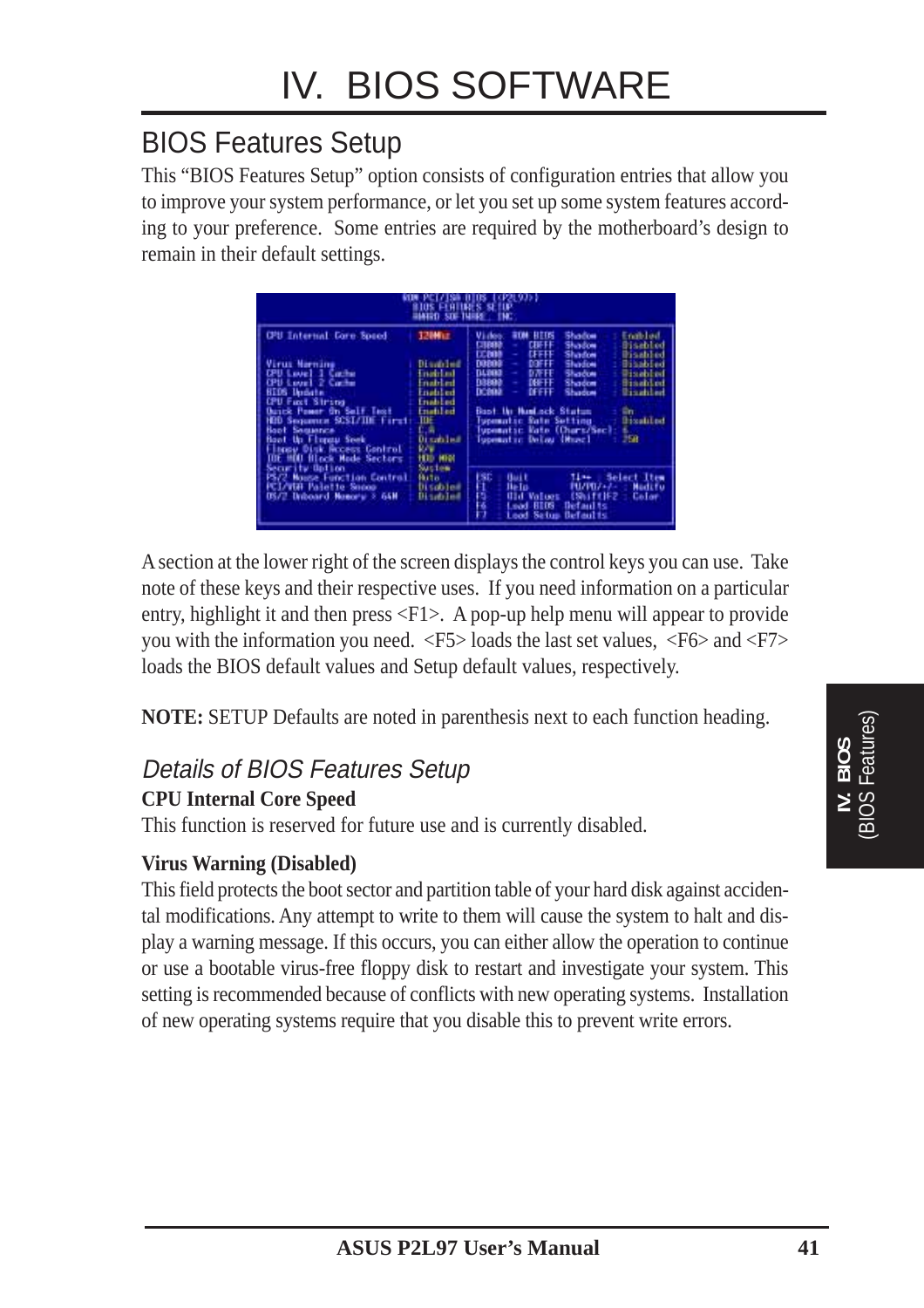## BIOS Features Setup

This "BIOS Features Setup" option consists of configuration entries that allow you to improve your system performance, or let you set up some system features according to your preference. Some entries are required by the motherboard's design to remain in their default settings.

| <b>CPU Internal Core Speed</b>                                                                                                                                                                                                                                                                                | 120Maz                                                                                                | <b>ROM RETIS</b><br>Video<br>Shadow<br>Englished<br>口田砂<br><b>Bischlod</b><br><b>CUFFF</b><br>Shadow<br>12800<br><b>UFFFF</b><br><b>Tisabled</b><br>Shadow<br>٠                                                                                                                                                                                                                                |
|---------------------------------------------------------------------------------------------------------------------------------------------------------------------------------------------------------------------------------------------------------------------------------------------------------------|-------------------------------------------------------------------------------------------------------|------------------------------------------------------------------------------------------------------------------------------------------------------------------------------------------------------------------------------------------------------------------------------------------------------------------------------------------------------------------------------------------------|
| Virus Narning<br>CPU Lovel 1 Cache<br><b>CPU Love1 2 Cache</b><br><b>BIDS Update</b><br>CPU Fust String<br><b>Duick Power On Self Test</b><br>HID Sequence SCSL/IIII First:<br><b>Boot Sequence</b><br><b>Boot the Elepsus Seek</b><br><b>Ingev Disk Recess Control</b><br><b>IDE MOU filock Mode Sectors</b> | Disubled<br>Ensided<br>Enabled<br>Enabled<br>Enabled<br><b>Enabled</b><br>ШE<br>Disabiled<br>HOD HODE | DIFFE<br>10000<br><b>Bihabled</b><br>Shadow<br>$\sim$<br>04000<br>DIFFE<br><b>Hackled</b><br>Shadow<br>$\sim$<br><b>DBB00</b><br>DEFF<br>Shadom<br><b>Bisabled</b><br><b>Separate</b><br>DCORA<br>DEETE<br>Shardow<br><b>Tinghled</b><br><b>Bust the Huntack Status</b><br>Gn.<br>Spematic Sale Setting<br><b>Bisabled</b><br>upematic Wate (Chart/Sec)<br>258<br><b>Isometri Delay (Minc)</b> |
| Security Ontion<br>PS/2 Nouse Function Control<br>PCL/VIA Palette Snoop<br>US/2 Daboard Nanoru 2 64H                                                                                                                                                                                                          | Suctom<br><b>Butto</b><br>Disable#<br><b>Bischlei</b>                                                 | ISD.<br><b>Built</b><br>Select Item<br>Time.<br><b>He In</b><br><b>FU/FO/+/+</b><br>н<br><b>Madifu</b><br>特色<br><b>Hid Values</b><br>(Shift)F2<br>Calor<br>Load B105<br>Defaul ts<br>Lood Satus Defaults                                                                                                                                                                                       |

A section at the lower right of the screen displays the control keys you can use. Take note of these keys and their respective uses. If you need information on a particular entry, highlight it and then press <F1>. A pop-up help menu will appear to provide you with the information you need. <F5> loads the last set values, <F6> and <F7> loads the BIOS default values and Setup default values, respectively.

**NOTE:** SETUP Defaults are noted in parenthesis next to each function heading.

### Details of BIOS Features Setup

#### **CPU Internal Core Speed**

This function is reserved for future use and is currently disabled.

#### **Virus Warning (Disabled)**

This field protects the boot sector and partition table of your hard disk against accidental modifications. Any attempt to write to them will cause the system to halt and display a warning message. If this occurs, you can either allow the operation to continue or use a bootable virus-free floppy disk to restart and investigate your system. This setting is recommended because of conflicts with new operating systems. Installation of new operating systems require that you disable this to prevent write errors.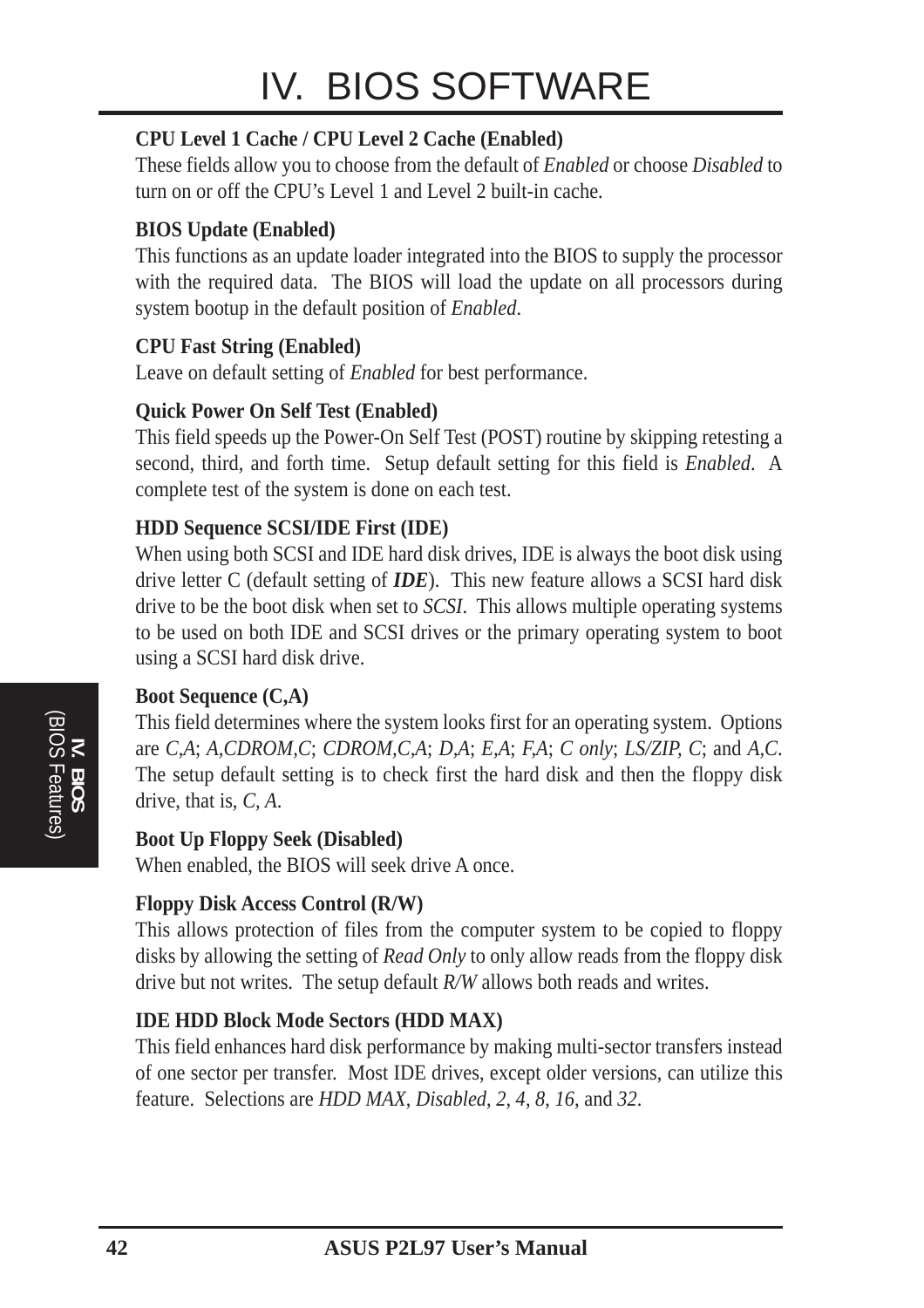#### **CPU Level 1 Cache / CPU Level 2 Cache (Enabled)**

These fields allow you to choose from the default of *Enabled* or choose *Disabled* to turn on or off the CPU's Level 1 and Level 2 built-in cache.

#### **BIOS Update (Enabled)**

This functions as an update loader integrated into the BIOS to supply the processor with the required data. The BIOS will load the update on all processors during system bootup in the default position of *Enabled*.

#### **CPU Fast String (Enabled)**

Leave on default setting of *Enabled* for best performance.

#### **Quick Power On Self Test (Enabled)**

This field speeds up the Power-On Self Test (POST) routine by skipping retesting a second, third, and forth time. Setup default setting for this field is *Enabled*. A complete test of the system is done on each test.

#### **HDD Sequence SCSI/IDE First (IDE)**

When using both SCSI and IDE hard disk drives, IDE is always the boot disk using drive letter C (default setting of *IDE*). This new feature allows a SCSI hard disk drive to be the boot disk when set to *SCSI*. This allows multiple operating systems to be used on both IDE and SCSI drives or the primary operating system to boot using a SCSI hard disk drive.

#### **Boot Sequence (C,A)**

This field determines where the system looks first for an operating system. Options are *C,A*; *A,CDROM,C*; *CDROM,C,A*; *D,A*; *E,A*; *F,A*; *C only*; *LS/ZIP, C*; and *A,C*. The setup default setting is to check first the hard disk and then the floppy disk drive, that is, *C, A*.

#### **Boot Up Floppy Seek (Disabled)**

When enabled, the BIOS will seek drive A once.

#### **Floppy Disk Access Control (R/W)**

This allows protection of files from the computer system to be copied to floppy disks by allowing the setting of *Read Only* to only allow reads from the floppy disk drive but not writes. The setup default *R/W* allows both reads and writes.

#### **IDE HDD Block Mode Sectors (HDD MAX)**

This field enhances hard disk performance by making multi-sector transfers instead of one sector per transfer. Most IDE drives, except older versions, can utilize this feature. Selections are *HDD MAX*, *Disabled*, *2*, *4*, *8*, *16*, and *32*.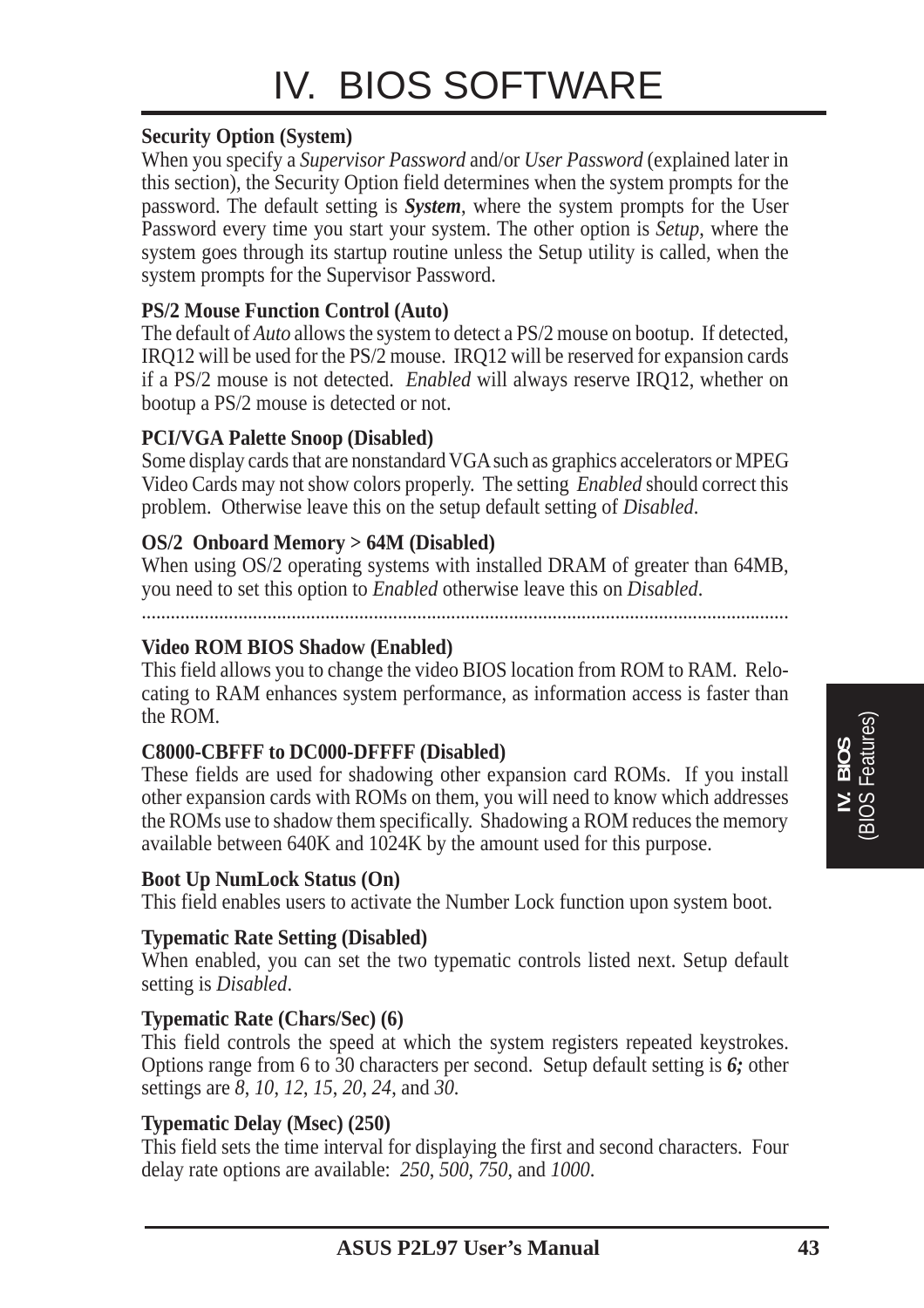#### **Security Option (System)**

When you specify a *Supervisor Password* and/or *User Password* (explained later in this section), the Security Option field determines when the system prompts for the password. The default setting is *System*, where the system prompts for the User Password every time you start your system. The other option is *Setup*, where the system goes through its startup routine unless the Setup utility is called, when the system prompts for the Supervisor Password.

#### **PS/2 Mouse Function Control (Auto)**

The default of *Auto* allows the system to detect a PS/2 mouse on bootup. If detected, IRQ12 will be used for the PS/2 mouse. IRQ12 will be reserved for expansion cards if a PS/2 mouse is not detected. *Enabled* will always reserve IRQ12, whether on bootup a PS/2 mouse is detected or not.

#### **PCI/VGA Palette Snoop (Disabled)**

Some display cards that are nonstandard VGA such as graphics accelerators or MPEG Video Cards may not show colors properly. The setting *Enabled* should correct this problem. Otherwise leave this on the setup default setting of *Disabled*.

#### **OS/2 Onboard Memory > 64M (Disabled)**

When using OS/2 operating systems with installed DRAM of greater than 64MB, you need to set this option to *Enabled* otherwise leave this on *Disabled*.

......................................................................................................................................

#### **Video ROM BIOS Shadow (Enabled)**

This field allows you to change the video BIOS location from ROM to RAM. Relocating to RAM enhances system performance, as information access is faster than the ROM.

#### **C8000-CBFFF to DC000-DFFFF (Disabled)**

These fields are used for shadowing other expansion card ROMs. If you install other expansion cards with ROMs on them, you will need to know which addresses the ROMs use to shadow them specifically. Shadowing a ROM reduces the memory available between 640K and 1024K by the amount used for this purpose.

#### **Boot Up NumLock Status (On)**

This field enables users to activate the Number Lock function upon system boot.

#### **Typematic Rate Setting (Disabled)**

When enabled, you can set the two typematic controls listed next. Setup default setting is *Disabled*.

#### **Typematic Rate (Chars/Sec) (6)**

This field controls the speed at which the system registers repeated keystrokes. Options range from 6 to 30 characters per second. Setup default setting is *6;* other settings are *8*, *10*, *12*, *15*, *20*, *24*, and *30*.

#### **Typematic Delay (Msec) (250)**

This field sets the time interval for displaying the first and second characters. Four delay rate options are available: *250*, *500*, *750*, and *1000*.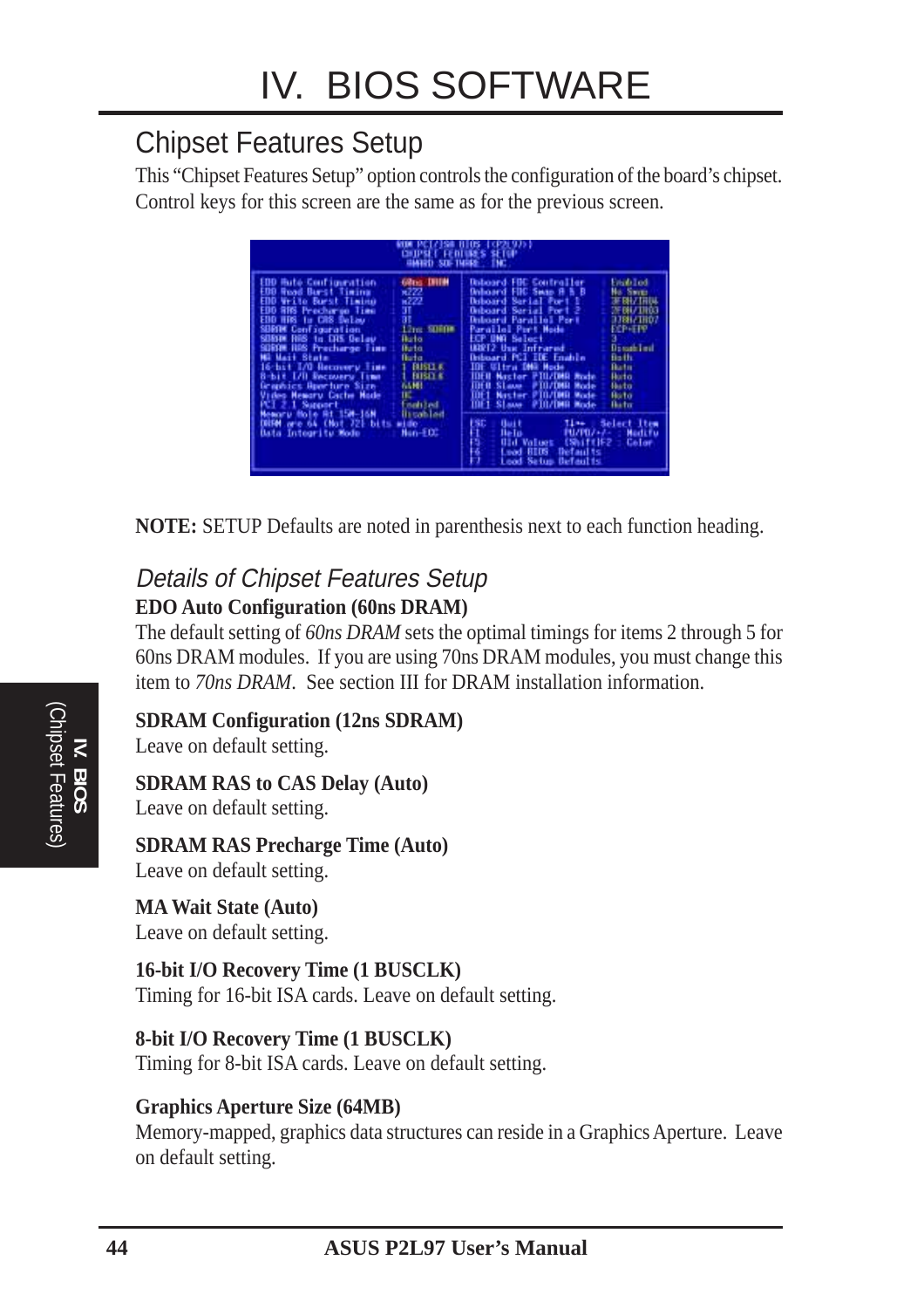## Chipset Features Setup

This "Chipset Features Setup" option controls the configuration of the board's chipset. Control keys for this screen are the same as for the previous screen.

|                                                                                                                                                                                                                                                                                                                                                                                   | <b>CHIPSET FEBTURES SETUP</b><br>HARD SOFTWARE THE                                                                                                                  |                                                                                                                                                                                                                                                                                                                                                                                                    |                                                                                                                                                                               |
|-----------------------------------------------------------------------------------------------------------------------------------------------------------------------------------------------------------------------------------------------------------------------------------------------------------------------------------------------------------------------------------|---------------------------------------------------------------------------------------------------------------------------------------------------------------------|----------------------------------------------------------------------------------------------------------------------------------------------------------------------------------------------------------------------------------------------------------------------------------------------------------------------------------------------------------------------------------------------------|-------------------------------------------------------------------------------------------------------------------------------------------------------------------------------|
| EDD Huté Configuration<br>EDD Road Burst Timing<br>EDD Write Burst Timing<br>EDD RFG Precharge Time<br>EDD HTG In CAS Delay<br>SURFIX Configuration<br>SORIAM RAS 1n CAS Delay<br>SURFAL RAS Precharge Time<br><b>Mil Maii State</b><br>16-bit 1/0 Recovery Time<br><b>B-bit L/D Encouers lime</b><br>Graphics Hoorture Size-<br>Video Memory Cache Mode<br><b>CI 2.1 Support</b> | <b>GREE INTH</b><br>m222<br>w222<br>ш<br>зŧ<br>12mm 50 lift#<br><b>Bato</b><br><b>Hata</b><br><b>Hata</b><br>1 BUSCLE<br><b>BIRD K</b><br>65.ML<br><b>Englished</b> | Disboard: FBC: Contraller<br>Doboard FDC Smap A 5.B<br>Deboard Serial Fort 1<br><b>Onboard Serial Fort 2</b><br>Doboard Parallol Port<br>Parallol Port Mode<br>ECP UNA Select<br>UNET2 Use Infrared<br>Doboard PCI IDE Enable<br><b>IDE Witra DMW Mode</b><br><b>IDEN Master PTU/DMA Mode</b><br><b>IBER SLave #10/DNR Mode</b><br>Noster PTO/DHI Wode<br>IIIF1.<br><b>IDE1 Slave #10/DHR Wode</b> | <b>Englished</b><br><b>No. Switz</b><br>准则刀用具<br>2700/1003<br>378H/TH07<br>ECP+ERP<br><b>Basakled</b><br>Bath<br>Bata<br>Hirta<br><b>Hata</b><br><b>Ballo</b><br><b>Birtu</b> |
| Memory Role Rt 15M-16M<br><b>DURM are 64 (Mot 72) bits</b><br>Data Integrity Mode                                                                                                                                                                                                                                                                                                 | <b>Urtobled</b><br>mide:<br>Non-EDC                                                                                                                                 | ISC.<br><b>Quit</b><br>1146<br>FU/F07+7 - -<br>lle lu-<br>白暗語<br><b>IShiftlez</b><br><b>Hid Values</b><br>EtH bot<br><b>Befaults</b><br>Lood Satus Defaults                                                                                                                                                                                                                                        | Select Item<br><b>Madifu</b><br>Calor                                                                                                                                         |

**NOTE:** SETUP Defaults are noted in parenthesis next to each function heading.

#### Details of Chipset Features Setup **EDO Auto Configuration (60ns DRAM)**

The default setting of *60ns DRAM* sets the optimal timings for items 2 through 5 for 60ns DRAM modules. If you are using 70ns DRAM modules, you must change this item to *70ns DRAM*. See section III for DRAM installation information.

**SDRAM Configuration (12ns SDRAM)**

Leave on default setting.

#### **SDRAM RAS to CAS Delay (Auto)**

Leave on default setting.

**SDRAM RAS Precharge Time (Auto)** Leave on default setting.

#### **MA Wait State (Auto)**

Leave on default setting.

**16-bit I/O Recovery Time (1 BUSCLK)** Timing for 16-bit ISA cards. Leave on default setting.

#### **8-bit I/O Recovery Time (1 BUSCLK)**

Timing for 8-bit ISA cards. Leave on default setting.

#### **Graphics Aperture Size (64MB)**

Memory-mapped, graphics data structures can reside in a Graphics Aperture. Leave on default setting.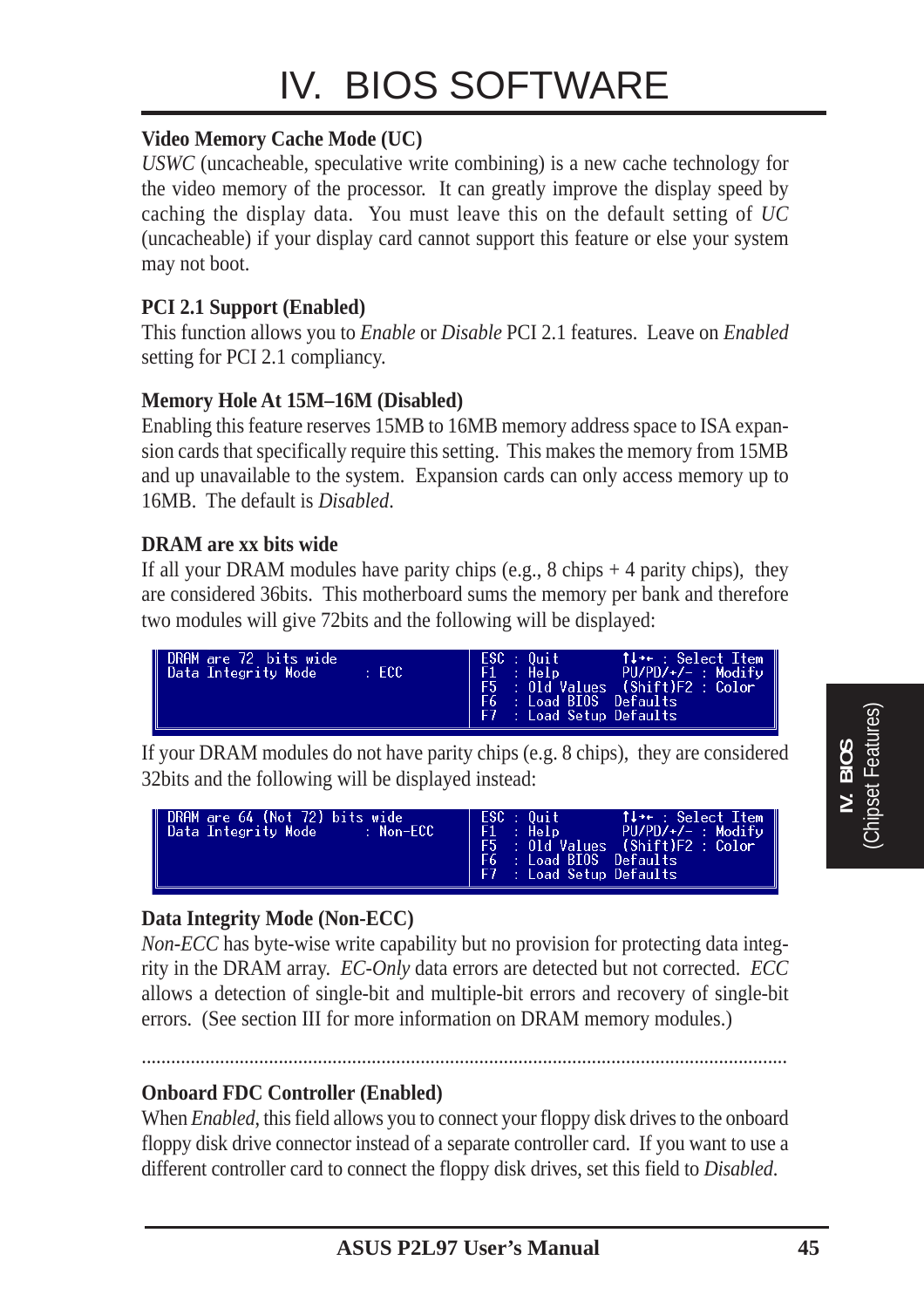# IV. BIOS SOFTWARE

#### **Video Memory Cache Mode (UC)**

*USWC* (uncacheable, speculative write combining) is a new cache technology for the video memory of the processor. It can greatly improve the display speed by caching the display data. You must leave this on the default setting of *UC* (uncacheable) if your display card cannot support this feature or else your system may not boot.

#### **PCI 2.1 Support (Enabled)**

This function allows you to *Enable* or *Disable* PCI 2.1 features. Leave on *Enabled* setting for PCI 2.1 compliancy.

#### **Memory Hole At 15M–16M (Disabled)**

Enabling this feature reserves 15MB to 16MB memory address space to ISA expansion cards that specifically require this setting. This makes the memory from 15MB and up unavailable to the system. Expansion cards can only access memory up to 16MB. The default is *Disabled*.

#### **DRAM are xx bits wide**

If all your DRAM modules have parity chips (e.g., 8 chips  $+$  4 parity chips), they are considered 36bits. This motherboard sums the memory per bank and therefore two modules will give 72bits and the following will be displayed:



If your DRAM modules do not have parity chips (e.g. 8 chips), they are considered 32bits and the following will be displayed instead:



#### **Data Integrity Mode (Non-ECC)**

*Non-ECC* has byte-wise write capability but no provision for protecting data integrity in the DRAM array. *EC-Only* data errors are detected but not corrected. *ECC* allows a detection of single-bit and multiple-bit errors and recovery of single-bit errors. (See section III for more information on DRAM memory modules.)

....................................................................................................................................

#### **Onboard FDC Controller (Enabled)**

When *Enabled*, this field allows you to connect your floppy disk drives to the onboard floppy disk drive connector instead of a separate controller card. If you want to use a different controller card to connect the floppy disk drives, set this field to *Disabled*.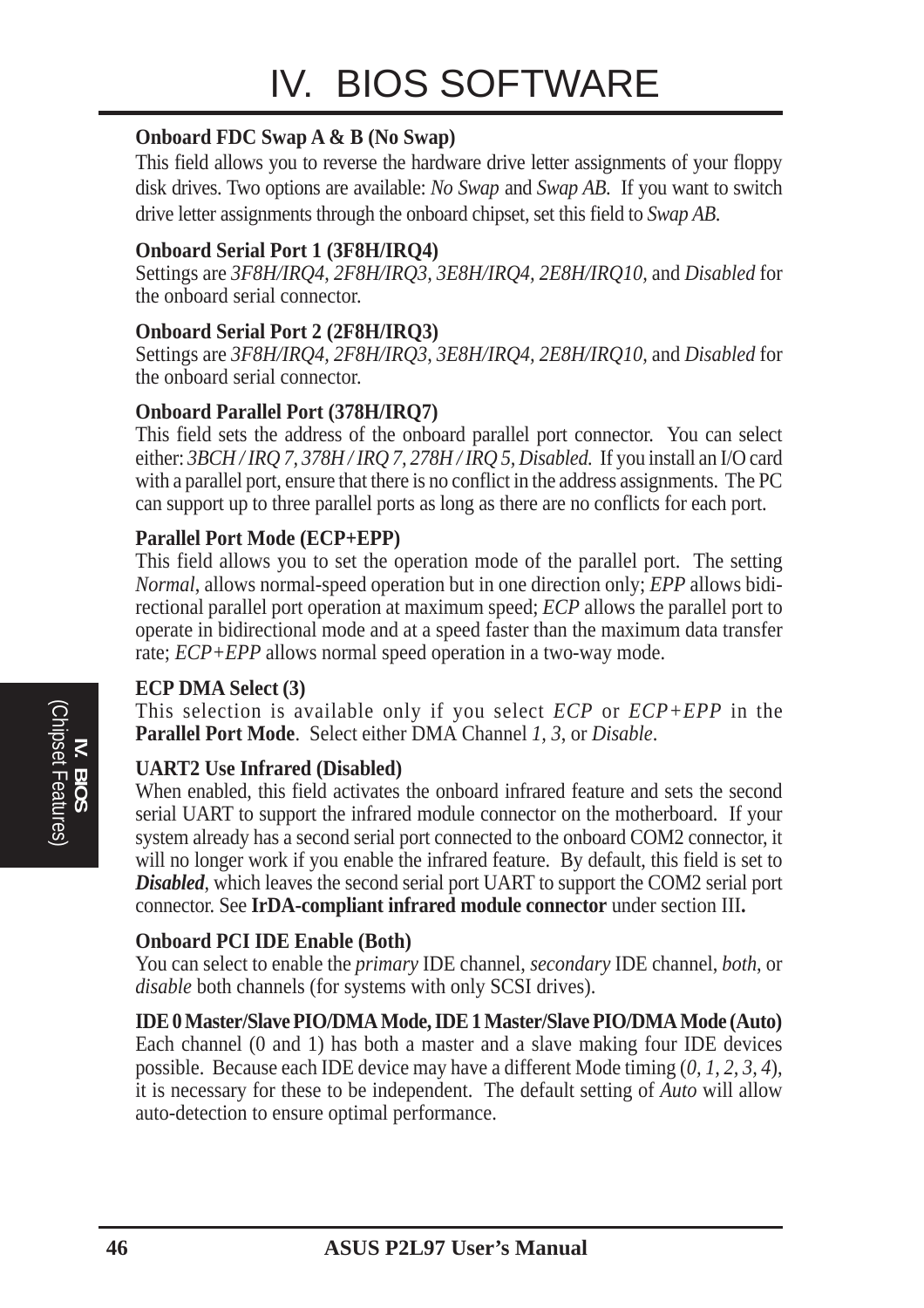#### **Onboard FDC Swap A & B (No Swap)**

This field allows you to reverse the hardware drive letter assignments of your floppy disk drives. Two options are available: *No Swap* and *Swap AB*. If you want to switch drive letter assignments through the onboard chipset, set this field to *Swap AB*.

#### **Onboard Serial Port 1 (3F8H/IRQ4)**

Settings are *3F8H/IRQ4*, *2F8H/IRQ3, 3E8H/IRQ4, 2E8H/IRQ10,* and *Disabled* for the onboard serial connector.

#### **Onboard Serial Port 2 (2F8H/IRQ3)**

Settings are *3F8H/IRQ4, 2F8H/IRQ3*, *3E8H/IRQ4, 2E8H/IRQ10,* and *Disabled* for the onboard serial connector.

#### **Onboard Parallel Port (378H/IRQ7)**

This field sets the address of the onboard parallel port connector. You can select either: *3BCH / IRQ 7, 378H / IRQ 7, 278H / IRQ 5, Disabled.* If you install an I/O card with a parallel port, ensure that there is no conflict in the address assignments. The PC can support up to three parallel ports as long as there are no conflicts for each port.

#### **Parallel Port Mode (ECP+EPP)**

This field allows you to set the operation mode of the parallel port. The setting *Normal*, allows normal-speed operation but in one direction only; *EPP* allows bidirectional parallel port operation at maximum speed; *ECP* allows the parallel port to operate in bidirectional mode and at a speed faster than the maximum data transfer rate; *ECP+EPP* allows normal speed operation in a two-way mode.

#### **ECP DMA Select (3)**

This selection is available only if you select *ECP* or *ECP+EPP* in the **Parallel Port Mode**. Select either DMA Channel *1, 3*, or *Disable*.

#### **UART2 Use Infrared (Disabled)**

When enabled, this field activates the onboard infrared feature and sets the second serial UART to support the infrared module connector on the motherboard. If your system already has a second serial port connected to the onboard COM2 connector, it will no longer work if you enable the infrared feature. By default, this field is set to *Disabled*, which leaves the second serial port UART to support the COM2 serial port connector. See **IrDA-compliant infrared module connector** under section III**.**

#### **Onboard PCI IDE Enable (Both)**

You can select to enable the *primary* IDE channel, *secondary* IDE channel, *both*, or *disable* both channels (for systems with only SCSI drives).

#### **IDE 0 Master/Slave PIO/DMA Mode, IDE 1 Master/Slave PIO/DMA Mode (Auto)**

Each channel (0 and 1) has both a master and a slave making four IDE devices possible. Because each IDE device may have a different Mode timing (*0, 1, 2, 3, 4*), it is necessary for these to be independent. The default setting of *Auto* will allow auto-detection to ensure optimal performance.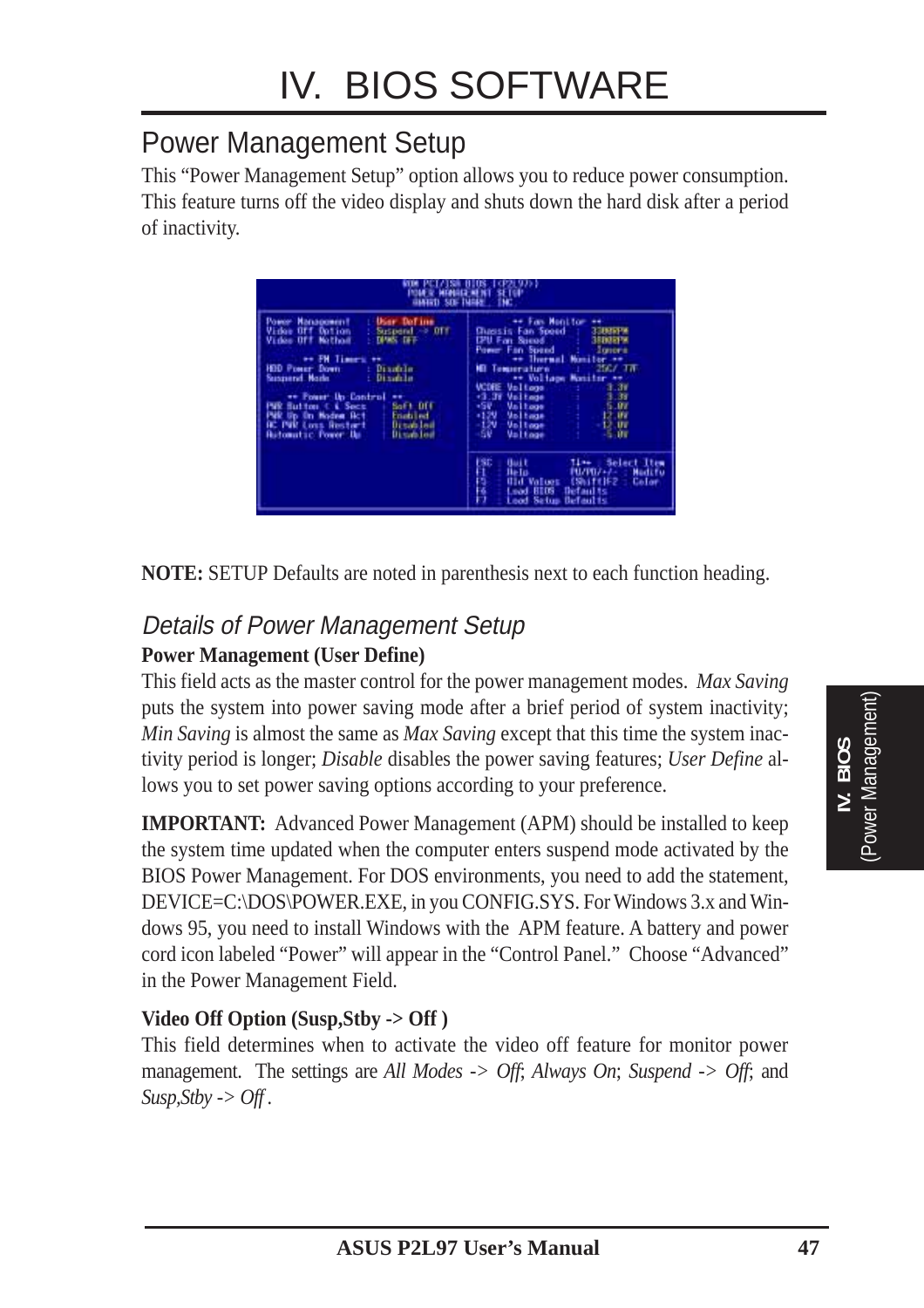## Power Management Setup

This "Power Management Setup" option allows you to reduce power consumption. This feature turns off the video display and shuts down the hard disk after a period of inactivity.



**NOTE:** SETUP Defaults are noted in parenthesis next to each function heading.

### Details of Power Management Setup **Power Management (User Define)**

This field acts as the master control for the power management modes. *Max Saving* puts the system into power saving mode after a brief period of system inactivity; *Min Saving* is almost the same as *Max Saving* except that this time the system inactivity period is longer; *Disable* disables the power saving features; *User Define* allows you to set power saving options according to your preference.

**IMPORTANT:** Advanced Power Management (APM) should be installed to keep the system time updated when the computer enters suspend mode activated by the BIOS Power Management. For DOS environments, you need to add the statement, DEVICE=C:\DOS\POWER.EXE, in you CONFIG.SYS. For Windows 3.x and Windows 95, you need to install Windows with the APM feature. A battery and power cord icon labeled "Power" will appear in the "Control Panel." Choose "Advanced" in the Power Management Field.

#### **Video Off Option (Susp,Stby -> Off )**

This field determines when to activate the video off feature for monitor power management. The settings are *All Modes -> Off*; *Always On*; *Suspend -> Off*; and *Susp,Stby -> Off .*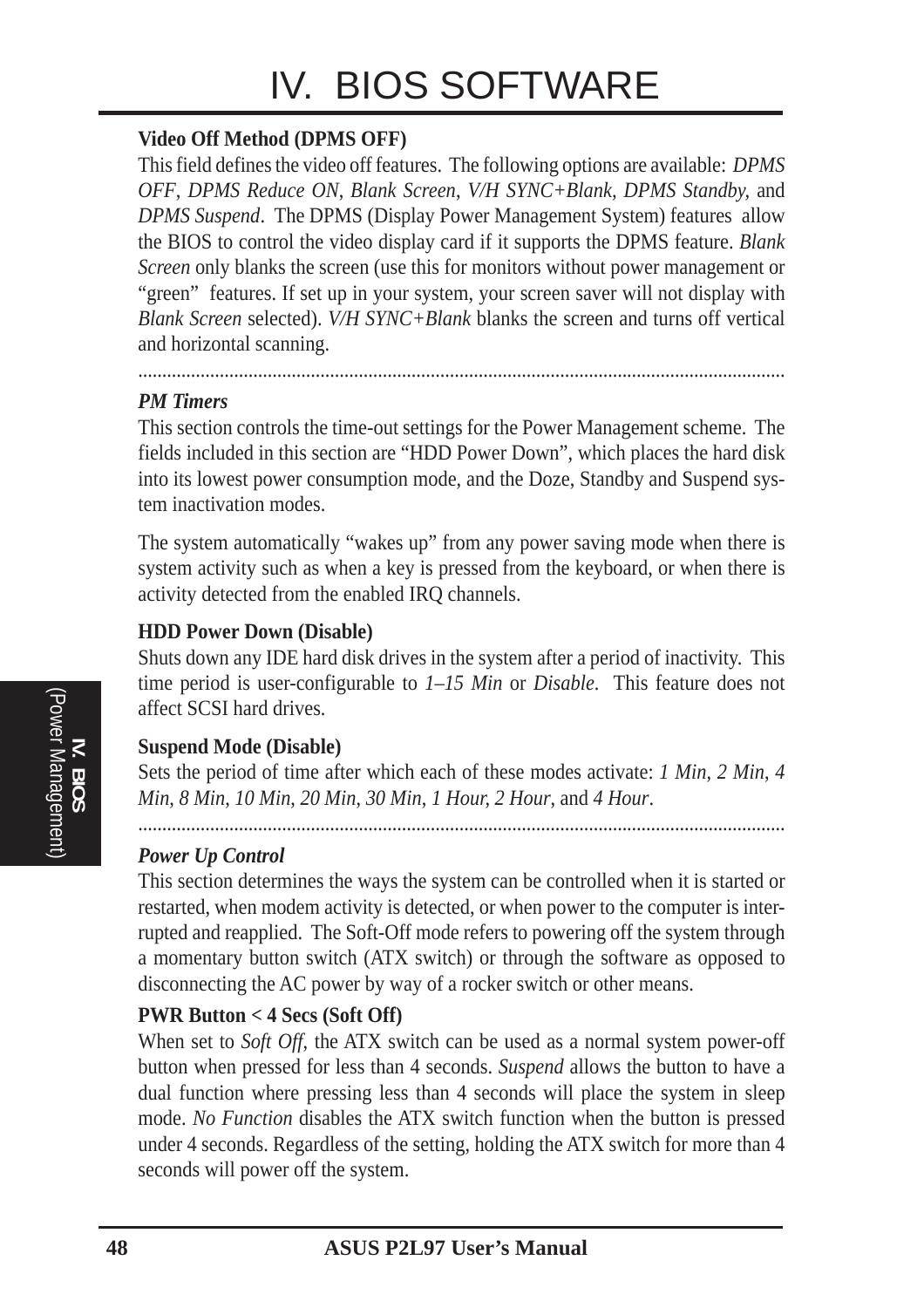# IV. BIOS SOFTWARE

#### **Video Off Method (DPMS OFF)**

This field defines the video off features. The following options are available: *DPMS OFF*, *DPMS Reduce ON*, *Blank Screen*, *V/H SYNC+Blank, DPMS Standby,* and *DPMS Suspend*. The DPMS (Display Power Management System) features allow the BIOS to control the video display card if it supports the DPMS feature. *Blank Screen* only blanks the screen (use this for monitors without power management or "green" features. If set up in your system, your screen saver will not display with *Blank Screen* selected). *V/H SYNC+Blank* blanks the screen and turns off vertical and horizontal scanning.

#### *PM Timers*

This section controls the time-out settings for the Power Management scheme. The fields included in this section are "HDD Power Down", which places the hard disk into its lowest power consumption mode, and the Doze, Standby and Suspend system inactivation modes.

The system automatically "wakes up" from any power saving mode when there is system activity such as when a key is pressed from the keyboard, or when there is activity detected from the enabled IRQ channels.

#### **HDD Power Down (Disable)**

Shuts down any IDE hard disk drives in the system after a period of inactivity. This time period is user-configurable to *1–15 Min* or *Disable*. This feature does not affect SCSI hard drives.

#### **Suspend Mode (Disable)**

Sets the period of time after which each of these modes activate: *1 Min*, *2 Min*, *4 Min*, *8 Min*, *10 Min*, *20 Min*, *30 Min*, *1 Hour, 2 Hour*, and *4 Hour*.

.......................................................................................................................................

#### *Power Up Control*

This section determines the ways the system can be controlled when it is started or restarted, when modem activity is detected, or when power to the computer is interrupted and reapplied. The Soft-Off mode refers to powering off the system through a momentary button switch (ATX switch) or through the software as opposed to disconnecting the AC power by way of a rocker switch or other means.

#### **PWR Button < 4 Secs (Soft Off)**

When set to *Soft Off*, the ATX switch can be used as a normal system power-off button when pressed for less than 4 seconds. *Suspend* allows the button to have a dual function where pressing less than 4 seconds will place the system in sleep mode. *No Function* disables the ATX switch function when the button is pressed under 4 seconds. Regardless of the setting, holding the ATX switch for more than 4 seconds will power off the system.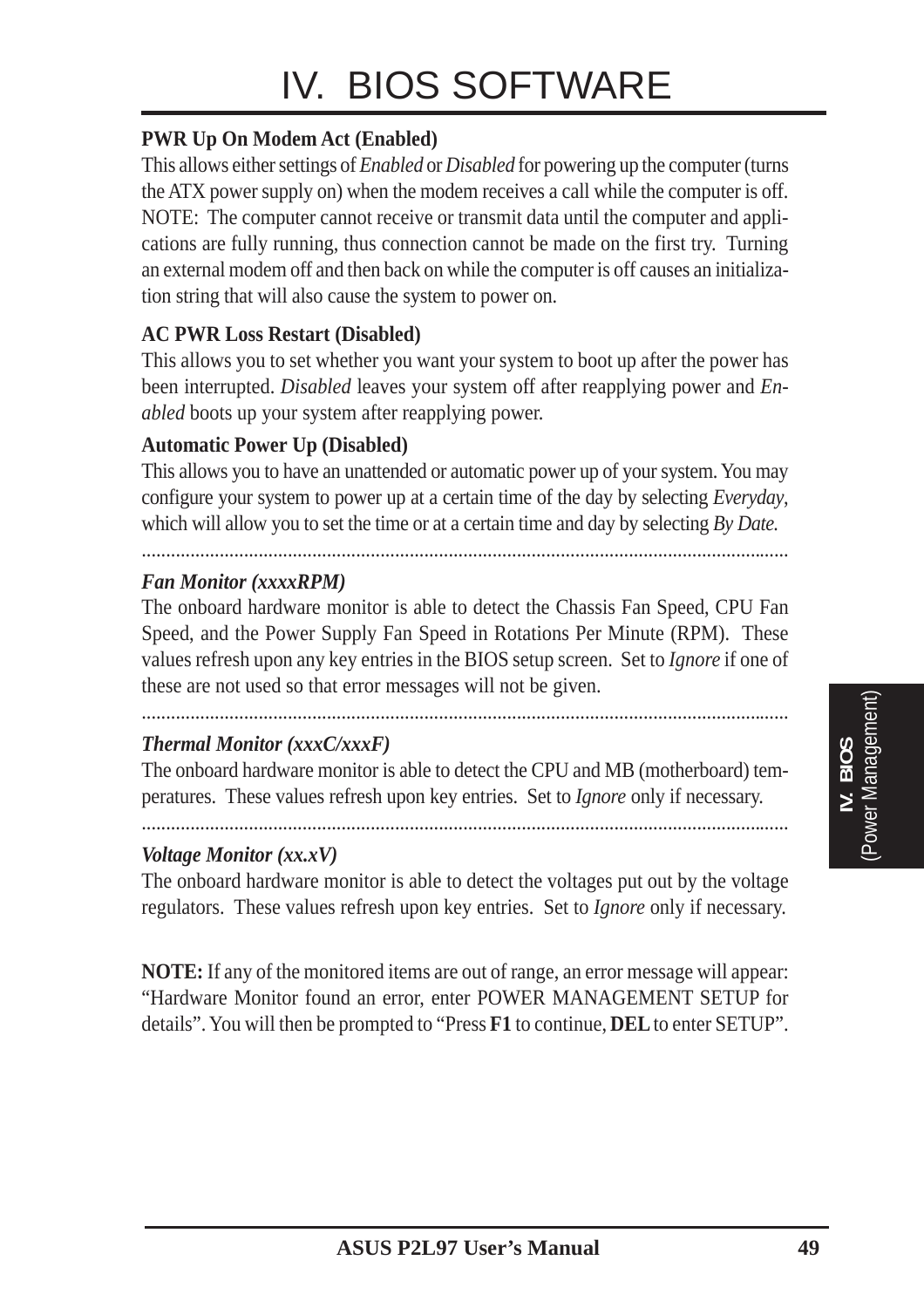# IV. BIOS SOFTWARE

#### **PWR Up On Modem Act (Enabled)**

This allows either settings of *Enabled* or *Disabled* for powering up the computer (turns the ATX power supply on) when the modem receives a call while the computer is off. NOTE: The computer cannot receive or transmit data until the computer and applications are fully running, thus connection cannot be made on the first try. Turning an external modem off and then back on while the computer is off causes an initialization string that will also cause the system to power on.

#### **AC PWR Loss Restart (Disabled)**

This allows you to set whether you want your system to boot up after the power has been interrupted. *Disabled* leaves your system off after reapplying power and *Enabled* boots up your system after reapplying power.

#### **Automatic Power Up (Disabled)**

This allows you to have an unattended or automatic power up of your system. You may configure your system to power up at a certain time of the day by selecting *Everyday*, which will allow you to set the time or at a certain time and day by selecting *By Date.*

.....................................................................................................................................

#### *Fan Monitor (xxxxRPM)*

The onboard hardware monitor is able to detect the Chassis Fan Speed, CPU Fan Speed, and the Power Supply Fan Speed in Rotations Per Minute (RPM). These values refresh upon any key entries in the BIOS setup screen. Set to *Ignore* if one of these are not used so that error messages will not be given.

.....................................................................................................................................

#### *Thermal Monitor (xxxC/xxxF)*

The onboard hardware monitor is able to detect the CPU and MB (motherboard) temperatures. These values refresh upon key entries. Set to *Ignore* only if necessary.

.....................................................................................................................................

#### *Voltage Monitor (xx.xV)*

The onboard hardware monitor is able to detect the voltages put out by the voltage regulators. These values refresh upon key entries. Set to *Ignore* only if necessary.

**NOTE:** If any of the monitored items are out of range, an error message will appear: "Hardware Monitor found an error, enter POWER MANAGEMENT SETUP for details". You will then be prompted to "Press **F1** to continue, **DEL** to enter SETUP".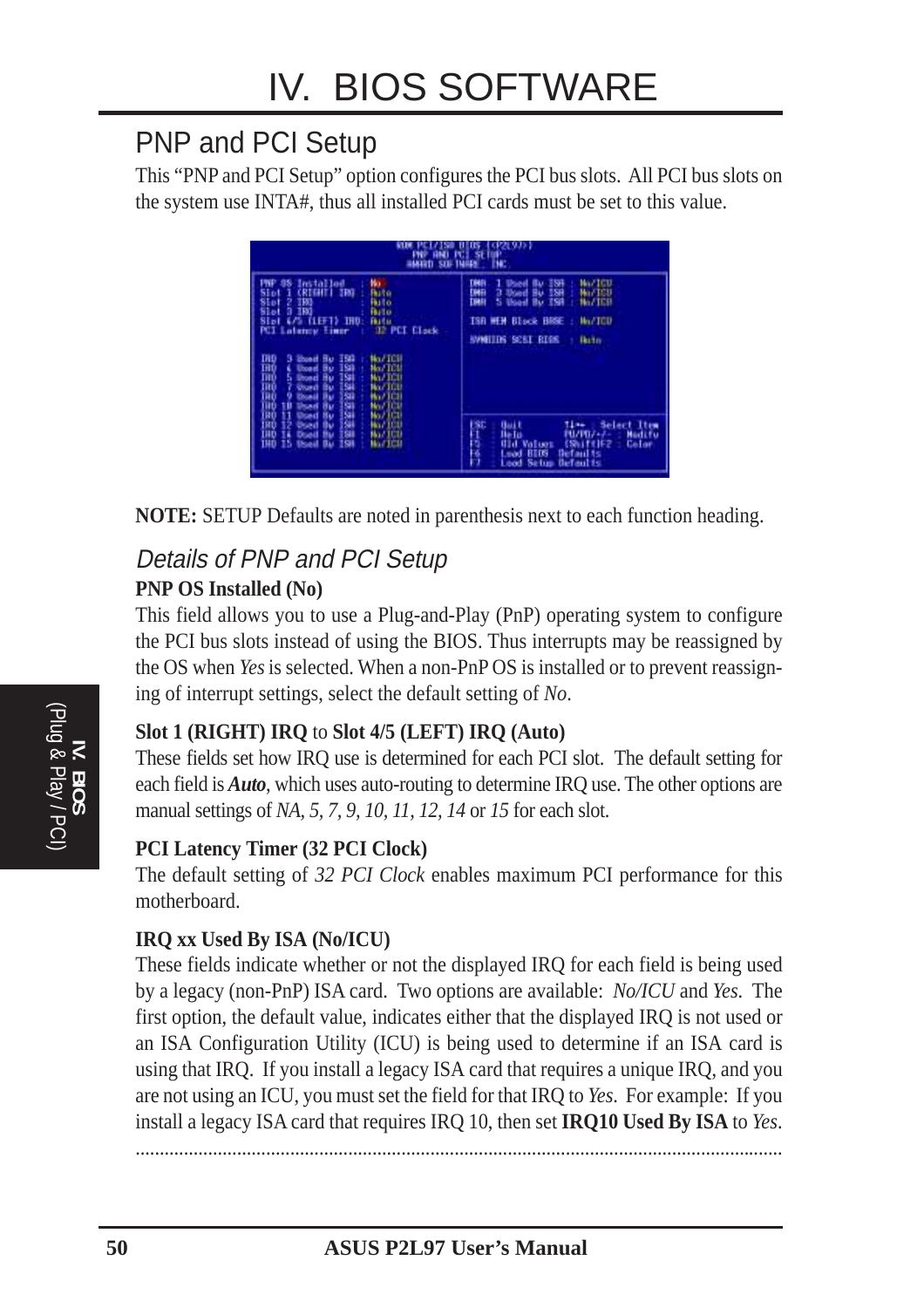## PNP and PCI Setup

This "PNP and PCI Setup" option configures the PCI bus slots. All PCI bus slots on the system use INTA#, thus all installed PCI cards must be set to this value.

|                                                                                                                                                                                                                                  | PHP AND PCI SETUP<br>HARRI SOFTMARE THE                                                                                                                                                                 |
|----------------------------------------------------------------------------------------------------------------------------------------------------------------------------------------------------------------------------------|---------------------------------------------------------------------------------------------------------------------------------------------------------------------------------------------------------|
| PNP 95 Installed<br>160.<br>Siot I (RIGHT) IND<br><b>Buto</b><br>Stot 2.180<br>Buto.<br>Slot 3 IR0<br><b>Bato</b><br>Stat 4/5 (1EF1) IRD:<br><b>Butto</b><br><b>32 PCI Clack</b><br>PCI Latency timer :                          | Maz1CU<br>1 Used By 198<br>DMA<br>DHR<br>3 Used By 158<br><b>Number</b><br><b>NUTCH</b><br>5 Used By 198<br><b>THART</b><br>ISR MEM Block BRSE :<br><b>HuzTED</b><br>SWALLDS SCSI RIGS<br><b>S Buin</b> |
| $\frac{\text{m0}}{\text{m0}}$<br>No. TCD<br>3 Bond Bu 193<br><b>6 Used By 198</b><br>No/TCU<br>No/TCD<br>5 Used By 198<br>7 Bord By 194<br>Naz TCU<br>9 Doed By 198<br>₩Æ<br>闇<br><b>18 Ilsed By</b><br>$6.71 - 1$<br>11 Sted By | ŧж<br><b>Built</b><br>Select Item<br>1100                                                                                                                                                               |
| <b>Baz ICD</b><br>IHO 14 Dued By<br>190<br>IHD 15 Boed Bu 198                                                                                                                                                                    | 白尾鳥<br><b>Help</b><br><b>PU/PD/+/+</b> =<br><b>Madifu</b><br><b>Hid Values</b><br>CShiftlE2 1<br>Calar<br>Load B109 Defaults<br><b>Lood Satus Defaults</b>                                              |

**NOTE:** SETUP Defaults are noted in parenthesis next to each function heading.

# Details of PNP and PCI Setup

#### **PNP OS Installed (No)**

This field allows you to use a Plug-and-Play (PnP) operating system to configure the PCI bus slots instead of using the BIOS. Thus interrupts may be reassigned by the OS when *Yes* is selected. When a non-PnP OS is installed or to prevent reassigning of interrupt settings, select the default setting of *No*.

#### **Slot 1 (RIGHT) IRQ** to **Slot 4/5 (LEFT) IRQ (Auto)**

These fields set how IRQ use is determined for each PCI slot. The default setting for each field is *Auto*, which uses auto-routing to determine IRQ use. The other options are manual settings of *NA, 5, 7, 9, 10, 11, 12, 14* or *15* for each slot.

#### **PCI Latency Timer (32 PCI Clock)**

The default setting of *32 PCI Clock* enables maximum PCI performance for this motherboard.

#### **IRQ xx Used By ISA (No/ICU)**

These fields indicate whether or not the displayed IRQ for each field is being used by a legacy (non-PnP) ISA card. Two options are available: *No/ICU* and *Yes*. The first option, the default value, indicates either that the displayed IRQ is not used or an ISA Configuration Utility (ICU) is being used to determine if an ISA card is using that IRQ. If you install a legacy ISA card that requires a unique IRQ, and you are not using an ICU, you must set the field for that IRQ to *Yes*. For example: If you install a legacy ISA card that requires IRQ 10, then set **IRQ10 Used By ISA** to *Yes*.

......................................................................................................................................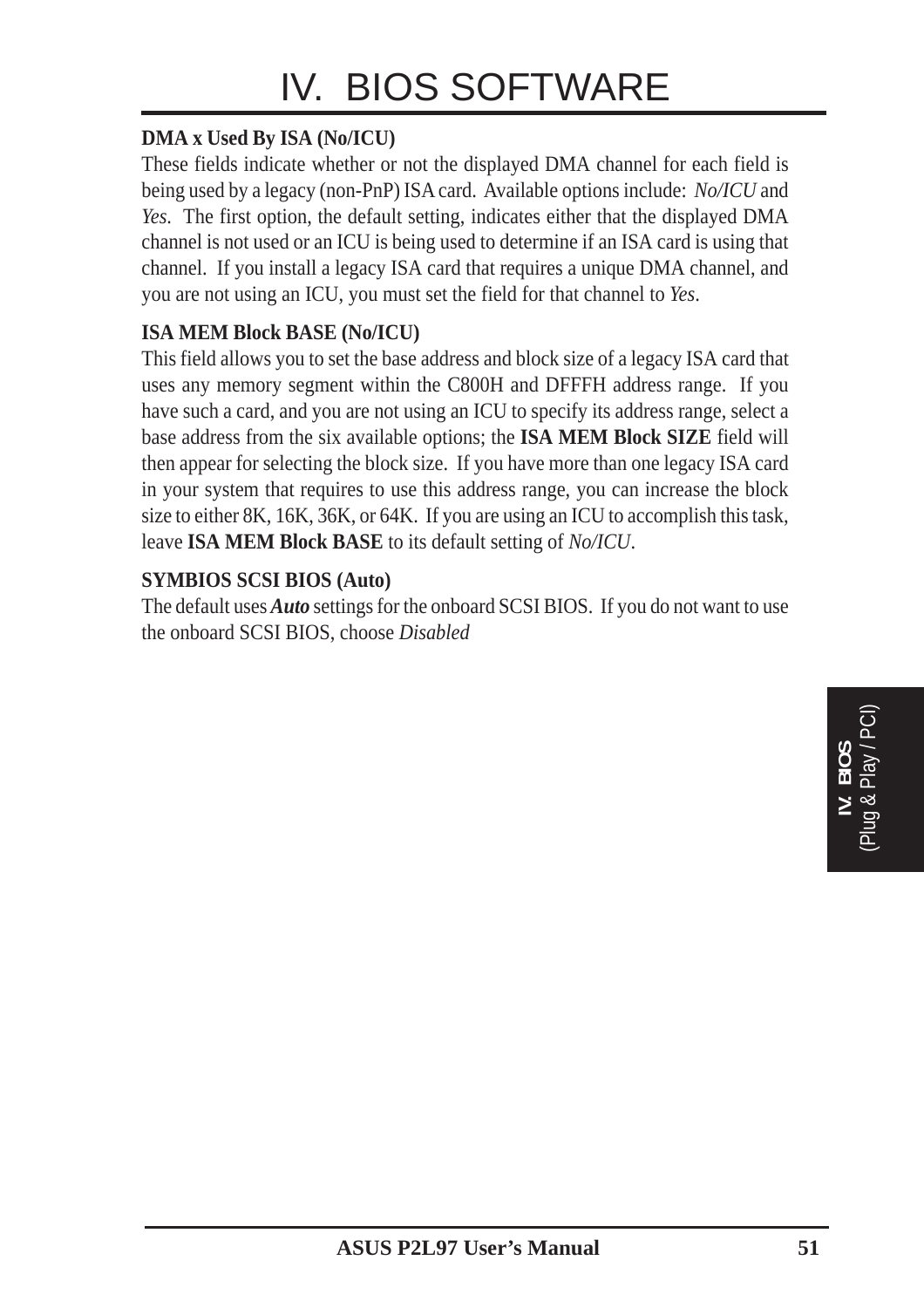#### **DMA x Used By ISA (No/ICU)**

These fields indicate whether or not the displayed DMA channel for each field is being used by a legacy (non-PnP) ISA card. Available options include: *No/ICU* and *Yes*. The first option, the default setting, indicates either that the displayed DMA channel is not used or an ICU is being used to determine if an ISA card is using that channel. If you install a legacy ISA card that requires a unique DMA channel, and you are not using an ICU, you must set the field for that channel to *Yes*.

#### **ISA MEM Block BASE (No/ICU)**

This field allows you to set the base address and block size of a legacy ISA card that uses any memory segment within the C800H and DFFFH address range. If you have such a card, and you are not using an ICU to specify its address range, select a base address from the six available options; the **ISA MEM Block SIZE** field will then appear for selecting the block size. If you have more than one legacy ISA card in your system that requires to use this address range, you can increase the block size to either 8K, 16K, 36K, or 64K. If you are using an ICU to accomplish this task, leave **ISA MEM Block BASE** to its default setting of *No/ICU*.

#### **SYMBIOS SCSI BIOS (Auto)**

The default uses *Auto* settings for the onboard SCSI BIOS. If you do not want to use the onboard SCSI BIOS, choose *Disabled*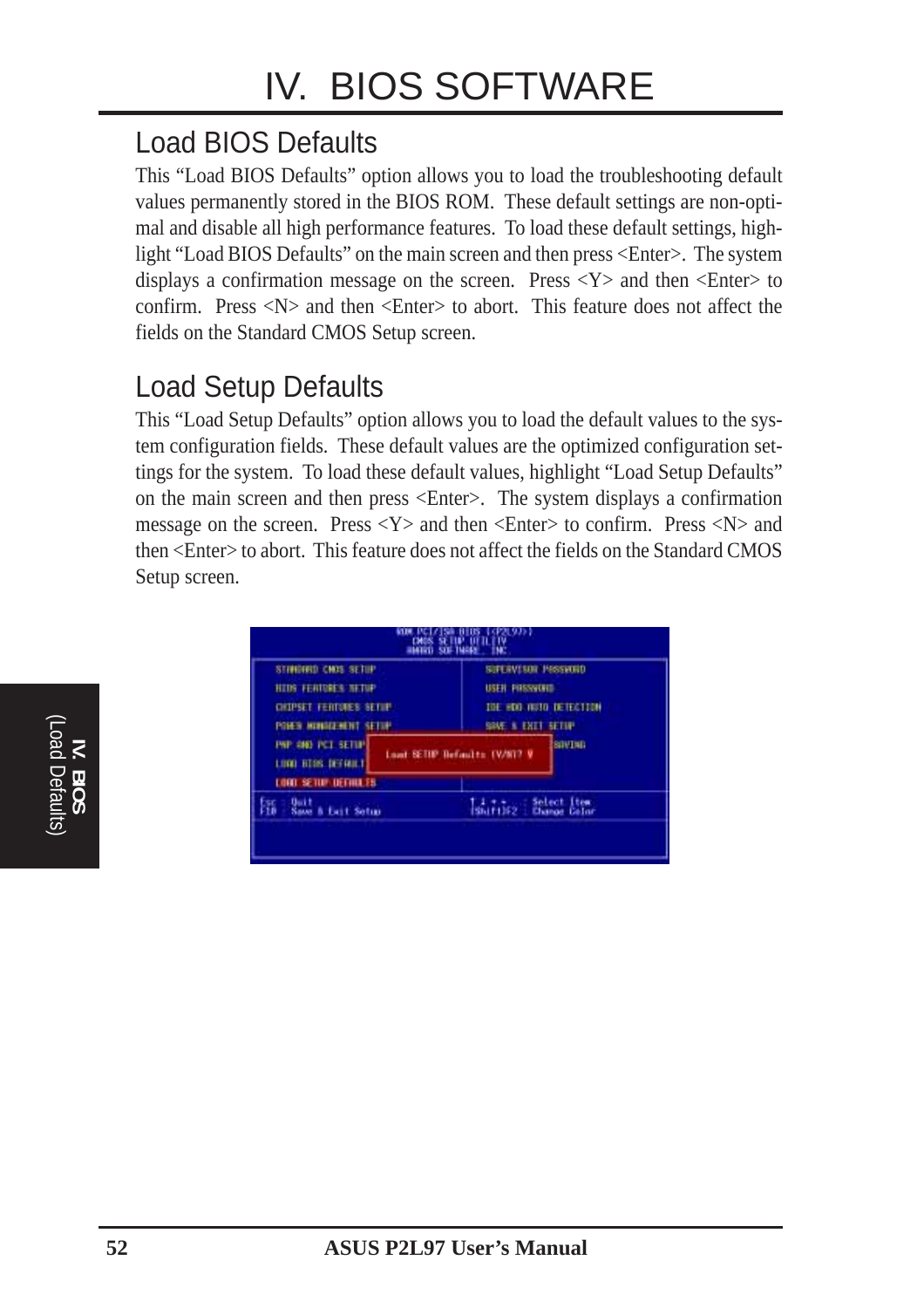## Load BIOS Defaults

This "Load BIOS Defaults" option allows you to load the troubleshooting default values permanently stored in the BIOS ROM. These default settings are non-optimal and disable all high performance features. To load these default settings, highlight "Load BIOS Defaults" on the main screen and then press <Enter>. The system displays a confirmation message on the screen. Press  $\langle Y \rangle$  and then  $\langle$ Enter $\rangle$  to confirm. Press  $\langle N \rangle$  and then  $\langle$ Enter $\rangle$  to abort. This feature does not affect the fields on the Standard CMOS Setup screen.

## Load Setup Defaults

This "Load Setup Defaults" option allows you to load the default values to the system configuration fields. These default values are the optimized configuration settings for the system. To load these default values, highlight "Load Setup Defaults" on the main screen and then press <Enter>. The system displays a confirmation message on the screen. Press <Y> and then <Enter> to confirm. Press <N> and then <Enter> to abort. This feature does not affect the fields on the Standard CMOS Setup screen.



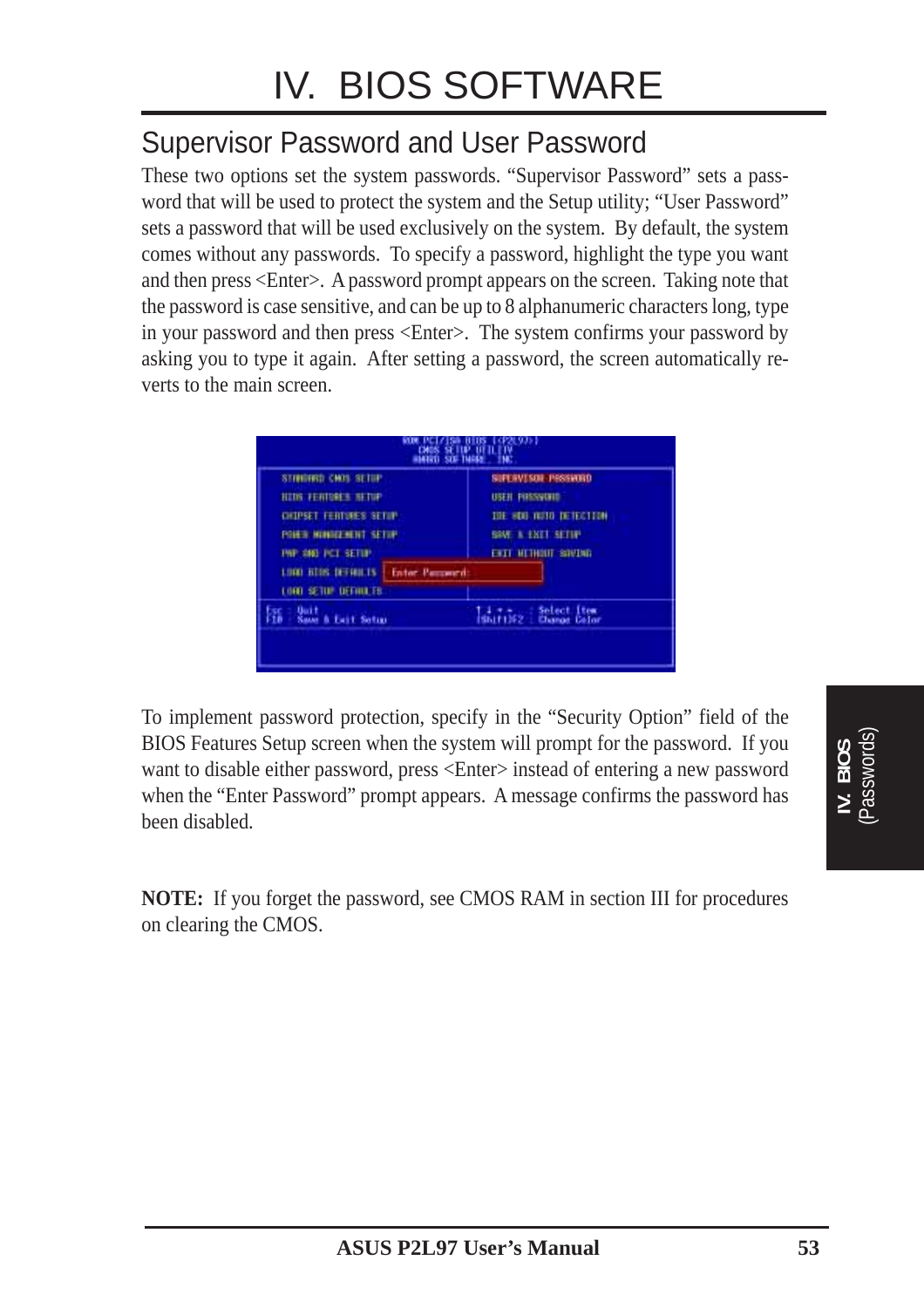## Supervisor Password and User Password

These two options set the system passwords. "Supervisor Password" sets a password that will be used to protect the system and the Setup utility; "User Password" sets a password that will be used exclusively on the system. By default, the system comes without any passwords. To specify a password, highlight the type you want and then press <Enter>. A password prompt appears on the screen. Taking note that the password is case sensitive, and can be up to 8 alphanumeric characters long, type in your password and then press <Enter>. The system confirms your password by asking you to type it again. After setting a password, the screen automatically reverts to the main screen.

| CHOS SETUP UTILITY                                   |                                                                                                                    |
|------------------------------------------------------|--------------------------------------------------------------------------------------------------------------------|
| <b>ORPSET FERFORES SETUP</b><br>FORE MONOCHENT SETOP | SUPERVESOR PRSSWORD<br>USER PRESSURID<br>THE HOU NOTE DETECTION<br>SAVE & EXT1 SETUP<br><b>EXT METHODE STATIST</b> |
| <b>Enter Password:</b>                               |                                                                                                                    |
|                                                      | Shiftif2 Select Item<br>IShiftif2 Change Celor                                                                     |
|                                                      |                                                                                                                    |

To implement password protection, specify in the "Security Option" field of the BIOS Features Setup screen when the system will prompt for the password. If you want to disable either password, press <Enter> instead of entering a new password when the "Enter Password" prompt appears. A message confirms the password has been disabled.

**NOTE:** If you forget the password, see CMOS RAM in section III for procedures on clearing the CMOS.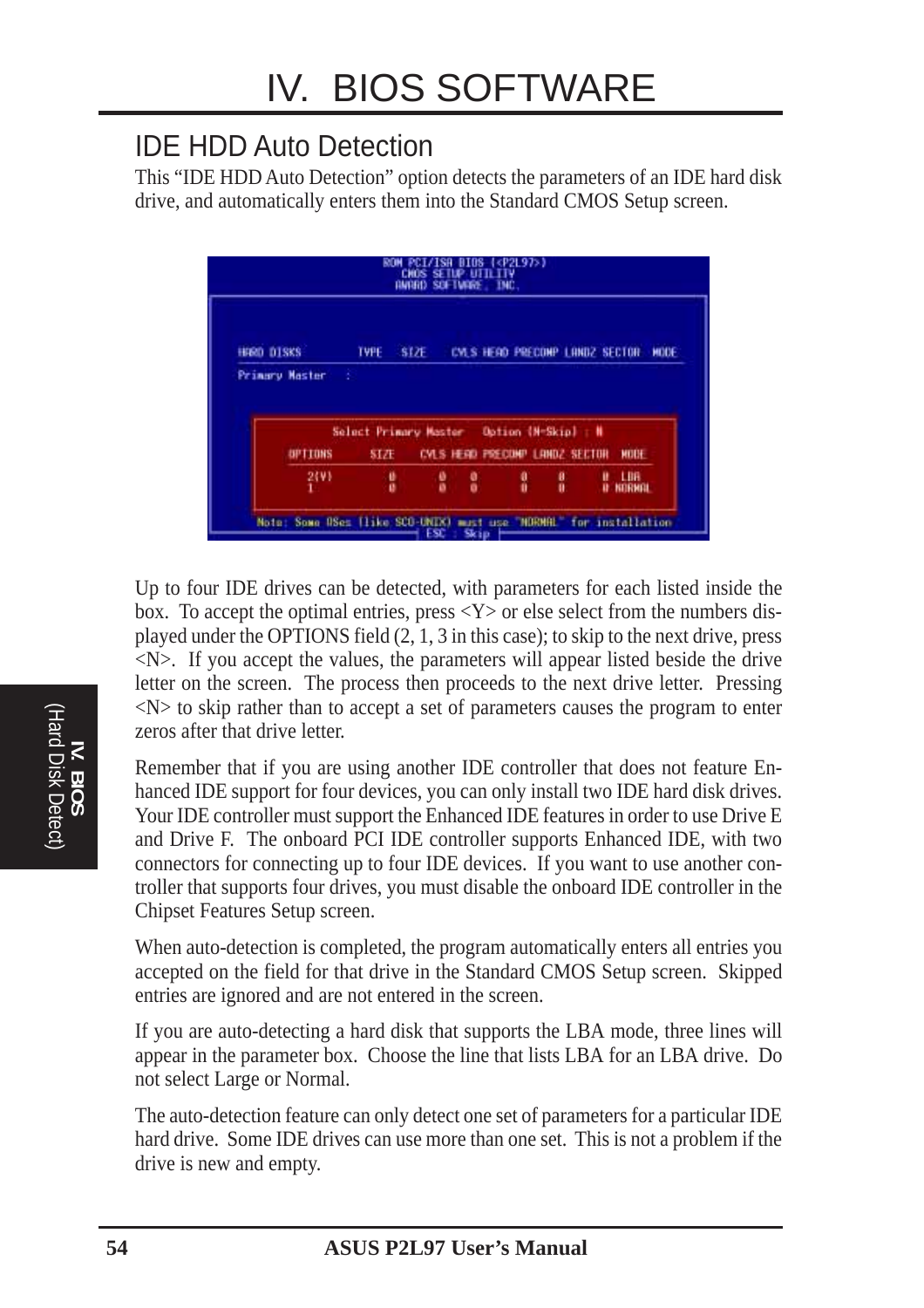## IDE HDD Auto Detection

This "IDE HDD Auto Detection" option detects the parameters of an IDE hard disk drive, and automatically enters them into the Standard CMOS Setup screen.



Up to four IDE drives can be detected, with parameters for each listed inside the box. To accept the optimal entries, press  $\langle Y \rangle$  or else select from the numbers displayed under the OPTIONS field (2, 1, 3 in this case); to skip to the next drive, press  $\langle N \rangle$ . If you accept the values, the parameters will appear listed beside the drive letter on the screen. The process then proceeds to the next drive letter. Pressing  $\langle N \rangle$  to skip rather than to accept a set of parameters causes the program to enter zeros after that drive letter.

Remember that if you are using another IDE controller that does not feature Enhanced IDE support for four devices, you can only install two IDE hard disk drives. Your IDE controller must support the Enhanced IDE features in order to use Drive E and Drive F. The onboard PCI IDE controller supports Enhanced IDE, with two connectors for connecting up to four IDE devices. If you want to use another controller that supports four drives, you must disable the onboard IDE controller in the Chipset Features Setup screen.

When auto-detection is completed, the program automatically enters all entries you accepted on the field for that drive in the Standard CMOS Setup screen. Skipped entries are ignored and are not entered in the screen.

If you are auto-detecting a hard disk that supports the LBA mode, three lines will appear in the parameter box. Choose the line that lists LBA for an LBA drive. Do not select Large or Normal.

The auto-detection feature can only detect one set of parameters for a particular IDE hard drive. Some IDE drives can use more than one set. This is not a problem if the drive is new and empty.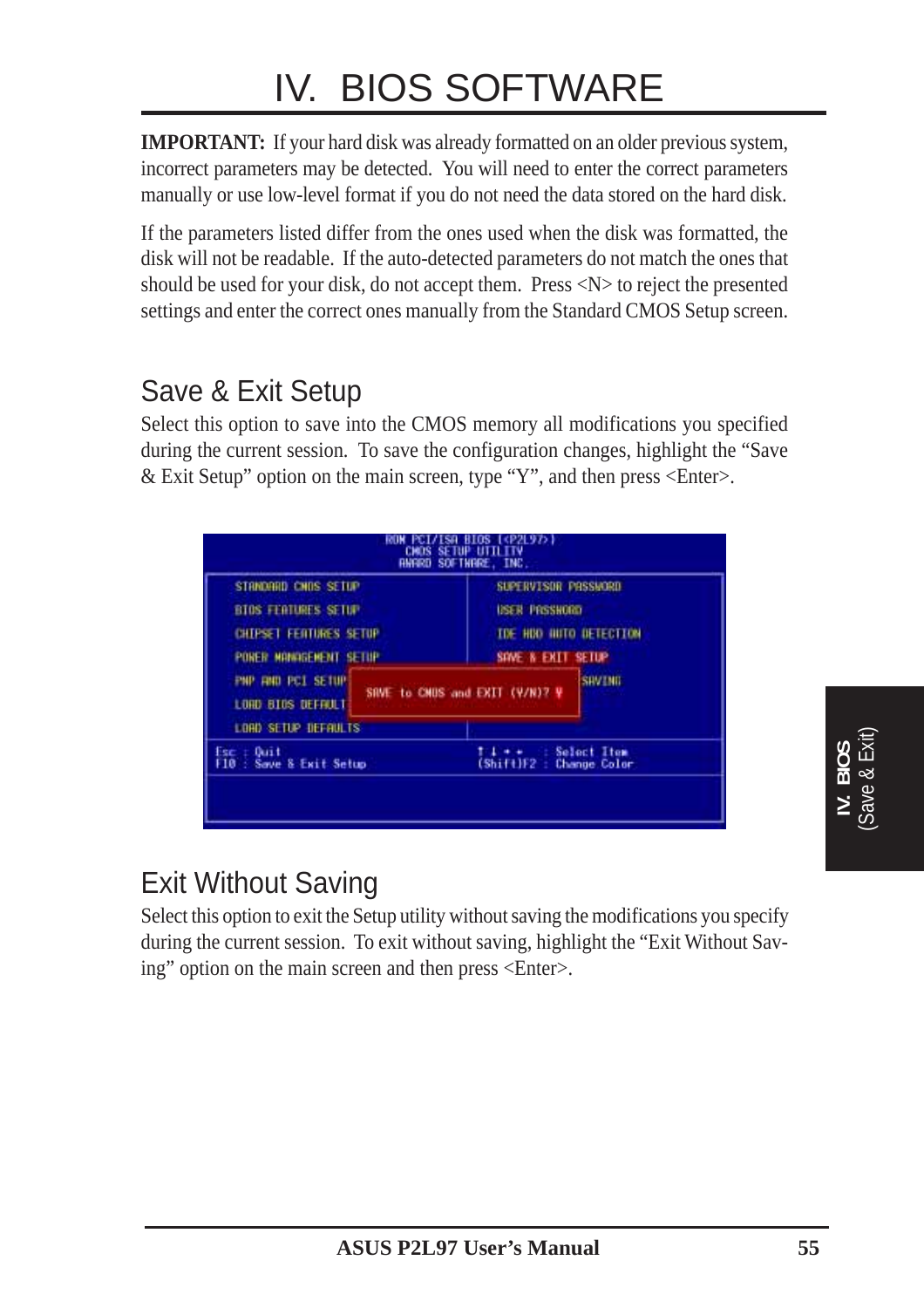# IV. BIOS SOFTWARE

**IMPORTANT:** If your hard disk was already formatted on an older previous system, incorrect parameters may be detected. You will need to enter the correct parameters manually or use low-level format if you do not need the data stored on the hard disk.

If the parameters listed differ from the ones used when the disk was formatted, the disk will not be readable. If the auto-detected parameters do not match the ones that should be used for your disk, do not accept them. Press <N> to reject the presented settings and enter the correct ones manually from the Standard CMOS Setup screen.

### Save & Exit Setup

Select this option to save into the CMOS memory all modifications you specified during the current session. To save the configuration changes, highlight the "Save & Exit Setup" option on the main screen, type "Y", and then press  $\leq$  Enter $\geq$ .

| STANDARD CHOS SETUP                                              | SUPERVISOR PASSWORD                                                  |
|------------------------------------------------------------------|----------------------------------------------------------------------|
| BTOS FEATURES SETUP<br>CHIPSET FEATURES SETUP                    | <b>USER PRESHORD</b><br>TDE HDD BUTO DETECTION                       |
| POKER MANAGEMENT SETUP<br>PMP AND PCI SETUP<br>LOAD BIOS DEFAULT | SIME & EXIT SETUP<br><b>SHVING</b><br>SAVE to CMUS and EXIT (V/N)? V |
| LOAD SETUP DEFAULTS<br>Esc : Quit                                | Select Item                                                          |
| F10 : Save & Exit Setup                                          | (Shift)F2 : Change Color                                             |

## Exit Without Saving

Select this option to exit the Setup utility without saving the modifications you specify during the current session. To exit without saving, highlight the "Exit Without Saving" option on the main screen and then press <Enter>.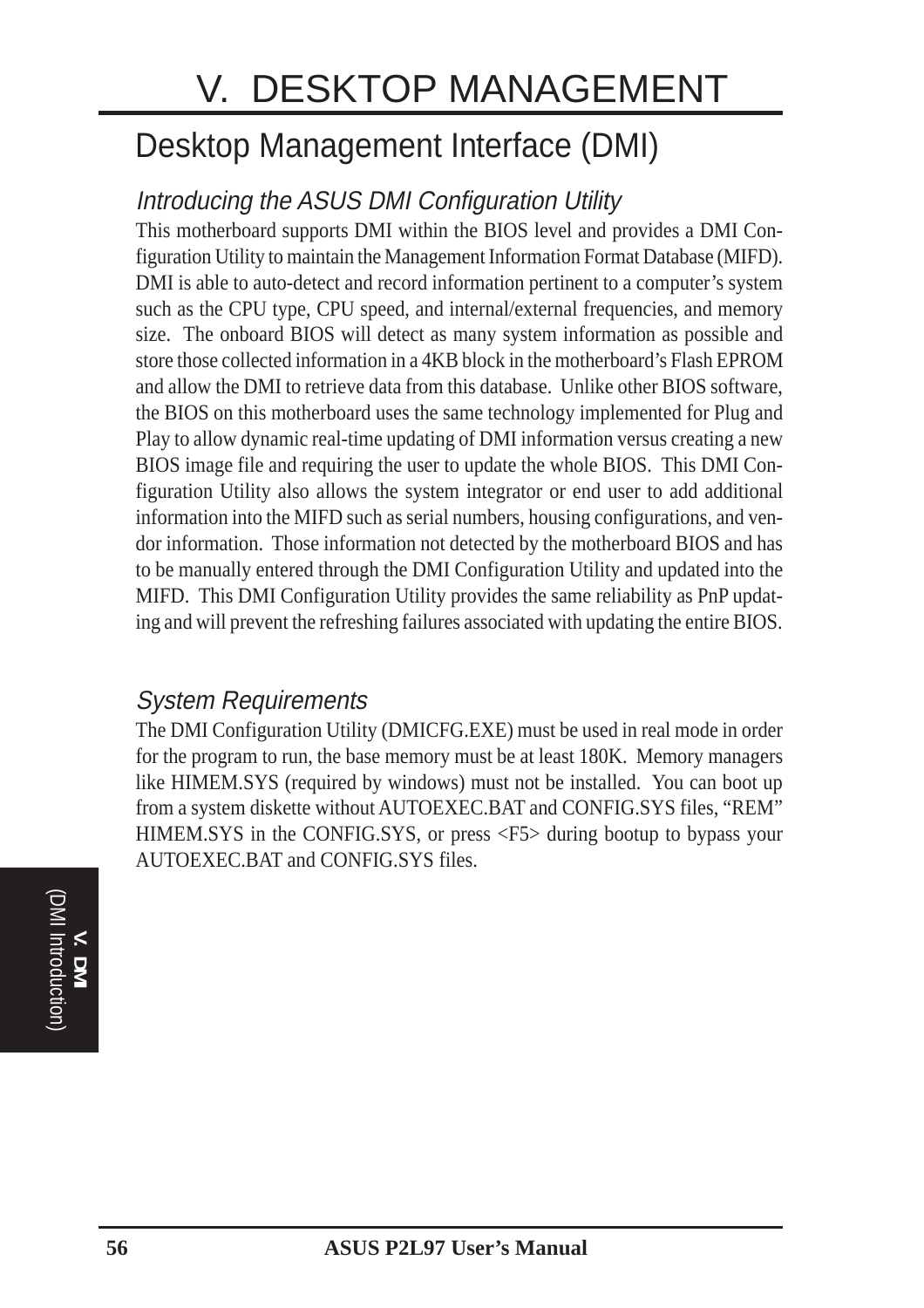# V. DESKTOP MANAGEMENT

# Desktop Management Interface (DMI)

### Introducing the ASUS DMI Configuration Utility

This motherboard supports DMI within the BIOS level and provides a DMI Configuration Utility to maintain the Management Information Format Database (MIFD). DMI is able to auto-detect and record information pertinent to a computer's system such as the CPU type, CPU speed, and internal/external frequencies, and memory size. The onboard BIOS will detect as many system information as possible and store those collected information in a 4KB block in the motherboard's Flash EPROM and allow the DMI to retrieve data from this database. Unlike other BIOS software, the BIOS on this motherboard uses the same technology implemented for Plug and Play to allow dynamic real-time updating of DMI information versus creating a new BIOS image file and requiring the user to update the whole BIOS. This DMI Configuration Utility also allows the system integrator or end user to add additional information into the MIFD such as serial numbers, housing configurations, and vendor information. Those information not detected by the motherboard BIOS and has to be manually entered through the DMI Configuration Utility and updated into the MIFD. This DMI Configuration Utility provides the same reliability as PnP updating and will prevent the refreshing failures associated with updating the entire BIOS.

### System Requirements

The DMI Configuration Utility (DMICFG.EXE) must be used in real mode in order for the program to run, the base memory must be at least 180K. Memory managers like HIMEM.SYS (required by windows) must not be installed. You can boot up from a system diskette without AUTOEXEC.BAT and CONFIG.SYS files, "REM" HIMEM.SYS in the CONFIG.SYS, or press <F5> during bootup to bypass your AUTOEXEC.BAT and CONFIG.SYS files.

(DMI Introduction (DMI Introduction) **V. DMI**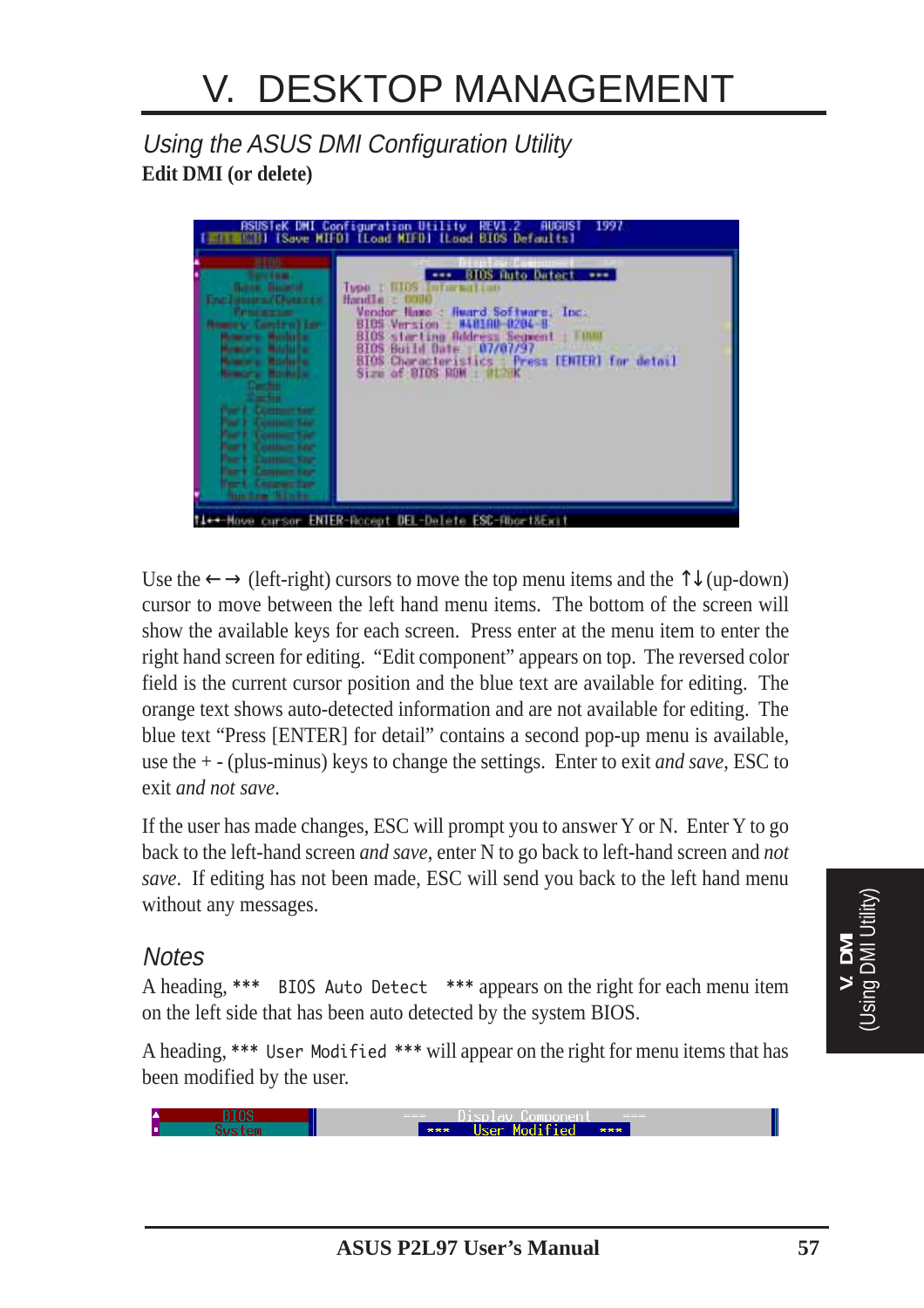Using the ASUS DMI Configuration Utility **Edit DMI (or delete)**



Use the  $\leftarrow \rightarrow$  (left-right) cursors to move the top menu items and the  $\uparrow \downarrow$  (up-down) cursor to move between the left hand menu items. The bottom of the screen will show the available keys for each screen. Press enter at the menu item to enter the right hand screen for editing. "Edit component" appears on top. The reversed color field is the current cursor position and the blue text are available for editing. The orange text shows auto-detected information and are not available for editing. The blue text "Press [ENTER] for detail" contains a second pop-up menu is available, use the + - (plus-minus) keys to change the settings. Enter to exit *and save*, ESC to exit *and not save*.

If the user has made changes, ESC will prompt you to answer Y or N. Enter Y to go back to the left-hand screen *and save*, enter N to go back to left-hand screen and *not save*. If editing has not been made, ESC will send you back to the left hand menu without any messages.

#### Notes

A heading, \*\*\* BIOS Auto Detect \*\*\* appears on the right for each menu item on the left side that has been auto detected by the system BIOS.

A heading, \*\*\* User Modified \*\*\* will appear on the right for menu items that has been modified by the user.

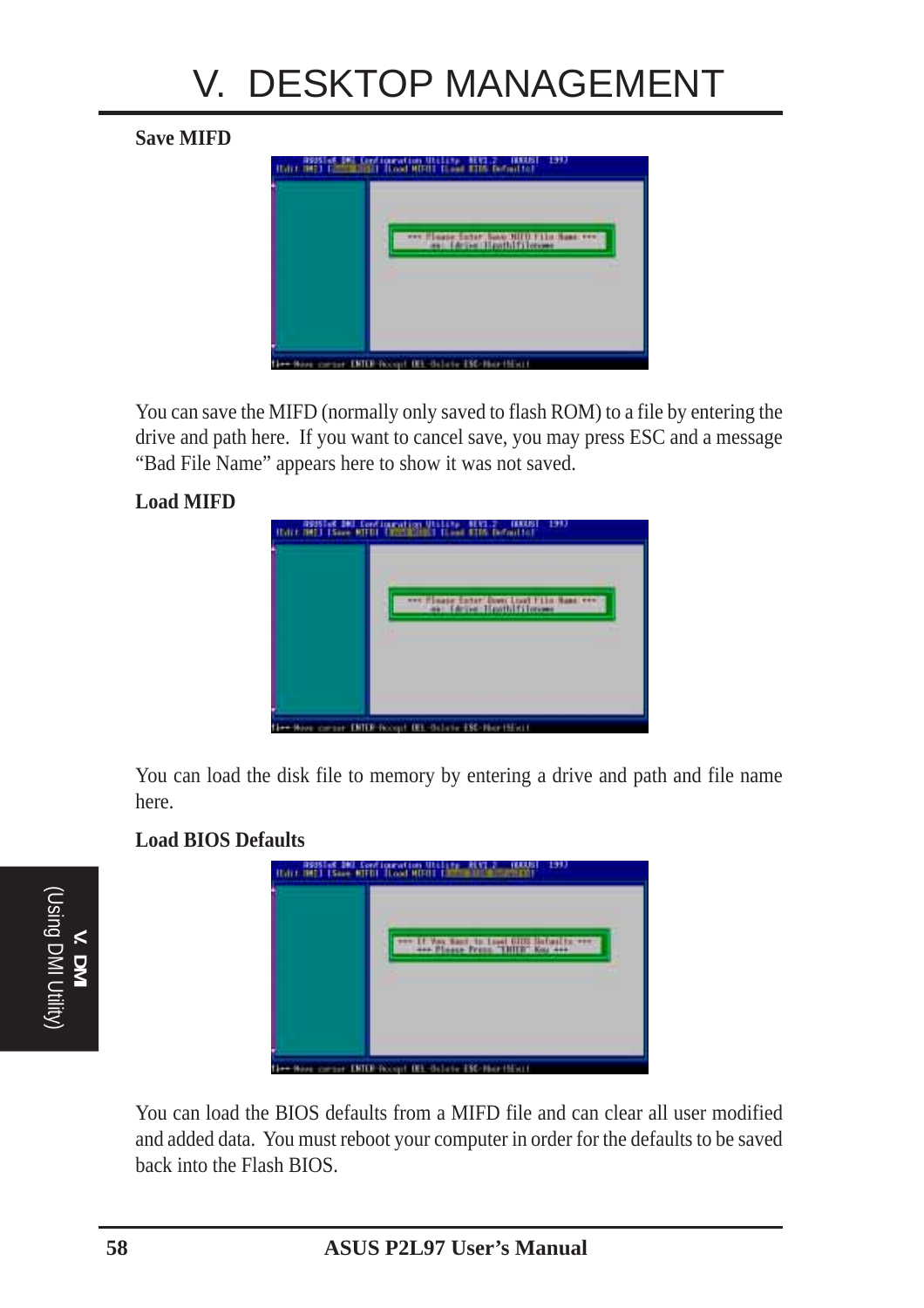# V. DESKTOP MANAGEMENT

#### **Save MIFD**



You can save the MIFD (normally only saved to flash ROM) to a file by entering the drive and path here. If you want to cancel save, you may press ESC and a message "Bad File Name" appears here to show it was not saved.

#### **Load MIFD**



You can load the disk file to memory by entering a drive and path and file name here.

#### **Load BIOS Defaults**



You can load the BIOS defaults from a MIFD file and can clear all user modified and added data. You must reboot your computer in order for the defaults to be saved back into the Flash BIOS.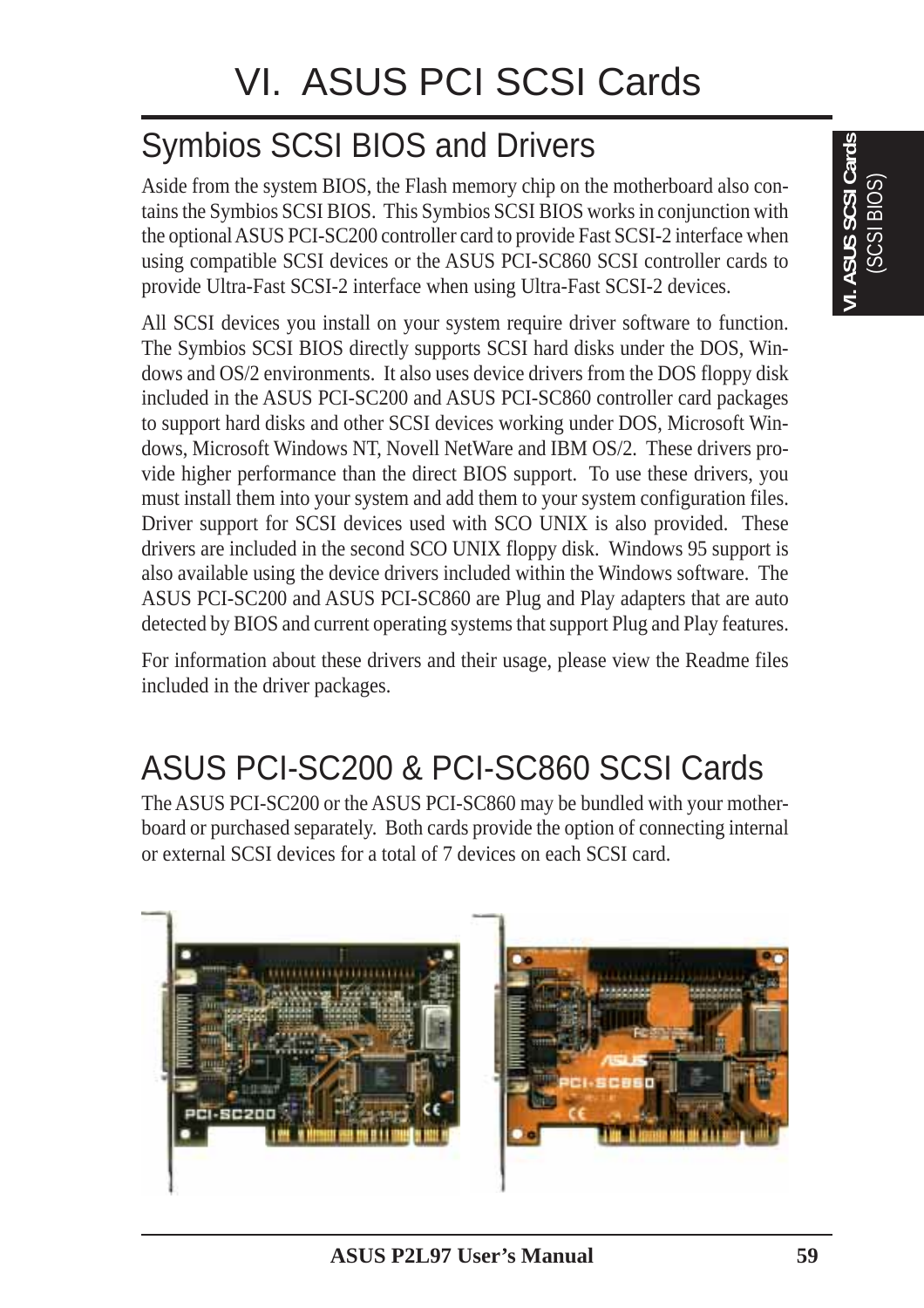# Symbios SCSI BIOS and Drivers

Aside from the system BIOS, the Flash memory chip on the motherboard also contains the Symbios SCSI BIOS. This Symbios SCSI BIOS works in conjunction with the optional ASUS PCI-SC200 controller card to provide Fast SCSI-2 interface when using compatible SCSI devices or the ASUS PCI-SC860 SCSI controller cards to provide Ultra-Fast SCSI-2 interface when using Ultra-Fast SCSI-2 devices.

All SCSI devices you install on your system require driver software to function. The Symbios SCSI BIOS directly supports SCSI hard disks under the DOS, Windows and OS/2 environments. It also uses device drivers from the DOS floppy disk included in the ASUS PCI-SC200 and ASUS PCI-SC860 controller card packages to support hard disks and other SCSI devices working under DOS, Microsoft Windows, Microsoft Windows NT, Novell NetWare and IBM OS/2. These drivers provide higher performance than the direct BIOS support. To use these drivers, you must install them into your system and add them to your system configuration files. Driver support for SCSI devices used with SCO UNIX is also provided. These drivers are included in the second SCO UNIX floppy disk. Windows 95 support is also available using the device drivers included within the Windows software. The ASUS PCI-SC200 and ASUS PCI-SC860 are Plug and Play adapters that are auto detected by BIOS and current operating systems that support Plug and Play features.

For information about these drivers and their usage, please view the Readme files included in the driver packages.

# ASUS PCI-SC200 & PCI-SC860 SCSI Cards

The ASUS PCI-SC200 or the ASUS PCI-SC860 may be bundled with your motherboard or purchased separately. Both cards provide the option of connecting internal or external SCSI devices for a total of 7 devices on each SCSI card.

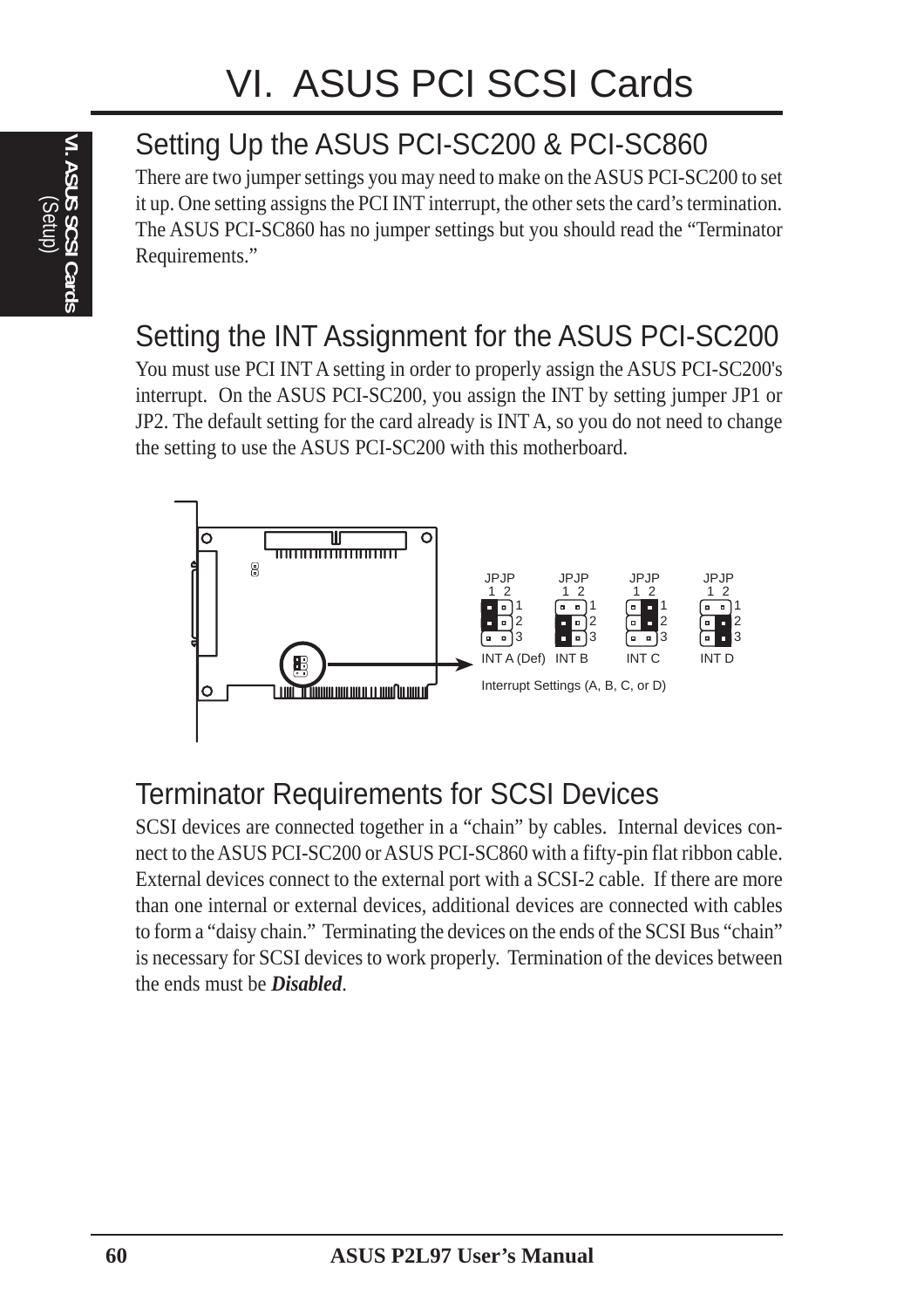# Setting Up the ASUS PCI-SC200 & PCI-SC860

There are two jumper settings you may need to make on the ASUS PCI-SC200 to set it up. One setting assigns the PCI INT interrupt, the other sets the card's termination. The ASUS PCI-SC860 has no jumper settings but you should read the "Terminator Requirements."

## Setting the INT Assignment for the ASUS PCI-SC200

You must use PCI INT A setting in order to properly assign the ASUS PCI-SC200's interrupt. On the ASUS PCI-SC200, you assign the INT by setting jumper JP1 or JP2. The default setting for the card already is INT A, so you do not need to change the setting to use the ASUS PCI-SC200 with this motherboard.



## Terminator Requirements for SCSI Devices

SCSI devices are connected together in a "chain" by cables. Internal devices connect to the ASUS PCI-SC200 or ASUS PCI-SC860 with a fifty-pin flat ribbon cable. External devices connect to the external port with a SCSI-2 cable. If there are more than one internal or external devices, additional devices are connected with cables to form a "daisy chain." Terminating the devices on the ends of the SCSI Bus "chain" is necessary for SCSI devices to work properly. Termination of the devices between the ends must be *Disabled*.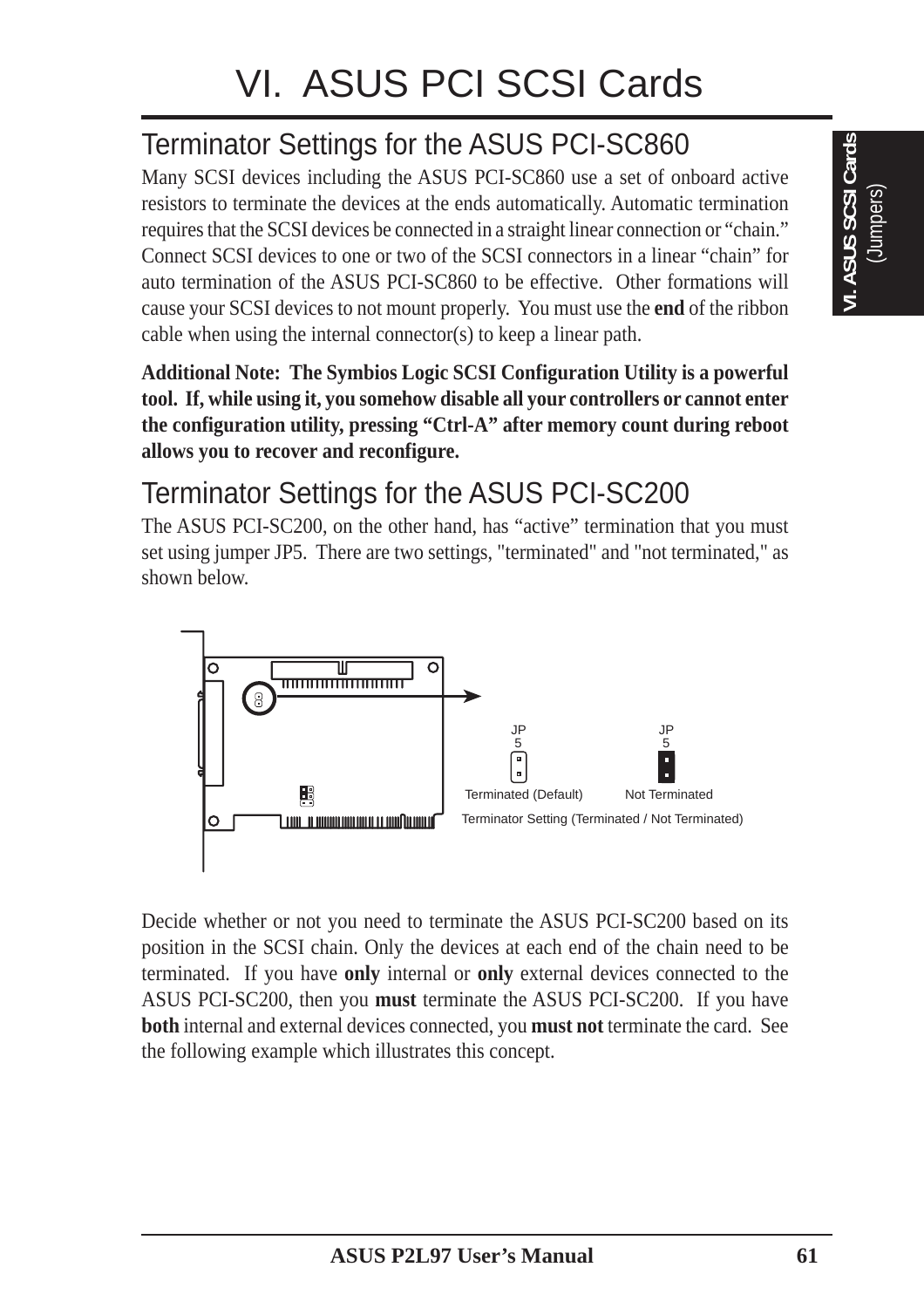# Terminator Settings for the ASUS PCI-SC860

Many SCSI devices including the ASUS PCI-SC860 use a set of onboard active resistors to terminate the devices at the ends automatically. Automatic termination requires that the SCSI devices be connected in a straight linear connection or "chain." Connect SCSI devices to one or two of the SCSI connectors in a linear "chain" for auto termination of the ASUS PCI-SC860 to be effective. Other formations will cause your SCSI devices to not mount properly. You must use the **end** of the ribbon cable when using the internal connector(s) to keep a linear path.

**Additional Note: The Symbios Logic SCSI Configuration Utility is a powerful tool. If, while using it, you somehow disable all your controllers or cannot enter the configuration utility, pressing "Ctrl-A" after memory count during reboot allows you to recover and reconfigure.**

## Terminator Settings for the ASUS PCI-SC200

The ASUS PCI-SC200, on the other hand, has "active" termination that you must set using jumper JP5. There are two settings, "terminated" and "not terminated," as shown below.



Decide whether or not you need to terminate the ASUS PCI-SC200 based on its position in the SCSI chain. Only the devices at each end of the chain need to be terminated. If you have **only** internal or **only** external devices connected to the ASUS PCI-SC200, then you **must** terminate the ASUS PCI-SC200. If you have **both** internal and external devices connected, you **must not** terminate the card. See the following example which illustrates this concept.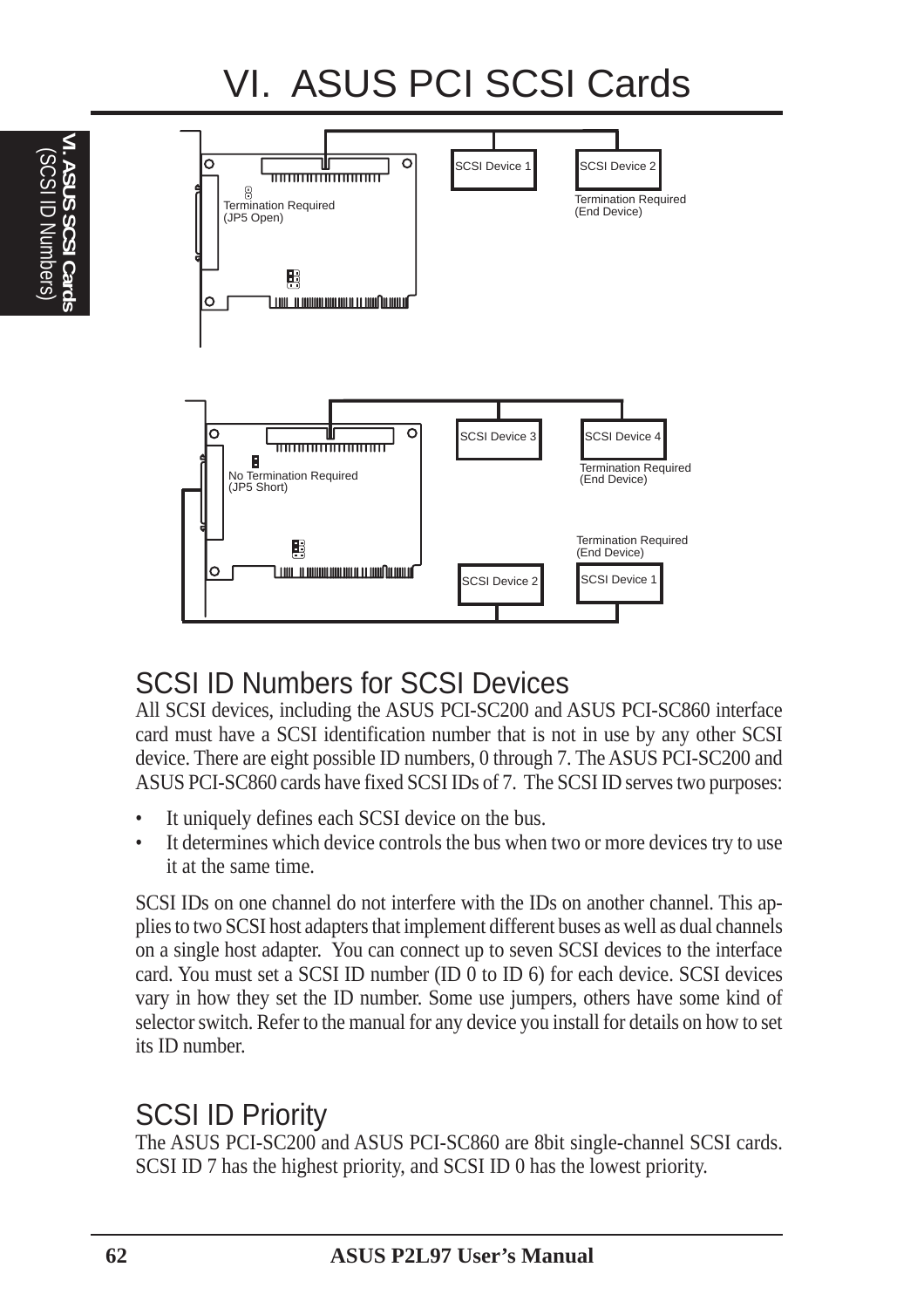# VI. ASUS PCI SCSI Cards



## SCSI ID Numbers for SCSI Devices

All SCSI devices, including the ASUS PCI-SC200 and ASUS PCI-SC860 interface card must have a SCSI identification number that is not in use by any other SCSI device. There are eight possible ID numbers, 0 through 7. The ASUS PCI-SC200 and ASUS PCI-SC860 cards have fixed SCSI IDs of 7. The SCSI ID serves two purposes:

- It uniquely defines each SCSI device on the bus.
- It determines which device controls the bus when two or more devices try to use it at the same time.

SCSI IDs on one channel do not interfere with the IDs on another channel. This applies to two SCSI host adapters that implement different buses as well as dual channels on a single host adapter. You can connect up to seven SCSI devices to the interface card. You must set a SCSI ID number (ID 0 to ID 6) for each device. SCSI devices vary in how they set the ID number. Some use jumpers, others have some kind of selector switch. Refer to the manual for any device you install for details on how to set its ID number.

## SCSI ID Priority

The ASUS PCI-SC200 and ASUS PCI-SC860 are 8bit single-channel SCSI cards. SCSI ID 7 has the highest priority, and SCSI ID 0 has the lowest priority.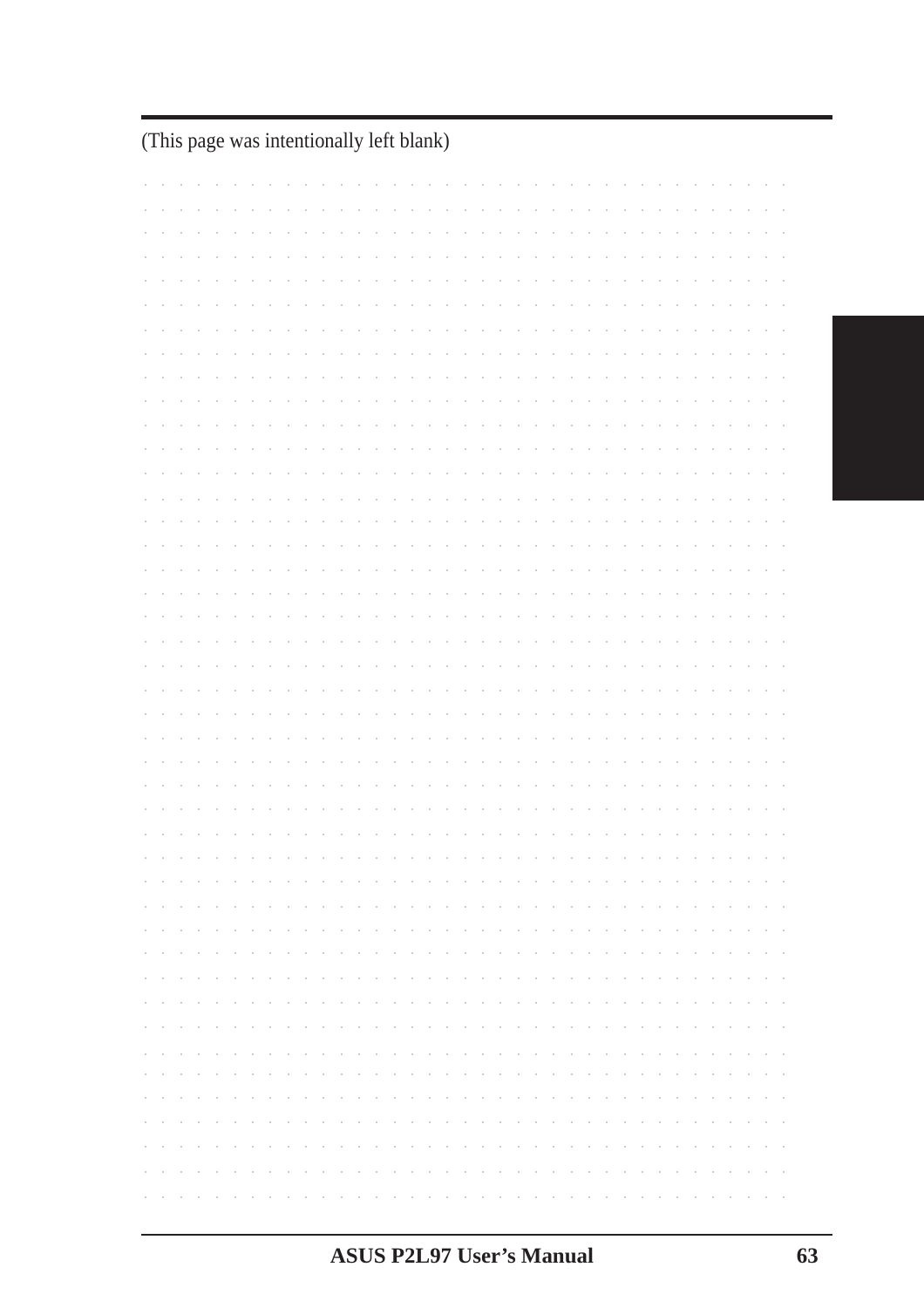(This page was intentionally left blank)

|  |  |  |  |  |  |  |  |  |  |  |  |  |  |  |  |  | a carracter de la carracter de la carracter de la carracter de la carracter de la carracter de la carracter de      |  |
|--|--|--|--|--|--|--|--|--|--|--|--|--|--|--|--|--|---------------------------------------------------------------------------------------------------------------------|--|
|  |  |  |  |  |  |  |  |  |  |  |  |  |  |  |  |  | and the company of the company of the company of the company of the company of the company of the company of the    |  |
|  |  |  |  |  |  |  |  |  |  |  |  |  |  |  |  |  | and a company of the company of the company of the company of the company of the company of the company of the      |  |
|  |  |  |  |  |  |  |  |  |  |  |  |  |  |  |  |  | a construction of the construction of the construction of the construction of the construction of the construction  |  |
|  |  |  |  |  |  |  |  |  |  |  |  |  |  |  |  |  | المناجر والمناجر والمناجر والمناجر والمناجر والمناجر والمناجر والمناجر والمناجر والمناجر والمناجر والمناجر والمناجر |  |
|  |  |  |  |  |  |  |  |  |  |  |  |  |  |  |  |  | and the company of the company of the company of the company of the company of the company of the company of the    |  |
|  |  |  |  |  |  |  |  |  |  |  |  |  |  |  |  |  | a constitution of the constitution of the constitution of the constitution of the constitution of the constitution  |  |
|  |  |  |  |  |  |  |  |  |  |  |  |  |  |  |  |  | a constitution of the constitution of the constitution of the constitution of the constitution of the constitution  |  |
|  |  |  |  |  |  |  |  |  |  |  |  |  |  |  |  |  | المنام المنام المنام المنام المنام المنام المنام المنام المنام المنام المنام المنام المنام المنام المنام المنام     |  |
|  |  |  |  |  |  |  |  |  |  |  |  |  |  |  |  |  | a construction of the construction of the construction of the construction of the construction of the construction  |  |
|  |  |  |  |  |  |  |  |  |  |  |  |  |  |  |  |  | and the company of the company of the company of the company of the company of the company of the company of the    |  |
|  |  |  |  |  |  |  |  |  |  |  |  |  |  |  |  |  | a car a car a car a car a car a car a car a car a car a car a car a car a car a car a car a car a car a car a       |  |
|  |  |  |  |  |  |  |  |  |  |  |  |  |  |  |  |  | a constitution of the constitution of the constitution of the constitution of the constitution of the constitution  |  |
|  |  |  |  |  |  |  |  |  |  |  |  |  |  |  |  |  |                                                                                                                     |  |